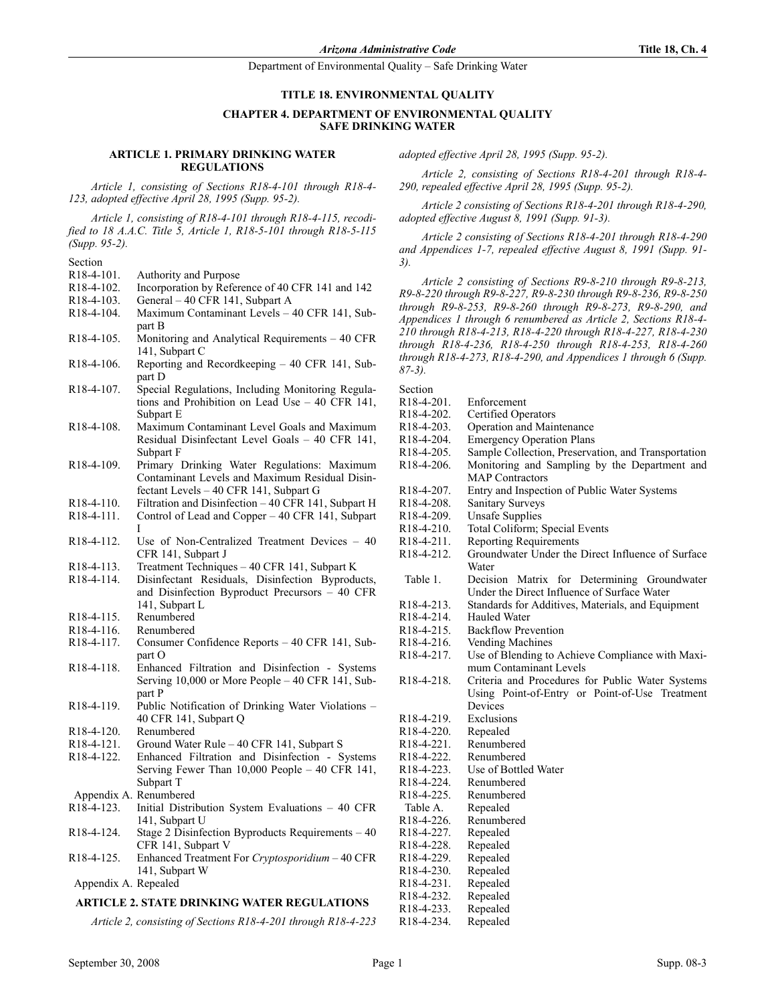## TITLE 18. ENVIRONMENTAL QUALITY

## CHAPTER 4. DEPARTMENT OF ENVIRONMENTAL OUALITY SAFE DRINKING WATER

#### ARTICLE 1. PRIMARY DRINKING WATER **REGULATIONS**

Article 1, consisting of Sections R18-4-101 through R18-4- 123, adopted effective April 28, 1995 (Supp. 95-2).

Article 1, consisting of R18-4-101 through R18-4-115, recodified to 18 A.A.C. Title 5, Article 1, R18-5-101 through R18-5-115 (Supp. 95-2).

| Section |  |
|---------|--|
|         |  |
|         |  |

- R18-4-101. Authority and Purpose
- R18-4-102. Incorporation by Reference of 40 CFR 141 and 142
- R18-4-103. General 40 CFR 141, Subpart A<br>R18-4-104. Maximum Contaminant Levels –
- Maximum Contaminant Levels 40 CFR 141, Subpart B
- R18-4-105. Monitoring and Analytical Requirements 40 CFR 141, Subpart C
- R18-4-106. Reporting and Recordkeeping 40 CFR 141, Subpart D
- R18-4-107. Special Regulations, Including Monitoring Regulations and Prohibition on Lead Use – 40 CFR 141, Subpart E
- R18-4-108. Maximum Contaminant Level Goals and Maximum Residual Disinfectant Level Goals – 40 CFR 141, Subpart F
- R18-4-109. Primary Drinking Water Regulations: Maximum Contaminant Levels and Maximum Residual Disinfectant Levels – 40 CFR 141, Subpart G
- R18-4-110. Filtration and Disinfection 40 CFR 141, Subpart H<br>R18-4-111. Control of Lead and Copper 40 CFR 141, Subpart
- Control of Lead and Copper 40 CFR 141, Subpart I
- R18-4-112. Use of Non-Centralized Treatment Devices 40 CFR 141, Subpart J
- R18-4-113. Treatment Techniques 40 CFR 141, Subpart K
- R18-4-114. Disinfectant Residuals, Disinfection Byproducts, and Disinfection Byproduct Precursors – 40 CFR 141, Subpart L R18-4-115. Renumbered
- R18-4-116. Renumbered
- R18-4-117. Consumer Confidence Reports 40 CFR 141, Subpart O
- R18-4-118. Enhanced Filtration and Disinfection Systems Serving 10,000 or More People – 40 CFR 141, Subpart P
- R18-4-119. Public Notification of Drinking Water Violations 40 CFR 141, Subpart Q
- R18-4-120. Renumbered
- R18-4-121. Ground Water Rule 40 CFR 141, Subpart S
- R18-4-122. Enhanced Filtration and Disinfection Systems Serving Fewer Than 10,000 People – 40 CFR 141, Subpart T
- Appendix A. Renumbered<br>R18-4-123. Initial Distri
- Initial Distribution System Evaluations 40 CFR 141, Subpart U R18-4-124. Stage 2 Disinfection Byproducts Requirements – 40
- CFR 141, Subpart V
- R18-4-125. Enhanced Treatment For Cryptosporidium 40 CFR 141, Subpart W Appendix A. Repealed

## ARTICLE 2. STATE DRINKING WATER REGULATIONS

Article 2, consisting of Sections R18-4-201 through R18-4-223

Article 2, consisting of Sections R18-4-201 through R18-4- 290, repealed effective April 28, 1995 (Supp. 95-2).

Article 2 consisting of Sections R18-4-201 through R18-4-290, adopted effective August 8, 1991 (Supp. 91-3).

Article 2 consisting of Sections R18-4-201 through R18-4-290 and Appendices 1-7, repealed effective August 8, 1991 (Supp. 91- 3).

Article 2 consisting of Sections R9-8-210 through R9-8-213, R9-8-220 through R9-8-227, R9-8-230 through R9-8-236, R9-8-250 through R9-8-253, R9-8-260 through R9-8-273, R9-8-290, and Appendices 1 through 6 renumbered as Article 2, Sections R18-4- 210 through R18-4-213, R18-4-220 through R18-4-227, R18-4-230 through R18-4-236, R18-4-250 through R18-4-253, R18-4-260 through R18-4-273, R18-4-290, and Appendices 1 through 6 (Supp. 87-3).

| Section |  |
|---------|--|
|         |  |
|         |  |

| R18-4-201.                           | Enforcement                                                                                |
|--------------------------------------|--------------------------------------------------------------------------------------------|
| R18-4-202.                           | Certified Operators                                                                        |
| R18-4-203.                           | Operation and Maintenance                                                                  |
| R <sub>18</sub> -4-204.              | <b>Emergency Operation Plans</b>                                                           |
| R18-4-205.                           | Sample Collection, Preservation, and Transportation                                        |
| R18-4-206.                           | Monitoring and Sampling by the Department and                                              |
|                                      | <b>MAP</b> Contractors                                                                     |
| R <sub>18</sub> -4-207.              | Entry and Inspection of Public Water Systems                                               |
| R <sub>18</sub> -4-208.              | Sanitary Surveys                                                                           |
| R <sub>18</sub> -4-209.              | <b>Unsafe Supplies</b>                                                                     |
| R <sub>18</sub> -4-2 <sub>10</sub> . | Total Coliform; Special Events                                                             |
| R <sub>18</sub> -4-2 <sub>11</sub> . | <b>Reporting Requirements</b>                                                              |
| R <sub>18</sub> -4-2 <sub>12</sub> . | Groundwater Under the Direct Influence of Surface<br>Water                                 |
| Table 1.                             | Decision Matrix for Determining Groundwater<br>Under the Direct Influence of Surface Water |
| R <sub>18</sub> -4-2 <sub>13</sub> . | Standards for Additives, Materials, and Equipment                                          |
| R18-4-214.                           | <b>Hauled Water</b>                                                                        |
| R18-4-215.                           | <b>Backflow Prevention</b>                                                                 |
| R18-4-216.                           | Vending Machines                                                                           |
| R18-4-217.                           | Use of Blending to Achieve Compliance with Maxi-                                           |
|                                      | mum Contaminant Levels                                                                     |
| R18-4-218.                           | Criteria and Procedures for Public Water Systems                                           |
|                                      | Using Point-of-Entry or Point-of-Use Treatment                                             |
|                                      | Devices                                                                                    |
| R <sub>18</sub> -4-2 <sub>19</sub> . | Exclusions                                                                                 |
| R18-4-220.                           | Repealed                                                                                   |
| R18-4-221.                           | Renumbered                                                                                 |
| R18-4-222.                           | Renumbered                                                                                 |
| R18-4-223.                           | Use of Bottled Water                                                                       |
| R18-4-224.                           | Renumbered                                                                                 |
| R <sub>18</sub> -4-225.              | Renumbered                                                                                 |
| Table A.                             | Repealed                                                                                   |
| R <sub>18</sub> -4-226.              | Renumbered                                                                                 |
| R <sub>18</sub> -4-227.              | Repealed                                                                                   |
| R <sub>18</sub> -4-228.              | Repealed                                                                                   |
| R <sub>18</sub> -4-229.              | Repealed                                                                                   |
| R <sub>18</sub> -4-230.              | Repealed                                                                                   |
| R18-4-231.                           | Repealed                                                                                   |
| R <sub>18</sub> -4-232.              | Repealed                                                                                   |
| R <sub>18</sub> -4-233.              | Repealed                                                                                   |
| R18-4-234.                           | Repealed                                                                                   |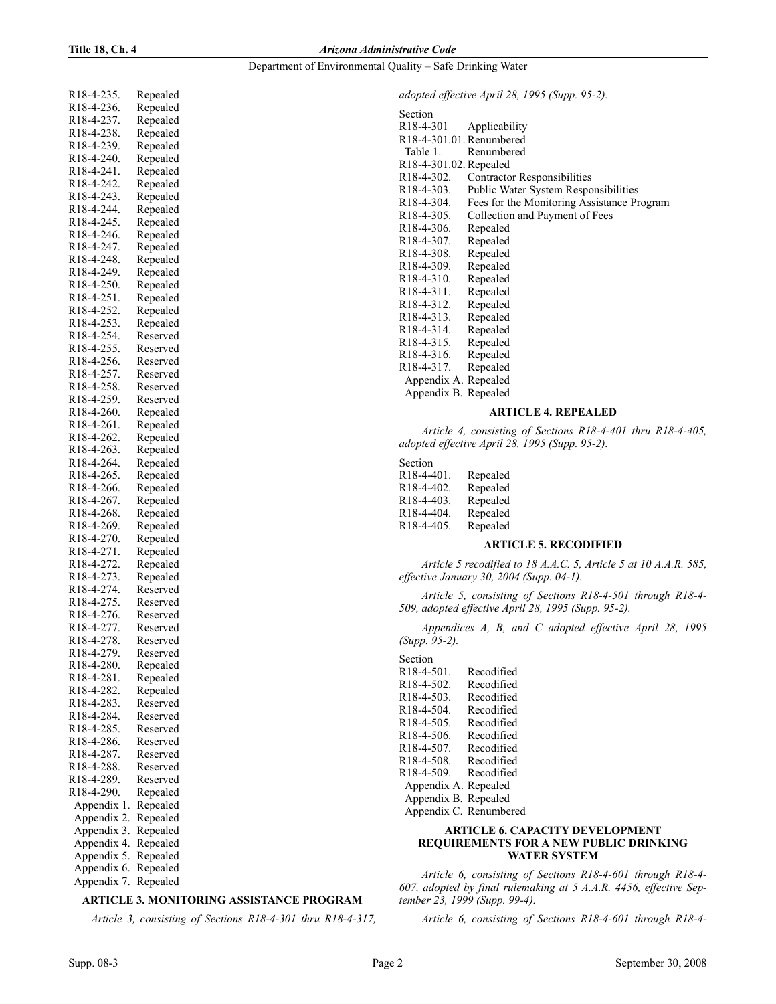#### Department of Environmental Quality – Safe Drinking Water

| R18-4-235.                           | Repealed             |
|--------------------------------------|----------------------|
| R18-4-236.                           | Repealed             |
| R18-4-237.                           | Repealed             |
| R18-4-238.                           | Repealed             |
| R18-4-239.                           | Repealed             |
| R18-4-240.                           | Repealed             |
| R18-4-241.                           | Repealed             |
| R18-4-242.                           | Repealed             |
| R18-4-243.                           | Repealed             |
| R18-4-244.<br>R18-4-245.             | Repealed             |
| R18-4-246.                           | Repealed<br>Repealed |
| R18-4-247.                           | Repealed             |
| R18-4-248.                           | Repealed             |
| R18-4-249.                           | Repealed             |
| R18-4-250.                           | Repealed             |
| R18-4-251.                           | Repealed             |
| R18-4-252.                           | Repealed             |
| R18-4-253.                           | Repealed             |
| R18-4-254.                           | Reserved             |
| R18-4-255.                           | Reserved             |
| R18-4-256.                           | Reserved             |
| R18-4-257.                           | Reserved             |
| R18-4-258.                           | Reserved             |
| R18-4-259.                           | Reserved             |
| R18-4-260.                           | Repealed             |
| R18-4-261.                           | Repealed             |
| R18-4-262.                           | Repealed             |
| R18-4-263.                           | Repealed             |
| R18-4-264.                           | Repealed             |
| R18-4-265.                           | Repealed             |
| R18-4-266.                           | Repealed             |
| R18-4-267.                           | Repealed             |
| R18-4-268.                           | Repealed             |
| R18-4-269.                           | Repealed             |
| R18-4-270.                           | Repealed             |
| R18-4-271.                           | Repealed             |
| R18-4-272.                           | Repealed             |
| R18-4-273.                           | Repealed             |
| R18-4-274.<br>R18-4-275.             | Reserved             |
| R18-4-276.                           | Reserved<br>Reserved |
| R18-4-277.                           | Reserved             |
| R18-4-278.                           | Reserved             |
| R18-4-279.                           | Reserved             |
| R18-4-280.                           | Repealed             |
| R <sub>18</sub> -4-28 <sub>1</sub> . | Repealed             |
| R18-4-282.                           | Repealed             |
| R18-4-283.                           | Reserved             |
| R18-4-284.                           | Reserved             |
| R18-4-285.                           | Reserved             |
| R18-4-286.                           | Reserved             |
| R18-4-287.                           | Reserved             |
| R18-4-288.                           | Reserved             |
| R18-4-289.                           | Reserved             |
| R18-4-290.                           | Repealed             |
| Appendix<br>1.                       | Repealed             |
| Appendix<br>2.                       | Repealed             |
| 3.<br>Appendix                       | Repealed             |
| Appendix 4.                          | Repealed             |
| Appendix 5.                          | Repealed             |
| Appendix 6.                          | Repealed             |
| Appendix 7.                          | Repealed             |

## ARTICLE 3. MONITORING ASSISTANCE PROGRAM

Article 3, consisting of Sections R18-4-301 thru R18-4-317,

adopted effective April 28, 1995 (Supp. 95-2).

| Section                              |                                             |
|--------------------------------------|---------------------------------------------|
| R <sub>18</sub> -4-301               | Applicability                               |
| R18-4-301.01. Renumbered             |                                             |
| Table 1.                             | Renumbered                                  |
| R18-4-301.02. Repealed               |                                             |
| R <sub>18</sub> -4-302.              | <b>Contractor Responsibilities</b>          |
| R <sub>18</sub> -4-303.              | <b>Public Water System Responsibilities</b> |
| R <sub>18</sub> -4-304.              | Fees for the Monitoring Assistance Program  |
| R18-4-305.                           | Collection and Payment of Fees              |
| R <sub>18</sub> -4-306.              | Repealed                                    |
| R <sub>18</sub> -4-307.              | Repealed                                    |
| R <sub>18</sub> -4-308.              | Repealed                                    |
| R <sub>18</sub> -4-309.              | Repealed                                    |
| R <sub>18</sub> -4-3 <sub>10</sub> . | Repealed                                    |
| R <sub>18</sub> -4-3 <sub>11</sub> . | Repealed                                    |
| R <sub>18</sub> -4-3 <sub>12</sub> . | Repealed                                    |
| R <sub>18</sub> -4-3 <sub>13</sub> . | Repealed                                    |
| R <sub>18</sub> -4-314.              | Repealed                                    |
| R <sub>18</sub> -4-3 <sub>15</sub> . | Repealed                                    |
| R <sub>18</sub> -4-3 <sub>16</sub> . | Repealed                                    |
| R <sub>18</sub> -4-317.              | Repealed                                    |
| Appendix A. Repealed                 |                                             |
| Appendix B. Repealed                 |                                             |

## ARTICLE 4. REPEALED

Article 4, consisting of Sections R18-4-401 thru R18-4-405, adopted effective April 28, 1995 (Supp. 95-2).

Section R18-4-401. Repealed R18-4-402. Repealed

| repeared |
|----------|
| Repealed |
| Repealed |
| Repealed |
|          |

#### ARTICLE 5. RECODIFIED

Article 5 recodified to 18 A.A.C. 5, Article 5 at 10 A.A.R. 585, effective January 30, 2004 (Supp. 04-1).

Article 5, consisting of Sections R18-4-501 through R18-4- 509, adopted effective April 28, 1995 (Supp. 95-2).

Appendices A, B, and C adopted effective April 28, 1995 (Supp. 95-2).

Section R18-4-501. Recodified R18-4-502. Recodified<br>R18-4-503. Recodified R18-4-503. Recodified<br>R18-4-504. Recodified R18-4-504. R18-4-505. Recodified R18-4-506. Recodified R18-4-507. Recodified<br>R18-4-508. Recodified R18-4-508. R18-4-509. Recodified Appendix A. Repealed Appendix B. Repealed Appendix C. Renumbered

## **ARTICLE 6. CAPACITY DEVELOPMENT** REQUIREMENTS FOR A NEW PUBLIC DRINKING WATER SYSTEM

Article 6, consisting of Sections R18-4-601 through R18-4- 607, adopted by final rulemaking at 5 A.A.R. 4456, effective September 23, 1999 (Supp. 99-4).

Article 6, consisting of Sections R18-4-601 through R18-4-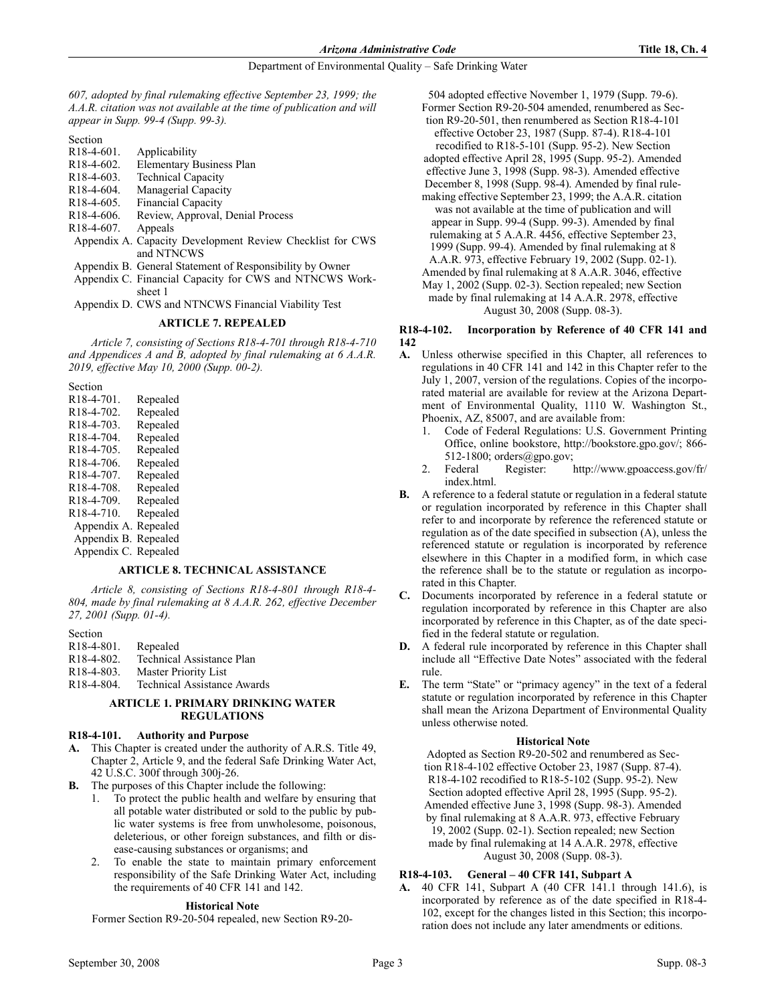607, adopted by final rulemaking effective September 23, 1999; the A.A.R. citation was not available at the time of publication and will appear in Supp. 99-4 (Supp. 99-3).

Section<br>R18-4-601.

- Applicability
- R18-4-602. Elementary Business Plan
- R18-4-603. Technical Capacity
- R18-4-604. Managerial Capacity R18-4-605. Financial Capacity
- R18-4-606. Review, Approval, Denial Process
- R18-4-607. Appeals
- Appendix A. Capacity Development Review Checklist for CWS and NTNCWS
- Appendix B. General Statement of Responsibility by Owner
- Appendix C. Financial Capacity for CWS and NTNCWS Worksheet 1

Appendix D. CWS and NTNCWS Financial Viability Test

## ARTICLE 7. REPEALED

Article 7, consisting of Sections R18-4-701 through R18-4-710 and Appendices A and B, adopted by final rulemaking at 6 A.A.R. 2019, effective May 10, 2000 (Supp. 00-2).

Section

| R <sub>18</sub> -4-701.              | Repealed |
|--------------------------------------|----------|
| R <sub>18</sub> -4-702.              | Repealed |
| R <sub>18</sub> -4-703.              | Repealed |
| R18-4-704.                           | Repealed |
| R <sub>18</sub> -4-705.              | Repealed |
| R <sub>18</sub> -4-706.              | Repealed |
| R <sub>18</sub> -4-707.              | Repealed |
| R <sub>18</sub> -4-708.              | Repealed |
| R18-4-709.                           | Repealed |
| R <sub>18</sub> -4-7 <sub>10</sub> . | Repealed |
| Appendix A.                          | Repealed |
| Appendix B.                          | Repealed |
| Appendix C.                          | Repealed |

## ARTICLE 8. TECHNICAL ASSISTANCE

Article 8, consisting of Sections R18-4-801 through R18-4- 804, made by final rulemaking at 8 A.A.R. 262, effective December 27, 2001 (Supp. 01-4).

#### Section

- R18-4-801. Repealed
- R18-4-802. Technical Assistance Plan
- R18-4-803. Master Priority List

R18-4-804. Technical Assistance Awards

## ARTICLE 1. PRIMARY DRINKING WATER **REGULATIONS**

## R18-4-101. Authority and Purpose

- A. This Chapter is created under the authority of A.R.S. Title 49, Chapter 2, Article 9, and the federal Safe Drinking Water Act, 42 U.S.C. 300f through 300j-26.
- The purposes of this Chapter include the following:
	- 1. To protect the public health and welfare by ensuring that all potable water distributed or sold to the public by public water systems is free from unwholesome, poisonous, deleterious, or other foreign substances, and filth or disease-causing substances or organisms; and
	- 2. To enable the state to maintain primary enforcement responsibility of the Safe Drinking Water Act, including the requirements of 40 CFR 141 and 142.

## **Historical Note**

Former Section R9-20-504 repealed, new Section R9-20-

504 adopted effective November 1, 1979 (Supp. 79-6).

- Former Section R9-20-504 amended, renumbered as Section R9-20-501, then renumbered as Section R18-4-101
- effective October 23, 1987 (Supp. 87-4). R18-4-101 recodified to R18-5-101 (Supp. 95-2). New Section
- adopted effective April 28, 1995 (Supp. 95-2). Amended effective June 3, 1998 (Supp. 98-3). Amended effective
- December 8, 1998 (Supp. 98-4). Amended by final rule-
- making effective September 23, 1999; the A.A.R. citation was not available at the time of publication and will appear in Supp. 99-4 (Supp. 99-3). Amended by final rulemaking at 5 A.A.R. 4456, effective September 23,
- 1999 (Supp. 99-4). Amended by final rulemaking at 8
- A.A.R. 973, effective February 19, 2002 (Supp. 02-1).
- Amended by final rulemaking at 8 A.A.R. 3046, effective May 1, 2002 (Supp. 02-3). Section repealed; new Section
- made by final rulemaking at 14 A.A.R. 2978, effective

August 30, 2008 (Supp. 08-3).

## R18-4-102. Incorporation by Reference of 40 CFR 141 and 142

- A. Unless otherwise specified in this Chapter, all references to regulations in 40 CFR 141 and 142 in this Chapter refer to the July 1, 2007, version of the regulations. Copies of the incorporated material are available for review at the Arizona Department of Environmental Quality, 1110 W. Washington St., Phoenix, AZ, 85007, and are available from:
	- 1. Code of Federal Regulations: U.S. Government Printing Office, online bookstore, http://bookstore.gpo.gov/; 866- 512-1800; orders@gpo.gov;
	- 2. Federal Register: http://www.gpoaccess.gov/fr/ index.html.
- B. A reference to a federal statute or regulation in a federal statute or regulation incorporated by reference in this Chapter shall refer to and incorporate by reference the referenced statute or regulation as of the date specified in subsection (A), unless the referenced statute or regulation is incorporated by reference elsewhere in this Chapter in a modified form, in which case the reference shall be to the statute or regulation as incorporated in this Chapter.
- C. Documents incorporated by reference in a federal statute or regulation incorporated by reference in this Chapter are also incorporated by reference in this Chapter, as of the date specified in the federal statute or regulation.
- D. A federal rule incorporated by reference in this Chapter shall include all "Effective Date Notes" associated with the federal rule.
- E. The term "State" or "primacy agency" in the text of a federal statute or regulation incorporated by reference in this Chapter shall mean the Arizona Department of Environmental Quality unless otherwise noted.

## **Historical Note**

Adopted as Section R9-20-502 and renumbered as Section R18-4-102 effective October 23, 1987 (Supp. 87-4). R18-4-102 recodified to R18-5-102 (Supp. 95-2). New Section adopted effective April 28, 1995 (Supp. 95-2). Amended effective June 3, 1998 (Supp. 98-3). Amended by final rulemaking at 8 A.A.R. 973, effective February 19, 2002 (Supp. 02-1). Section repealed; new Section made by final rulemaking at 14 A.A.R. 2978, effective August 30, 2008 (Supp. 08-3).

## R18-4-103. General – 40 CFR 141, Subpart A

A. 40 CFR 141, Subpart A (40 CFR 141.1 through 141.6), is incorporated by reference as of the date specified in R18-4- 102, except for the changes listed in this Section; this incorporation does not include any later amendments or editions.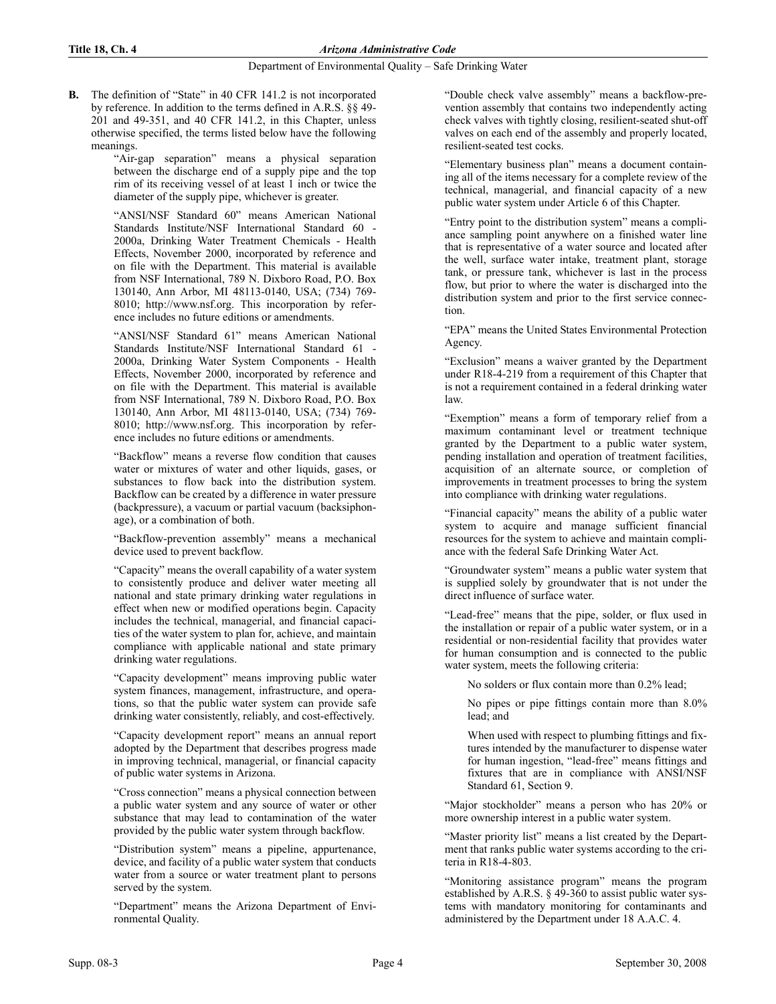B. The definition of "State" in 40 CFR 141.2 is not incorporated by reference. In addition to the terms defined in A.R.S. §§ 49- 201 and 49-351, and 40 CFR 141.2, in this Chapter, unless otherwise specified, the terms listed below have the following meanings.

> "Air-gap separation" means a physical separation between the discharge end of a supply pipe and the top rim of its receiving vessel of at least 1 inch or twice the diameter of the supply pipe, whichever is greater.

> "ANSI/NSF Standard 60" means American National Standards Institute/NSF International Standard 60 - 2000a, Drinking Water Treatment Chemicals - Health Effects, November 2000, incorporated by reference and on file with the Department. This material is available from NSF International, 789 N. Dixboro Road, P.O. Box 130140, Ann Arbor, MI 48113-0140, USA; (734) 769- 8010; http://www.nsf.org. This incorporation by reference includes no future editions or amendments.

> "ANSI/NSF Standard 61" means American National Standards Institute/NSF International Standard 61 - 2000a, Drinking Water System Components - Health Effects, November 2000, incorporated by reference and on file with the Department. This material is available from NSF International, 789 N. Dixboro Road, P.O. Box 130140, Ann Arbor, MI 48113-0140, USA; (734) 769- 8010; http://www.nsf.org. This incorporation by reference includes no future editions or amendments.

> "Backflow" means a reverse flow condition that causes water or mixtures of water and other liquids, gases, or substances to flow back into the distribution system. Backflow can be created by a difference in water pressure (backpressure), a vacuum or partial vacuum (backsiphonage), or a combination of both.

> "Backflow-prevention assembly" means a mechanical device used to prevent backflow.

> "Capacity" means the overall capability of a water system to consistently produce and deliver water meeting all national and state primary drinking water regulations in effect when new or modified operations begin. Capacity includes the technical, managerial, and financial capacities of the water system to plan for, achieve, and maintain compliance with applicable national and state primary drinking water regulations.

> "Capacity development" means improving public water system finances, management, infrastructure, and operations, so that the public water system can provide safe drinking water consistently, reliably, and cost-effectively.

> "Capacity development report" means an annual report adopted by the Department that describes progress made in improving technical, managerial, or financial capacity of public water systems in Arizona.

> "Cross connection" means a physical connection between a public water system and any source of water or other substance that may lead to contamination of the water provided by the public water system through backflow.

> "Distribution system" means a pipeline, appurtenance, device, and facility of a public water system that conducts water from a source or water treatment plant to persons served by the system.

> "Department" means the Arizona Department of Environmental Quality.

"Double check valve assembly" means a backflow-prevention assembly that contains two independently acting check valves with tightly closing, resilient-seated shut-off valves on each end of the assembly and properly located, resilient-seated test cocks.

"Elementary business plan" means a document containing all of the items necessary for a complete review of the technical, managerial, and financial capacity of a new public water system under Article 6 of this Chapter.

"Entry point to the distribution system" means a compliance sampling point anywhere on a finished water line that is representative of a water source and located after the well, surface water intake, treatment plant, storage tank, or pressure tank, whichever is last in the process flow, but prior to where the water is discharged into the distribution system and prior to the first service connection.

"EPA" means the United States Environmental Protection Agency.

"Exclusion" means a waiver granted by the Department under R18-4-219 from a requirement of this Chapter that is not a requirement contained in a federal drinking water law.

"Exemption" means a form of temporary relief from a maximum contaminant level or treatment technique granted by the Department to a public water system, pending installation and operation of treatment facilities, acquisition of an alternate source, or completion of improvements in treatment processes to bring the system into compliance with drinking water regulations.

"Financial capacity" means the ability of a public water system to acquire and manage sufficient financial resources for the system to achieve and maintain compliance with the federal Safe Drinking Water Act.

"Groundwater system" means a public water system that is supplied solely by groundwater that is not under the direct influence of surface water.

"Lead-free" means that the pipe, solder, or flux used in the installation or repair of a public water system, or in a residential or non-residential facility that provides water for human consumption and is connected to the public water system, meets the following criteria:

No solders or flux contain more than 0.2% lead;

No pipes or pipe fittings contain more than 8.0% lead; and

When used with respect to plumbing fittings and fixtures intended by the manufacturer to dispense water for human ingestion, "lead-free" means fittings and fixtures that are in compliance with ANSI/NSF Standard 61, Section 9.

"Major stockholder" means a person who has 20% or more ownership interest in a public water system.

"Master priority list" means a list created by the Department that ranks public water systems according to the criteria in R18-4-803.

"Monitoring assistance program" means the program established by A.R.S. § 49-360 to assist public water systems with mandatory monitoring for contaminants and administered by the Department under 18 A.A.C. 4.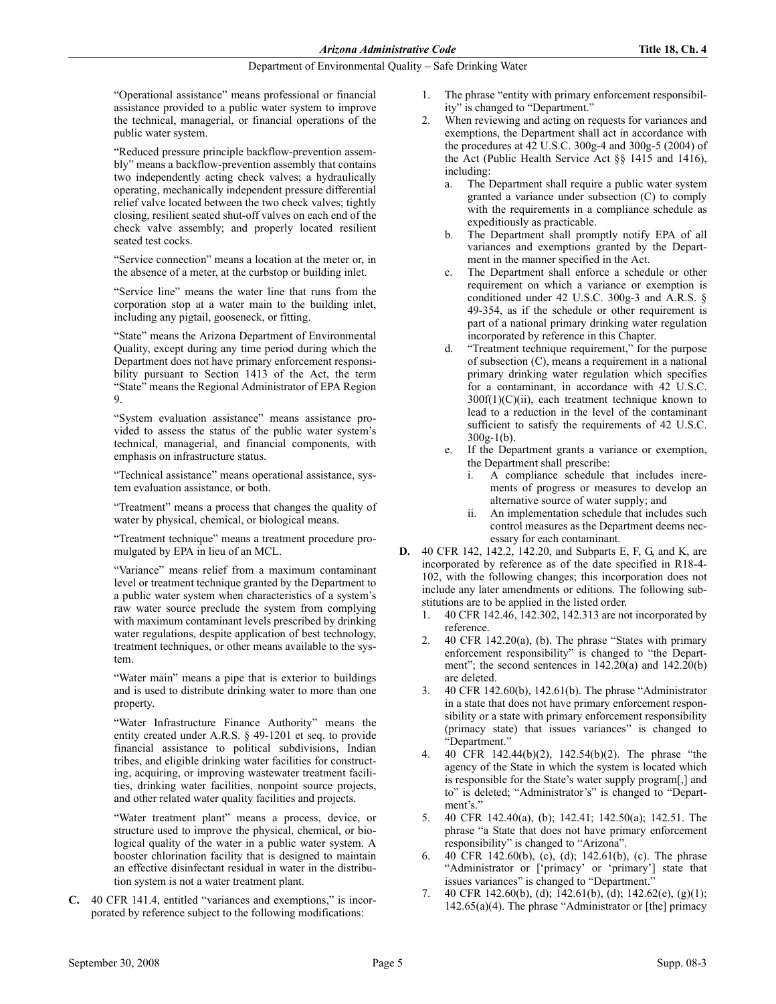"Operational assistance" means professional or financial assistance provided to a public water system to improve the technical, managerial, or financial operations of the public water system.

"Reduced pressure principle backflow-prevention assembly" means a backflow-prevention assembly that contains two independently acting check valves; a hydraulically operating, mechanically independent pressure differential relief valve located between the two check valves; tightly closing, resilient seated shut-off valves on each end of the check valve assembly; and properly located resilient seated test cocks.

"Service connection" means a location at the meter or, in the absence of a meter, at the curbstop or building inlet.

"Service line" means the water line that runs from the corporation stop at a water main to the building inlet, including any pigtail, gooseneck, or fitting.

"State" means the Arizona Department of Environmental Quality, except during any time period during which the Department does not have primary enforcement responsibility pursuant to Section 1413 of the Act, the term "State" means the Regional Administrator of EPA Region 9.

"System evaluation assistance" means assistance provided to assess the status of the public water system's technical, managerial, and financial components, with emphasis on infrastructure status.

"Technical assistance" means operational assistance, system evaluation assistance, or both.

"Treatment" means a process that changes the quality of water by physical, chemical, or biological means.

"Treatment technique" means a treatment procedure promulgated by EPA in lieu of an MCL.

"Variance" means relief from a maximum contaminant level or treatment technique granted by the Department to a public water system when characteristics of a system's raw water source preclude the system from complying with maximum contaminant levels prescribed by drinking water regulations, despite application of best technology, treatment techniques, or other means available to the system.

"Water main" means a pipe that is exterior to buildings and is used to distribute drinking water to more than one property.

"Water Infrastructure Finance Authority" means the entity created under A.R.S. § 49-1201 et seq. to provide financial assistance to political subdivisions, Indian tribes, and eligible drinking water facilities for constructing, acquiring, or improving wastewater treatment facilities, drinking water facilities, nonpoint source projects, and other related water quality facilities and projects.

"Water treatment plant" means a process, device, or structure used to improve the physical, chemical, or biological quality of the water in a public water system. A booster chlorination facility that is designed to maintain an effective disinfectant residual in water in the distribution system is not a water treatment plant.

C. 40 CFR 141.4, entitled "variances and exemptions," is incorporated by reference subject to the following modifications:

- 1. The phrase "entity with primary enforcement responsibility" is changed to "Department."
- 2. When reviewing and acting on requests for variances and exemptions, the Department shall act in accordance with the procedures at 42 U.S.C. 300g-4 and 300g-5 (2004) of the Act (Public Health Service Act §§ 1415 and 1416), including:
	- a. The Department shall require a public water system granted a variance under subsection (C) to comply with the requirements in a compliance schedule as expeditiously as practicable.
	- b. The Department shall promptly notify EPA of all variances and exemptions granted by the Department in the manner specified in the Act.
	- c. The Department shall enforce a schedule or other requirement on which a variance or exemption is conditioned under 42 U.S.C. 300g-3 and A.R.S. § 49-354, as if the schedule or other requirement is part of a national primary drinking water regulation incorporated by reference in this Chapter.
	- d. "Treatment technique requirement," for the purpose of subsection (C), means a requirement in a national primary drinking water regulation which specifies for a contaminant, in accordance with 42 U.S.C. 300f(1)(C)(ii), each treatment technique known to lead to a reduction in the level of the contaminant sufficient to satisfy the requirements of 42 U.S.C. 300g-1(b).
	- e. If the Department grants a variance or exemption, the Department shall prescribe:
		- i. A compliance schedule that includes increments of progress or measures to develop an alternative source of water supply; and
		- ii. An implementation schedule that includes such control measures as the Department deems necessary for each contaminant.
- D. 40 CFR 142, 142.2, 142.20, and Subparts E, F, G, and K, are incorporated by reference as of the date specified in R18-4- 102, with the following changes; this incorporation does not include any later amendments or editions. The following substitutions are to be applied in the listed order.
	- 1. 40 CFR 142.46, 142.302, 142.313 are not incorporated by reference.
	- 2.  $\neq$  40 CFR 142.20(a), (b). The phrase "States with primary enforcement responsibility" is changed to "the Department"; the second sentences in 142.20(a) and 142.20(b) are deleted.
	- 3. 40 CFR 142.60(b), 142.61(b). The phrase "Administrator in a state that does not have primary enforcement responsibility or a state with primary enforcement responsibility (primacy state) that issues variances" is changed to "Department."
	- 4. 40 CFR 142.44(b)(2), 142.54(b)(2). The phrase "the agency of the State in which the system is located which is responsible for the State's water supply program[,] and to" is deleted; "Administrator's" is changed to "Department's."
	- 5. 40 CFR 142.40(a), (b); 142.41; 142.50(a); 142.51. The phrase "a State that does not have primary enforcement responsibility" is changed to "Arizona".
	- 6. 40 CFR 142.60(b), (c), (d); 142.61(b), (c). The phrase "Administrator or ['primacy' or 'primary'] state that issues variances" is changed to "Department."
	- 7. 40 CFR 142.60(b), (d); 142.61(b), (d); 142.62(e), (g)(1); 142.65(a)(4). The phrase "Administrator or [the] primacy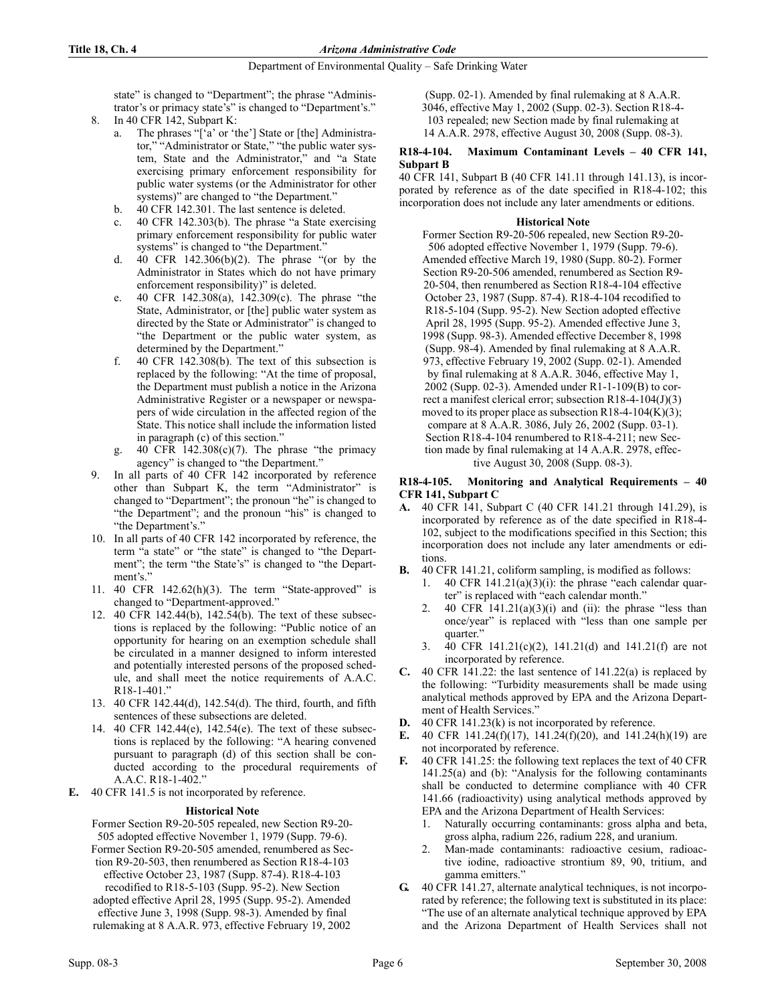state" is changed to "Department"; the phrase "Administrator's or primacy state's" is changed to "Department's."

- 8. In 40 CFR 142, Subpart K:
	- a. The phrases "['a' or 'the'] State or [the] Administrator," "Administrator or State," "the public water system, State and the Administrator," and "a State exercising primary enforcement responsibility for public water systems (or the Administrator for other systems)" are changed to "the Department."
	- b. 40 CFR 142.301. The last sentence is deleted.
	- c. 40 CFR 142.303(b). The phrase "a State exercising primary enforcement responsibility for public water systems" is changed to "the Department."
	- d. 40 CFR 142.306(b)(2). The phrase "(or by the Administrator in States which do not have primary enforcement responsibility)" is deleted.
	- e. 40 CFR 142.308(a), 142.309(c). The phrase "the State, Administrator, or [the] public water system as directed by the State or Administrator" is changed to "the Department or the public water system, as determined by the Department."
	- f. 40 CFR 142.308(b). The text of this subsection is replaced by the following: "At the time of proposal, the Department must publish a notice in the Arizona Administrative Register or a newspaper or newspapers of wide circulation in the affected region of the State. This notice shall include the information listed in paragraph (c) of this section."
	- g. 40 CFR  $142.308(c)(7)$ . The phrase "the primacy" agency" is changed to "the Department."
- 9. In all parts of 40 CFR 142 incorporated by reference other than Subpart K, the term "Administrator" is changed to "Department"; the pronoun "he" is changed to "the Department"; and the pronoun "his" is changed to "the Department's."
- 10. In all parts of 40 CFR 142 incorporated by reference, the term "a state" or "the state" is changed to "the Department"; the term "the State's" is changed to "the Department's."
- 11. 40 CFR 142.62(h)(3). The term "State-approved" is changed to "Department-approved."
- 12. 40 CFR 142.44(b), 142.54(b). The text of these subsections is replaced by the following: "Public notice of an opportunity for hearing on an exemption schedule shall be circulated in a manner designed to inform interested and potentially interested persons of the proposed schedule, and shall meet the notice requirements of A.A.C. R18-1-401."
- 13. 40 CFR 142.44(d), 142.54(d). The third, fourth, and fifth sentences of these subsections are deleted.
- 14. 40 CFR 142.44(e), 142.54(e). The text of these subsections is replaced by the following: "A hearing convened pursuant to paragraph (d) of this section shall be conducted according to the procedural requirements of A.A.C. R18-1-402."
- E. 40 CFR 141.5 is not incorporated by reference.

## **Historical Note**

Former Section R9-20-505 repealed, new Section R9-20- 505 adopted effective November 1, 1979 (Supp. 79-6). Former Section R9-20-505 amended, renumbered as Section R9-20-503, then renumbered as Section R18-4-103 effective October 23, 1987 (Supp. 87-4). R18-4-103 recodified to R18-5-103 (Supp. 95-2). New Section adopted effective April 28, 1995 (Supp. 95-2). Amended effective June 3, 1998 (Supp. 98-3). Amended by final rulemaking at 8 A.A.R. 973, effective February 19, 2002

(Supp. 02-1). Amended by final rulemaking at 8 A.A.R. 3046, effective May 1, 2002 (Supp. 02-3). Section R18-4- 103 repealed; new Section made by final rulemaking at

14 A.A.R. 2978, effective August 30, 2008 (Supp. 08-3).

## R18-4-104. Maximum Contaminant Levels – 40 CFR 141, Subpart B

40 CFR 141, Subpart B (40 CFR 141.11 through 141.13), is incorporated by reference as of the date specified in R18-4-102; this incorporation does not include any later amendments or editions.

## **Historical Note**

Former Section R9-20-506 repealed, new Section R9-20- 506 adopted effective November 1, 1979 (Supp. 79-6). Amended effective March 19, 1980 (Supp. 80-2). Former Section R9-20-506 amended, renumbered as Section R9- 20-504, then renumbered as Section R18-4-104 effective October 23, 1987 (Supp. 87-4). R18-4-104 recodified to R18-5-104 (Supp. 95-2). New Section adopted effective April 28, 1995 (Supp. 95-2). Amended effective June 3, 1998 (Supp. 98-3). Amended effective December 8, 1998 (Supp. 98-4). Amended by final rulemaking at 8 A.A.R. 973, effective February 19, 2002 (Supp. 02-1). Amended by final rulemaking at 8 A.A.R. 3046, effective May 1, 2002 (Supp. 02-3). Amended under R1-1-109(B) to correct a manifest clerical error; subsection R18-4-104(J)(3) moved to its proper place as subsection R18-4-104 $(K)(3)$ ; compare at 8 A.A.R. 3086, July 26, 2002 (Supp. 03-1). Section R18-4-104 renumbered to R18-4-211; new Section made by final rulemaking at 14 A.A.R. 2978, effective August 30, 2008 (Supp. 08-3).

## R18-4-105. Monitoring and Analytical Requirements – 40 CFR 141, Subpart C

- A. 40 CFR 141, Subpart C (40 CFR 141.21 through 141.29), is incorporated by reference as of the date specified in R18-4- 102, subject to the modifications specified in this Section; this incorporation does not include any later amendments or editions.
- B. 40 CFR 141.21, coliform sampling, is modified as follows:
	- 1. 40 CFR  $141.21(a)(3)(i)$ : the phrase "each calendar quarter" is replaced with "each calendar month."
	- 2. 40 CFR  $141.21(a)(3)(i)$  and (ii): the phrase "less than once/year" is replaced with "less than one sample per quarter."
	- 3. 40 CFR 141.21(c)(2), 141.21(d) and 141.21(f) are not incorporated by reference.
- C. 40 CFR 141.22: the last sentence of 141.22(a) is replaced by the following: "Turbidity measurements shall be made using analytical methods approved by EPA and the Arizona Department of Health Services."
- D. 40 CFR 141.23(k) is not incorporated by reference.
- E. 40 CFR 141.24(f)(17), 141.24(f)(20), and 141.24(h)(19) are not incorporated by reference.
- F. 40 CFR 141.25: the following text replaces the text of 40 CFR 141.25(a) and (b): "Analysis for the following contaminants shall be conducted to determine compliance with 40 CFR 141.66 (radioactivity) using analytical methods approved by EPA and the Arizona Department of Health Services:
	- 1. Naturally occurring contaminants: gross alpha and beta, gross alpha, radium 226, radium 228, and uranium.
	- 2. Man-made contaminants: radioactive cesium, radioactive iodine, radioactive strontium 89, 90, tritium, and gamma emitters."
- G. 40 CFR 141.27, alternate analytical techniques, is not incorporated by reference; the following text is substituted in its place: "The use of an alternate analytical technique approved by EPA and the Arizona Department of Health Services shall not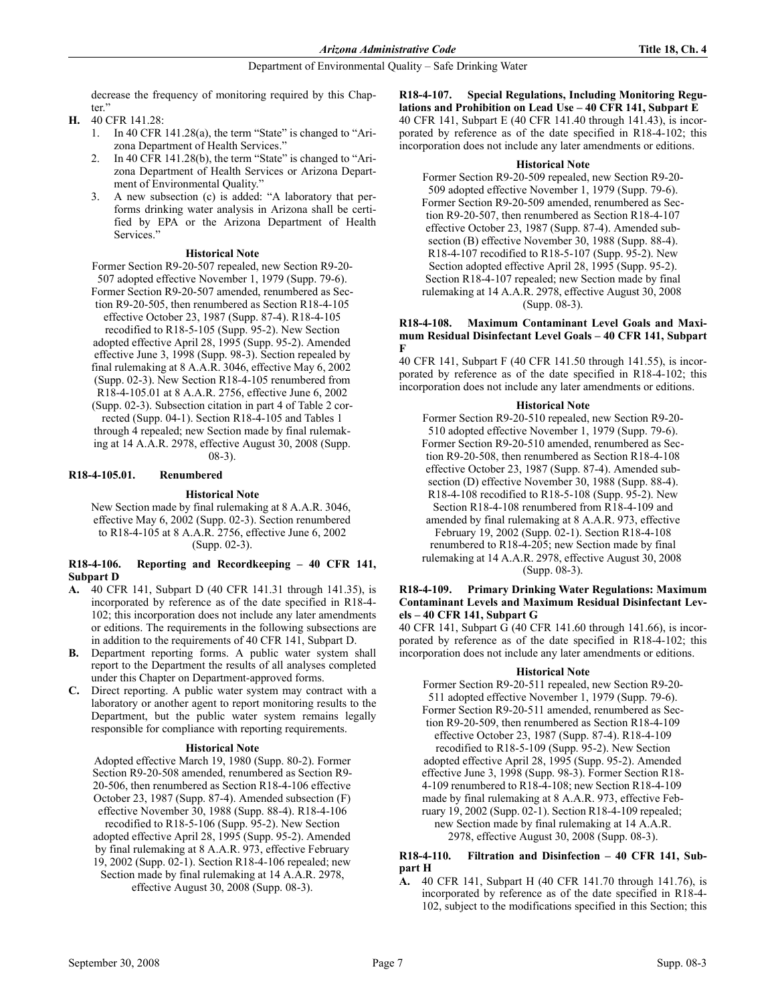decrease the frequency of monitoring required by this Chapter.'

- H. 40 CFR 141.28:
	- 1. In 40 CFR 141.28(a), the term "State" is changed to "Arizona Department of Health Services."
	- 2. In 40 CFR 141.28(b), the term "State" is changed to "Arizona Department of Health Services or Arizona Department of Environmental Quality."
	- 3. A new subsection (c) is added: "A laboratory that performs drinking water analysis in Arizona shall be certified by EPA or the Arizona Department of Health Services."

## **Historical Note**

Former Section R9-20-507 repealed, new Section R9-20- 507 adopted effective November 1, 1979 (Supp. 79-6).

Former Section R9-20-507 amended, renumbered as Section R9-20-505, then renumbered as Section R18-4-105

effective October 23, 1987 (Supp. 87-4). R18-4-105 recodified to R18-5-105 (Supp. 95-2). New Section adopted effective April 28, 1995 (Supp. 95-2). Amended effective June 3, 1998 (Supp. 98-3). Section repealed by final rulemaking at 8 A.A.R. 3046, effective May 6, 2002 (Supp. 02-3). New Section R18-4-105 renumbered from R18-4-105.01 at 8 A.A.R. 2756, effective June 6, 2002

(Supp. 02-3). Subsection citation in part 4 of Table 2 corrected (Supp. 04-1). Section R18-4-105 and Tables 1 through 4 repealed; new Section made by final rulemak-

ing at 14 A.A.R. 2978, effective August 30, 2008 (Supp. 08-3).

## R18-4-105.01. Renumbered

## **Historical Note**

New Section made by final rulemaking at 8 A.A.R. 3046, effective May 6, 2002 (Supp. 02-3). Section renumbered to R18-4-105 at 8 A.A.R. 2756, effective June 6, 2002 (Supp. 02-3).

## R18-4-106. Reporting and Recordkeeping – 40 CFR 141, Subpart D

- A. 40 CFR 141, Subpart D (40 CFR 141.31 through 141.35), is incorporated by reference as of the date specified in R18-4- 102; this incorporation does not include any later amendments or editions. The requirements in the following subsections are in addition to the requirements of 40 CFR 141, Subpart D.
- B. Department reporting forms. A public water system shall report to the Department the results of all analyses completed under this Chapter on Department-approved forms.
- C. Direct reporting. A public water system may contract with a laboratory or another agent to report monitoring results to the Department, but the public water system remains legally responsible for compliance with reporting requirements.

## **Historical Note**

Adopted effective March 19, 1980 (Supp. 80-2). Former Section R9-20-508 amended, renumbered as Section R9- 20-506, then renumbered as Section R18-4-106 effective October 23, 1987 (Supp. 87-4). Amended subsection (F) effective November 30, 1988 (Supp. 88-4). R18-4-106 recodified to R18-5-106 (Supp. 95-2). New Section adopted effective April 28, 1995 (Supp. 95-2). Amended by final rulemaking at 8 A.A.R. 973, effective February 19, 2002 (Supp. 02-1). Section R18-4-106 repealed; new Section made by final rulemaking at 14 A.A.R. 2978, effective August 30, 2008 (Supp. 08-3).

#### R18-4-107. Special Regulations, Including Monitoring Regulations and Prohibition on Lead Use – 40 CFR 141, Subpart E 40 CFR 141, Subpart E (40 CFR 141.40 through 141.43), is incor-

porated by reference as of the date specified in R18-4-102; this incorporation does not include any later amendments or editions.

## **Historical Note**

Former Section R9-20-509 repealed, new Section R9-20- 509 adopted effective November 1, 1979 (Supp. 79-6). Former Section R9-20-509 amended, renumbered as Section R9-20-507, then renumbered as Section R18-4-107 effective October 23, 1987 (Supp. 87-4). Amended subsection (B) effective November 30, 1988 (Supp. 88-4). R18-4-107 recodified to R18-5-107 (Supp. 95-2). New Section adopted effective April 28, 1995 (Supp. 95-2). Section R18-4-107 repealed; new Section made by final rulemaking at 14 A.A.R. 2978, effective August 30, 2008 (Supp. 08-3).

## R18-4-108. Maximum Contaminant Level Goals and Maximum Residual Disinfectant Level Goals – 40 CFR 141, Subpart F

40 CFR 141, Subpart F (40 CFR 141.50 through 141.55), is incorporated by reference as of the date specified in R18-4-102; this incorporation does not include any later amendments or editions.

## **Historical Note**

Former Section R9-20-510 repealed, new Section R9-20- 510 adopted effective November 1, 1979 (Supp. 79-6). Former Section R9-20-510 amended, renumbered as Section R9-20-508, then renumbered as Section R18-4-108 effective October 23, 1987 (Supp. 87-4). Amended subsection (D) effective November 30, 1988 (Supp. 88-4). R18-4-108 recodified to R18-5-108 (Supp. 95-2). New Section R18-4-108 renumbered from R18-4-109 and amended by final rulemaking at 8 A.A.R. 973, effective February 19, 2002 (Supp. 02-1). Section R18-4-108 renumbered to R18-4-205; new Section made by final rulemaking at 14 A.A.R. 2978, effective August 30, 2008 (Supp. 08-3).

### R18-4-109. Primary Drinking Water Regulations: Maximum Contaminant Levels and Maximum Residual Disinfectant Levels – 40 CFR 141, Subpart G

40 CFR 141, Subpart G (40 CFR 141.60 through 141.66), is incorporated by reference as of the date specified in R18-4-102; this incorporation does not include any later amendments or editions.

## **Historical Note**

Former Section R9-20-511 repealed, new Section R9-20- 511 adopted effective November 1, 1979 (Supp. 79-6). Former Section R9-20-511 amended, renumbered as Section R9-20-509, then renumbered as Section R18-4-109 effective October 23, 1987 (Supp. 87-4). R18-4-109 recodified to R18-5-109 (Supp. 95-2). New Section adopted effective April 28, 1995 (Supp. 95-2). Amended effective June 3, 1998 (Supp. 98-3). Former Section R18- 4-109 renumbered to R18-4-108; new Section R18-4-109 made by final rulemaking at 8 A.A.R. 973, effective February 19, 2002 (Supp. 02-1). Section R18-4-109 repealed; new Section made by final rulemaking at 14 A.A.R. 2978, effective August 30, 2008 (Supp. 08-3).

## R18-4-110. Filtration and Disinfection – 40 CFR 141, Subpart H

A. 40 CFR 141, Subpart H (40 CFR 141.70 through 141.76), is incorporated by reference as of the date specified in R18-4- 102, subject to the modifications specified in this Section; this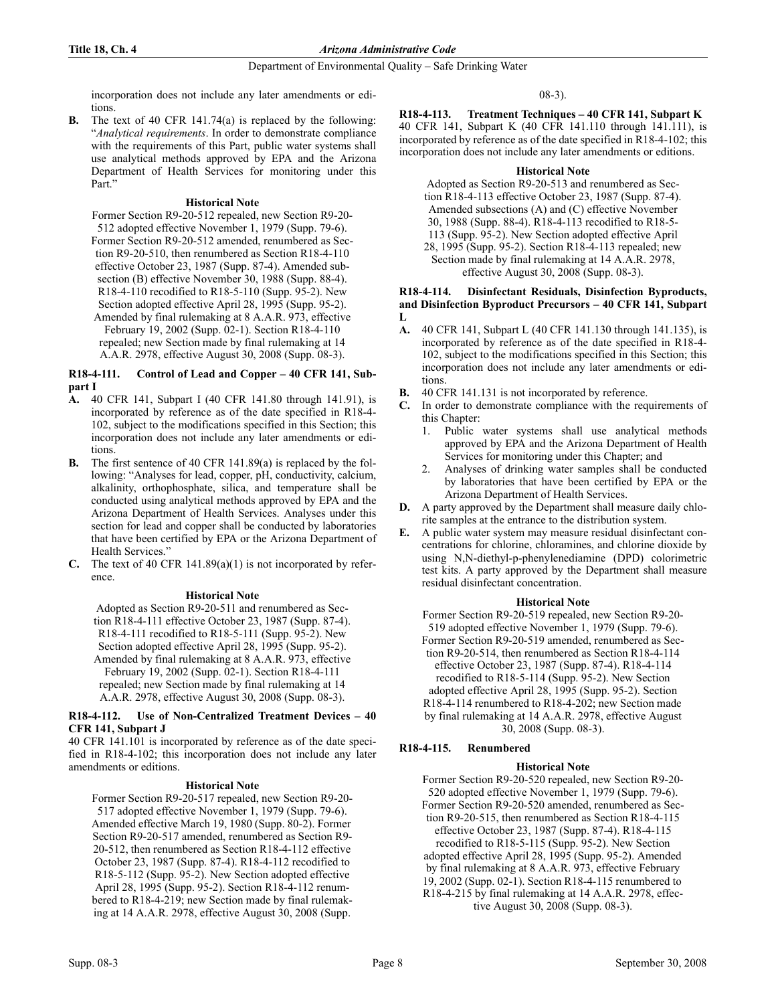incorporation does not include any later amendments or editions.

B. The text of 40 CFR 141.74(a) is replaced by the following: "Analytical requirements. In order to demonstrate compliance with the requirements of this Part, public water systems shall use analytical methods approved by EPA and the Arizona Department of Health Services for monitoring under this Part."

## **Historical Note**

Former Section R9-20-512 repealed, new Section R9-20- 512 adopted effective November 1, 1979 (Supp. 79-6). Former Section R9-20-512 amended, renumbered as Section R9-20-510, then renumbered as Section R18-4-110 effective October 23, 1987 (Supp. 87-4). Amended subsection (B) effective November 30, 1988 (Supp. 88-4). R18-4-110 recodified to R18-5-110 (Supp. 95-2). New Section adopted effective April 28, 1995 (Supp. 95-2). Amended by final rulemaking at 8 A.A.R. 973, effective February 19, 2002 (Supp. 02-1). Section R18-4-110 repealed; new Section made by final rulemaking at 14 A.A.R. 2978, effective August 30, 2008 (Supp. 08-3).

### R18-4-111. Control of Lead and Copper – 40 CFR 141, Subpart I

- A. 40 CFR 141, Subpart I (40 CFR 141.80 through 141.91), is incorporated by reference as of the date specified in R18-4- 102, subject to the modifications specified in this Section; this incorporation does not include any later amendments or editions.
- B. The first sentence of 40 CFR 141.89(a) is replaced by the following: "Analyses for lead, copper, pH, conductivity, calcium, alkalinity, orthophosphate, silica, and temperature shall be conducted using analytical methods approved by EPA and the Arizona Department of Health Services. Analyses under this section for lead and copper shall be conducted by laboratories that have been certified by EPA or the Arizona Department of Health Services."
- C. The text of 40 CFR  $141.89(a)(1)$  is not incorporated by reference.

## **Historical Note**

Adopted as Section R9-20-511 and renumbered as Section R18-4-111 effective October 23, 1987 (Supp. 87-4). R18-4-111 recodified to R18-5-111 (Supp. 95-2). New Section adopted effective April 28, 1995 (Supp. 95-2). Amended by final rulemaking at 8 A.A.R. 973, effective February 19, 2002 (Supp. 02-1). Section R18-4-111 repealed; new Section made by final rulemaking at 14 A.A.R. 2978, effective August 30, 2008 (Supp. 08-3).

## R18-4-112. Use of Non-Centralized Treatment Devices  $-40$ CFR 141, Subpart J

40 CFR 141.101 is incorporated by reference as of the date specified in R18-4-102; this incorporation does not include any later amendments or editions.

## **Historical Note**

Former Section R9-20-517 repealed, new Section R9-20- 517 adopted effective November 1, 1979 (Supp. 79-6). Amended effective March 19, 1980 (Supp. 80-2). Former Section R9-20-517 amended, renumbered as Section R9- 20-512, then renumbered as Section R18-4-112 effective October 23, 1987 (Supp. 87-4). R18-4-112 recodified to R18-5-112 (Supp. 95-2). New Section adopted effective April 28, 1995 (Supp. 95-2). Section R18-4-112 renumbered to R18-4-219; new Section made by final rulemaking at 14 A.A.R. 2978, effective August 30, 2008 (Supp.

08-3).

R18-4-113. Treatment Techniques – 40 CFR 141, Subpart K 40 CFR 141, Subpart K (40 CFR 141.110 through 141.111), is incorporated by reference as of the date specified in R18-4-102; this incorporation does not include any later amendments or editions.

## **Historical Note**

Adopted as Section R9-20-513 and renumbered as Section R18-4-113 effective October 23, 1987 (Supp. 87-4). Amended subsections (A) and (C) effective November 30, 1988 (Supp. 88-4). R18-4-113 recodified to R18-5- 113 (Supp. 95-2). New Section adopted effective April 28, 1995 (Supp. 95-2). Section R18-4-113 repealed; new Section made by final rulemaking at 14 A.A.R. 2978, effective August 30, 2008 (Supp. 08-3).

#### R18-4-114. Disinfectant Residuals, Disinfection Byproducts, and Disinfection Byproduct Precursors – 40 CFR 141, Subpart  $L$

- A. 40 CFR 141, Subpart L (40 CFR 141.130 through 141.135), is incorporated by reference as of the date specified in R18-4- 102, subject to the modifications specified in this Section; this incorporation does not include any later amendments or editions.
- B. 40 CFR 141.131 is not incorporated by reference.
- C. In order to demonstrate compliance with the requirements of this Chapter:
	- 1. Public water systems shall use analytical methods approved by EPA and the Arizona Department of Health Services for monitoring under this Chapter; and
	- 2. Analyses of drinking water samples shall be conducted by laboratories that have been certified by EPA or the Arizona Department of Health Services.
- D. A party approved by the Department shall measure daily chlorite samples at the entrance to the distribution system.
- E. A public water system may measure residual disinfectant concentrations for chlorine, chloramines, and chlorine dioxide by using N,N-diethyl-p-phenylenediamine (DPD) colorimetric test kits. A party approved by the Department shall measure residual disinfectant concentration.

## **Historical Note**

Former Section R9-20-519 repealed, new Section R9-20- 519 adopted effective November 1, 1979 (Supp. 79-6). Former Section R9-20-519 amended, renumbered as Section R9-20-514, then renumbered as Section R18-4-114 effective October 23, 1987 (Supp. 87-4). R18-4-114 recodified to R18-5-114 (Supp. 95-2). New Section adopted effective April 28, 1995 (Supp. 95-2). Section R18-4-114 renumbered to R18-4-202; new Section made by final rulemaking at 14 A.A.R. 2978, effective August 30, 2008 (Supp. 08-3).

## R18-4-115. Renumbered

## **Historical Note**

Former Section R9-20-520 repealed, new Section R9-20- 520 adopted effective November 1, 1979 (Supp. 79-6). Former Section R9-20-520 amended, renumbered as Section R9-20-515, then renumbered as Section R18-4-115

effective October 23, 1987 (Supp. 87-4). R18-4-115

recodified to R18-5-115 (Supp. 95-2). New Section adopted effective April 28, 1995 (Supp. 95-2). Amended by final rulemaking at 8 A.A.R. 973, effective February 19, 2002 (Supp. 02-1). Section R18-4-115 renumbered to R18-4-215 by final rulemaking at 14 A.A.R. 2978, effective August 30, 2008 (Supp. 08-3).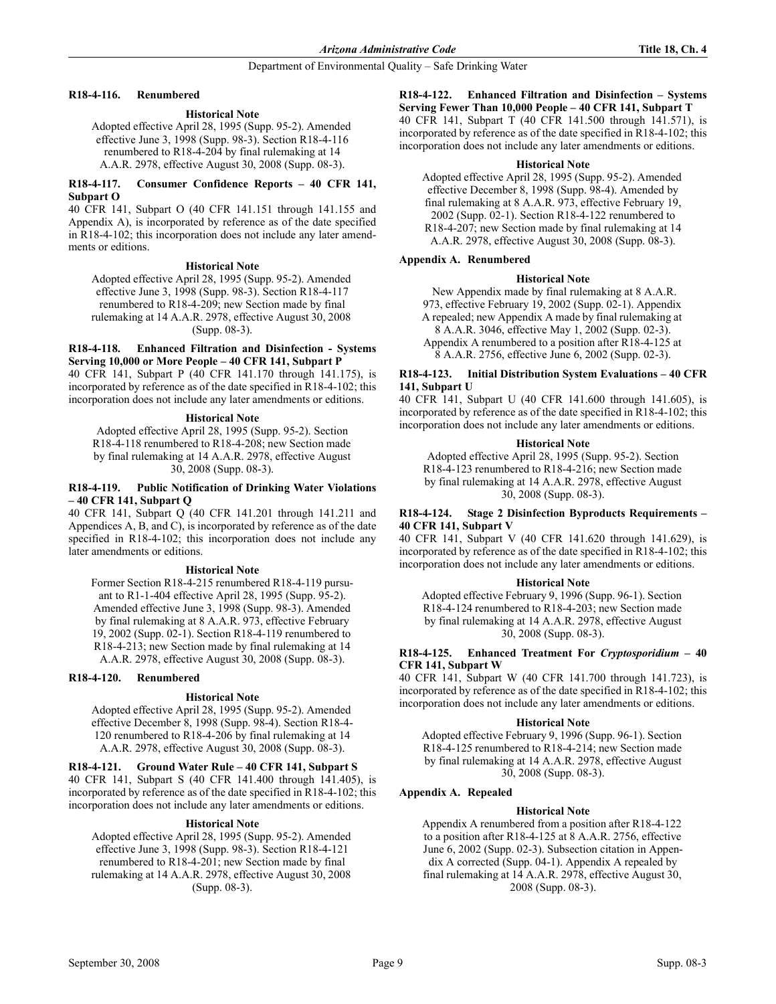## R18-4-116. Renumbered

## **Historical Note**

Adopted effective April 28, 1995 (Supp. 95-2). Amended effective June 3, 1998 (Supp. 98-3). Section R18-4-116 renumbered to R18-4-204 by final rulemaking at 14 A.A.R. 2978, effective August 30, 2008 (Supp. 08-3).

## R18-4-117. Consumer Confidence Reports – 40 CFR 141, Subpart O

40 CFR 141, Subpart O (40 CFR 141.151 through 141.155 and Appendix A), is incorporated by reference as of the date specified in R18-4-102; this incorporation does not include any later amendments or editions.

## **Historical Note**

Adopted effective April 28, 1995 (Supp. 95-2). Amended effective June 3, 1998 (Supp. 98-3). Section R18-4-117 renumbered to R18-4-209; new Section made by final rulemaking at 14 A.A.R. 2978, effective August 30, 2008 (Supp. 08-3).

R18-4-118. Enhanced Filtration and Disinfection - Systems Serving 10,000 or More People – 40 CFR 141, Subpart P

40 CFR 141, Subpart P (40 CFR 141.170 through 141.175), is incorporated by reference as of the date specified in R18-4-102; this incorporation does not include any later amendments or editions.

## **Historical Note**

Adopted effective April 28, 1995 (Supp. 95-2). Section R18-4-118 renumbered to R18-4-208; new Section made by final rulemaking at 14 A.A.R. 2978, effective August 30, 2008 (Supp. 08-3).

## R18-4-119. Public Notification of Drinking Water Violations – 40 CFR 141, Subpart Q

40 CFR 141, Subpart Q (40 CFR 141.201 through 141.211 and Appendices A, B, and C), is incorporated by reference as of the date specified in R18-4-102; this incorporation does not include any later amendments or editions.

## **Historical Note**

Former Section R18-4-215 renumbered R18-4-119 pursuant to R1-1-404 effective April 28, 1995 (Supp. 95-2). Amended effective June 3, 1998 (Supp. 98-3). Amended by final rulemaking at 8 A.A.R. 973, effective February 19, 2002 (Supp. 02-1). Section R18-4-119 renumbered to R18-4-213; new Section made by final rulemaking at 14 A.A.R. 2978, effective August 30, 2008 (Supp. 08-3).

## R18-4-120. Renumbered

## **Historical Note**

Adopted effective April 28, 1995 (Supp. 95-2). Amended effective December 8, 1998 (Supp. 98-4). Section R18-4- 120 renumbered to R18-4-206 by final rulemaking at 14 A.A.R. 2978, effective August 30, 2008 (Supp. 08-3).

R18-4-121. Ground Water Rule – 40 CFR 141, Subpart S 40 CFR 141, Subpart S (40 CFR 141.400 through 141.405), is incorporated by reference as of the date specified in R18-4-102; this incorporation does not include any later amendments or editions.

## **Historical Note**

Adopted effective April 28, 1995 (Supp. 95-2). Amended effective June 3, 1998 (Supp. 98-3). Section R18-4-121 renumbered to R18-4-201; new Section made by final rulemaking at 14 A.A.R. 2978, effective August 30, 2008 (Supp. 08-3).

## R18-4-122. Enhanced Filtration and Disinfection – Systems Serving Fewer Than 10,000 People – 40 CFR 141, Subpart T

40 CFR 141, Subpart T (40 CFR 141.500 through 141.571), is incorporated by reference as of the date specified in R18-4-102; this incorporation does not include any later amendments or editions.

### **Historical Note**

Adopted effective April 28, 1995 (Supp. 95-2). Amended effective December 8, 1998 (Supp. 98-4). Amended by final rulemaking at 8 A.A.R. 973, effective February 19, 2002 (Supp. 02-1). Section R18-4-122 renumbered to R18-4-207; new Section made by final rulemaking at 14 A.A.R. 2978, effective August 30, 2008 (Supp. 08-3).

## Appendix A. Renumbered

## **Historical Note**

 New Appendix made by final rulemaking at 8 A.A.R. 973, effective February 19, 2002 (Supp. 02-1). Appendix A repealed; new Appendix A made by final rulemaking at 8 A.A.R. 3046, effective May 1, 2002 (Supp. 02-3). Appendix A renumbered to a position after R18-4-125 at 8 A.A.R. 2756, effective June 6, 2002 (Supp. 02-3).

#### R18-4-123. Initial Distribution System Evaluations – 40 CFR 141, Subpart U

40 CFR 141, Subpart U (40 CFR 141.600 through 141.605), is incorporated by reference as of the date specified in R18-4-102; this incorporation does not include any later amendments or editions.

## **Historical Note**

Adopted effective April 28, 1995 (Supp. 95-2). Section R18-4-123 renumbered to R18-4-216; new Section made by final rulemaking at 14 A.A.R. 2978, effective August 30, 2008 (Supp. 08-3).

## R18-4-124. Stage 2 Disinfection Byproducts Requirements – 40 CFR 141, Subpart V

40 CFR 141, Subpart V (40 CFR 141.620 through 141.629), is incorporated by reference as of the date specified in R18-4-102; this incorporation does not include any later amendments or editions.

## **Historical Note**

Adopted effective February 9, 1996 (Supp. 96-1). Section R18-4-124 renumbered to R18-4-203; new Section made by final rulemaking at 14 A.A.R. 2978, effective August 30, 2008 (Supp. 08-3).

#### R18-4-125. Enhanced Treatment For Cryptosporidium – 40 CFR 141, Subpart W

40 CFR 141, Subpart W (40 CFR 141.700 through 141.723), is incorporated by reference as of the date specified in R18-4-102; this incorporation does not include any later amendments or editions.

## **Historical Note**

Adopted effective February 9, 1996 (Supp. 96-1). Section R18-4-125 renumbered to R18-4-214; new Section made by final rulemaking at 14 A.A.R. 2978, effective August 30, 2008 (Supp. 08-3).

## Appendix A. Repealed

## **Historical Note**

Appendix A renumbered from a position after R18-4-122 to a position after R18-4-125 at 8 A.A.R. 2756, effective June 6, 2002 (Supp. 02-3). Subsection citation in Appendix A corrected (Supp. 04-1). Appendix A repealed by final rulemaking at 14 A.A.R. 2978, effective August 30, 2008 (Supp. 08-3).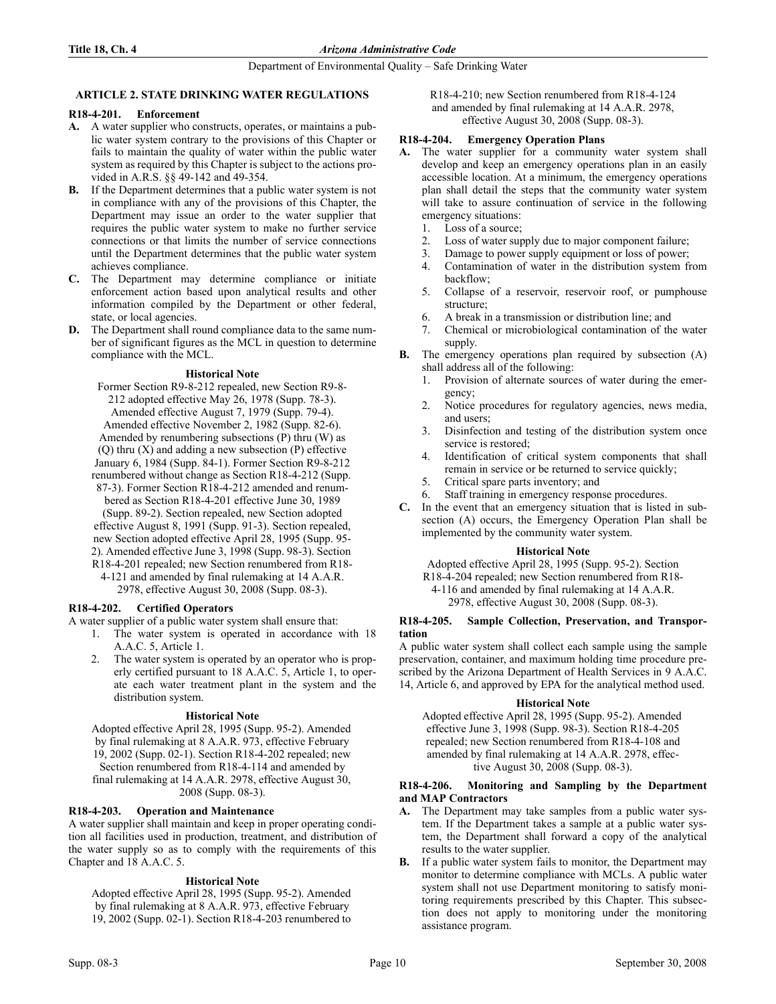## ARTICLE 2. STATE DRINKING WATER REGULATIONS

## R18-4-201. Enforcement

- A. A water supplier who constructs, operates, or maintains a public water system contrary to the provisions of this Chapter or fails to maintain the quality of water within the public water system as required by this Chapter is subject to the actions provided in A.R.S. §§ 49-142 and 49-354.
- B. If the Department determines that a public water system is not in compliance with any of the provisions of this Chapter, the Department may issue an order to the water supplier that requires the public water system to make no further service connections or that limits the number of service connections until the Department determines that the public water system achieves compliance.
- C. The Department may determine compliance or initiate enforcement action based upon analytical results and other information compiled by the Department or other federal, state, or local agencies.
- D. The Department shall round compliance data to the same number of significant figures as the MCL in question to determine compliance with the MCL.

## **Historical Note**

Former Section R9-8-212 repealed, new Section R9-8- 212 adopted effective May 26, 1978 (Supp. 78-3). Amended effective August 7, 1979 (Supp. 79-4). Amended effective November 2, 1982 (Supp. 82-6). Amended by renumbering subsections (P) thru (W) as (Q) thru (X) and adding a new subsection (P) effective January 6, 1984 (Supp. 84-1). Former Section R9-8-212 renumbered without change as Section R18-4-212 (Supp. 87-3). Former Section R18-4-212 amended and renumbered as Section R18-4-201 effective June 30, 1989 (Supp. 89-2). Section repealed, new Section adopted effective August 8, 1991 (Supp. 91-3). Section repealed, new Section adopted effective April 28, 1995 (Supp. 95- 2). Amended effective June 3, 1998 (Supp. 98-3). Section R18-4-201 repealed; new Section renumbered from R18-

4-121 and amended by final rulemaking at 14 A.A.R. 2978, effective August 30, 2008 (Supp. 08-3).

## R18-4-202. Certified Operators

- A water supplier of a public water system shall ensure that:
	- 1. The water system is operated in accordance with 18 A.A.C. 5, Article 1.
	- 2. The water system is operated by an operator who is properly certified pursuant to 18 A.A.C. 5, Article 1, to operate each water treatment plant in the system and the distribution system.

## **Historical Note**

Adopted effective April 28, 1995 (Supp. 95-2). Amended by final rulemaking at 8 A.A.R. 973, effective February 19, 2002 (Supp. 02-1). Section R18-4-202 repealed; new Section renumbered from R18-4-114 and amended by final rulemaking at 14 A.A.R. 2978, effective August 30, 2008 (Supp. 08-3).

## R18-4-203. Operation and Maintenance

A water supplier shall maintain and keep in proper operating condition all facilities used in production, treatment, and distribution of the water supply so as to comply with the requirements of this Chapter and 18 A.A.C. 5.

## **Historical Note**

Adopted effective April 28, 1995 (Supp. 95-2). Amended by final rulemaking at 8 A.A.R. 973, effective February 19, 2002 (Supp. 02-1). Section R18-4-203 renumbered to

R18-4-210; new Section renumbered from R18-4-124 and amended by final rulemaking at 14 A.A.R. 2978, effective August 30, 2008 (Supp. 08-3).

## R18-4-204. Emergency Operation Plans

- A. The water supplier for a community water system shall develop and keep an emergency operations plan in an easily accessible location. At a minimum, the emergency operations plan shall detail the steps that the community water system will take to assure continuation of service in the following emergency situations:
	- 1. Loss of a source;
	- 2. Loss of water supply due to major component failure;
	- 3. Damage to power supply equipment or loss of power;
	- 4. Contamination of water in the distribution system from backflow;
	- 5. Collapse of a reservoir, reservoir roof, or pumphouse structure;
	- 6. A break in a transmission or distribution line; and
	- 7. Chemical or microbiological contamination of the water supply.
- B. The emergency operations plan required by subsection (A) shall address all of the following:
	- 1. Provision of alternate sources of water during the emergency;
	- 2. Notice procedures for regulatory agencies, news media, and users;
	- 3. Disinfection and testing of the distribution system once service is restored;
	- 4. Identification of critical system components that shall remain in service or be returned to service quickly;
	- 5. Critical spare parts inventory; and
	- Staff training in emergency response procedures.
- C. In the event that an emergency situation that is listed in subsection (A) occurs, the Emergency Operation Plan shall be implemented by the community water system.

## **Historical Note**

Adopted effective April 28, 1995 (Supp. 95-2). Section

R18-4-204 repealed; new Section renumbered from R18-

4-116 and amended by final rulemaking at 14 A.A.R.

2978, effective August 30, 2008 (Supp. 08-3).

#### R18-4-205. Sample Collection, Preservation, and Transportation

A public water system shall collect each sample using the sample preservation, container, and maximum holding time procedure prescribed by the Arizona Department of Health Services in 9 A.A.C. 14, Article 6, and approved by EPA for the analytical method used.

## **Historical Note**

Adopted effective April 28, 1995 (Supp. 95-2). Amended effective June 3, 1998 (Supp. 98-3). Section R18-4-205 repealed; new Section renumbered from R18-4-108 and amended by final rulemaking at 14 A.A.R. 2978, effective August 30, 2008 (Supp. 08-3).

## R18-4-206. Monitoring and Sampling by the Department and MAP Contractors

- A. The Department may take samples from a public water system. If the Department takes a sample at a public water system, the Department shall forward a copy of the analytical results to the water supplier.
- B. If a public water system fails to monitor, the Department may monitor to determine compliance with MCLs. A public water system shall not use Department monitoring to satisfy monitoring requirements prescribed by this Chapter. This subsection does not apply to monitoring under the monitoring assistance program.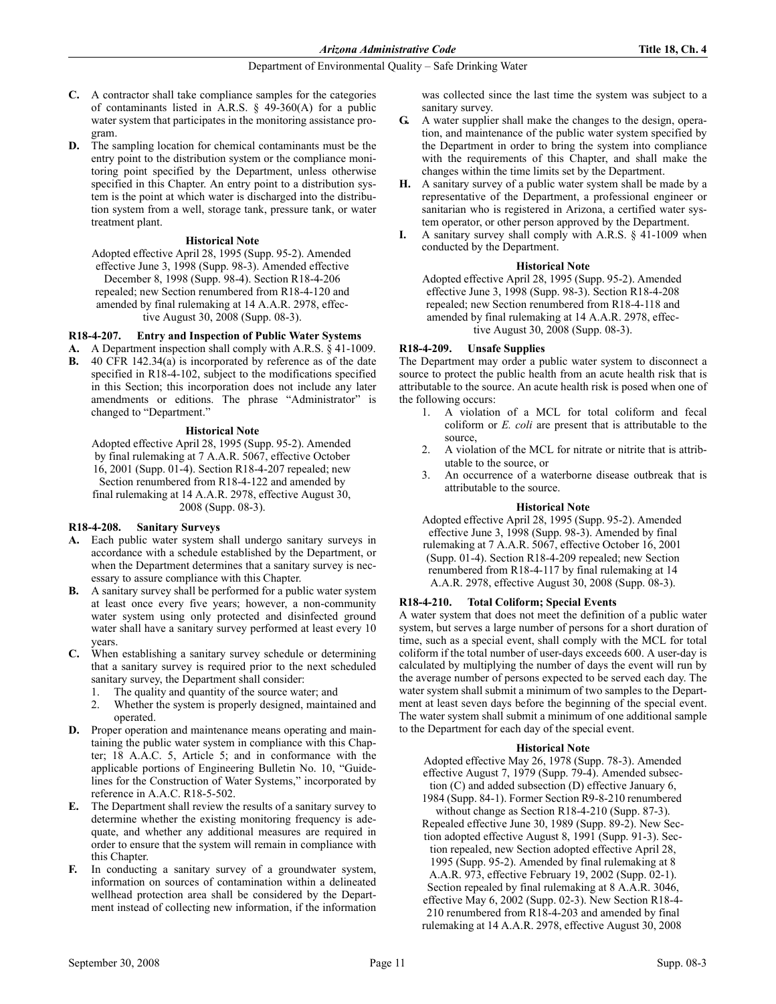- C. A contractor shall take compliance samples for the categories of contaminants listed in A.R.S. § 49-360(A) for a public water system that participates in the monitoring assistance program.
- D. The sampling location for chemical contaminants must be the entry point to the distribution system or the compliance monitoring point specified by the Department, unless otherwise specified in this Chapter. An entry point to a distribution system is the point at which water is discharged into the distribution system from a well, storage tank, pressure tank, or water treatment plant.

## **Historical Note**

Adopted effective April 28, 1995 (Supp. 95-2). Amended effective June 3, 1998 (Supp. 98-3). Amended effective December 8, 1998 (Supp. 98-4). Section R18-4-206 repealed; new Section renumbered from R18-4-120 and amended by final rulemaking at 14 A.A.R. 2978, effective August 30, 2008 (Supp. 08-3).

## R18-4-207. Entry and Inspection of Public Water Systems

- A. A Department inspection shall comply with A.R.S. § 41-1009.
- 40 CFR  $142.34(a)$  is incorporated by reference as of the date specified in R18-4-102, subject to the modifications specified in this Section; this incorporation does not include any later amendments or editions. The phrase "Administrator" is changed to "Department."

## **Historical Note**

Adopted effective April 28, 1995 (Supp. 95-2). Amended by final rulemaking at 7 A.A.R. 5067, effective October 16, 2001 (Supp. 01-4). Section R18-4-207 repealed; new Section renumbered from R18-4-122 and amended by final rulemaking at 14 A.A.R. 2978, effective August 30, 2008 (Supp. 08-3).

## R18-4-208. Sanitary Surveys

- A. Each public water system shall undergo sanitary surveys in accordance with a schedule established by the Department, or when the Department determines that a sanitary survey is necessary to assure compliance with this Chapter.
- B. A sanitary survey shall be performed for a public water system at least once every five years; however, a non-community water system using only protected and disinfected ground water shall have a sanitary survey performed at least every 10 years.
- C. When establishing a sanitary survey schedule or determining that a sanitary survey is required prior to the next scheduled sanitary survey, the Department shall consider:
	- 1. The quality and quantity of the source water; and
	- 2. Whether the system is properly designed, maintained and operated.
- D. Proper operation and maintenance means operating and maintaining the public water system in compliance with this Chapter; 18 A.A.C. 5, Article 5; and in conformance with the applicable portions of Engineering Bulletin No. 10, "Guidelines for the Construction of Water Systems," incorporated by reference in A.A.C. R18-5-502.
- E. The Department shall review the results of a sanitary survey to determine whether the existing monitoring frequency is adequate, and whether any additional measures are required in order to ensure that the system will remain in compliance with this Chapter.
- F. In conducting a sanitary survey of a groundwater system, information on sources of contamination within a delineated wellhead protection area shall be considered by the Department instead of collecting new information, if the information

was collected since the last time the system was subject to a sanitary survey.

- G. A water supplier shall make the changes to the design, operation, and maintenance of the public water system specified by the Department in order to bring the system into compliance with the requirements of this Chapter, and shall make the changes within the time limits set by the Department.
- H. A sanitary survey of a public water system shall be made by a representative of the Department, a professional engineer or sanitarian who is registered in Arizona, a certified water system operator, or other person approved by the Department.
- I. A sanitary survey shall comply with A.R.S. § 41-1009 when conducted by the Department.

## **Historical Note**

Adopted effective April 28, 1995 (Supp. 95-2). Amended effective June 3, 1998 (Supp. 98-3). Section R18-4-208 repealed; new Section renumbered from R18-4-118 and amended by final rulemaking at 14 A.A.R. 2978, effective August 30, 2008 (Supp. 08-3).

## R18-4-209. Unsafe Supplies

The Department may order a public water system to disconnect a source to protect the public health from an acute health risk that is attributable to the source. An acute health risk is posed when one of the following occurs:

- 1. A violation of a MCL for total coliform and fecal coliform or E. coli are present that is attributable to the source,
- 2. A violation of the MCL for nitrate or nitrite that is attributable to the source, or
- 3. An occurrence of a waterborne disease outbreak that is attributable to the source.

## **Historical Note**

Adopted effective April 28, 1995 (Supp. 95-2). Amended effective June 3, 1998 (Supp. 98-3). Amended by final rulemaking at 7 A.A.R. 5067, effective October 16, 2001 (Supp. 01-4). Section R18-4-209 repealed; new Section renumbered from R18-4-117 by final rulemaking at 14 A.A.R. 2978, effective August 30, 2008 (Supp. 08-3).

## R18-4-210. Total Coliform; Special Events

A water system that does not meet the definition of a public water system, but serves a large number of persons for a short duration of time, such as a special event, shall comply with the MCL for total coliform if the total number of user-days exceeds 600. A user-day is calculated by multiplying the number of days the event will run by the average number of persons expected to be served each day. The water system shall submit a minimum of two samples to the Department at least seven days before the beginning of the special event. The water system shall submit a minimum of one additional sample to the Department for each day of the special event.

## **Historical Note**

Adopted effective May 26, 1978 (Supp. 78-3). Amended effective August 7, 1979 (Supp. 79-4). Amended subsection (C) and added subsection (D) effective January 6,

1984 (Supp. 84-1). Former Section R9-8-210 renumbered without change as Section R18-4-210 (Supp. 87-3). Repealed effective June 30, 1989 (Supp. 89-2). New Section adopted effective August 8, 1991 (Supp. 91-3). Section repealed, new Section adopted effective April 28,

1995 (Supp. 95-2). Amended by final rulemaking at 8 A.A.R. 973, effective February 19, 2002 (Supp. 02-1). Section repealed by final rulemaking at 8 A.A.R. 3046, effective May 6, 2002 (Supp. 02-3). New Section R18-4- 210 renumbered from R18-4-203 and amended by final rulemaking at 14 A.A.R. 2978, effective August 30, 2008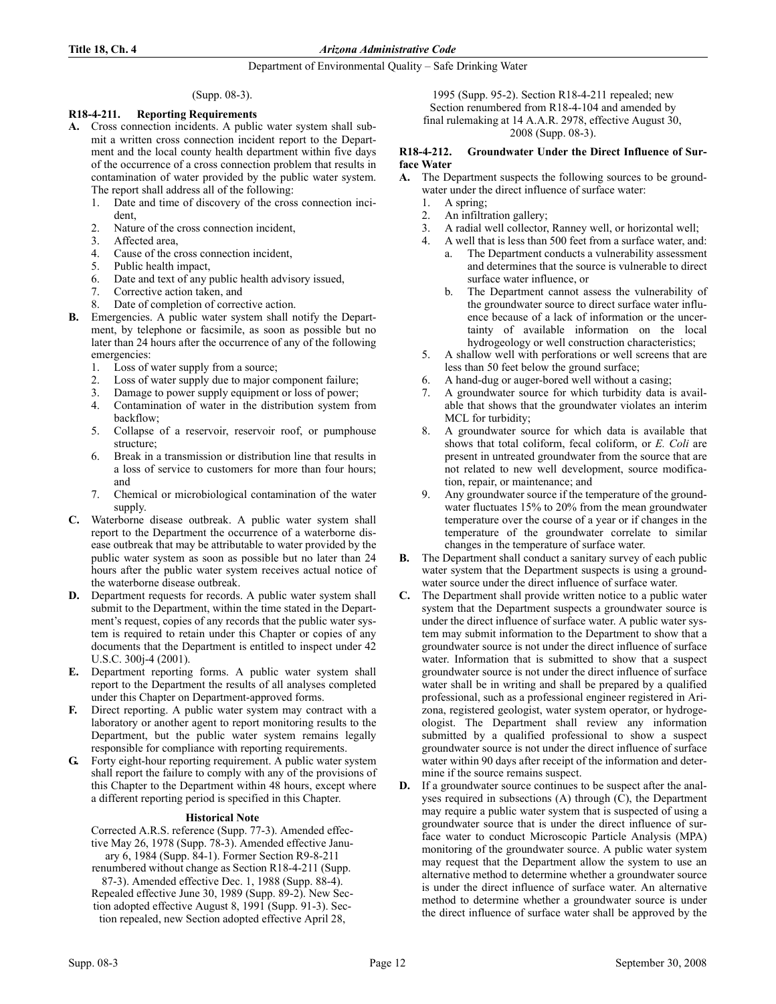## Department of Environmental Quality – Safe Drinking Water

## (Supp. 08-3).

## R18-4-211. Reporting Requirements

- A. Cross connection incidents. A public water system shall submit a written cross connection incident report to the Department and the local county health department within five days of the occurrence of a cross connection problem that results in contamination of water provided by the public water system. The report shall address all of the following:
	- 1. Date and time of discovery of the cross connection incident,
	- 2. Nature of the cross connection incident,
	- 3. Affected area,
	- 4. Cause of the cross connection incident,
	- 5. Public health impact,
	- 6. Date and text of any public health advisory issued,
	- 7. Corrective action taken, and
	- 8. Date of completion of corrective action.
- **B.** Emergencies. A public water system shall notify the Department, by telephone or facsimile, as soon as possible but no later than 24 hours after the occurrence of any of the following emergencies:
	- 1. Loss of water supply from a source;
	- 2. Loss of water supply due to major component failure;
	- 3. Damage to power supply equipment or loss of power;
	- 4. Contamination of water in the distribution system from backflow;
	- 5. Collapse of a reservoir, reservoir roof, or pumphouse structure;
	- 6. Break in a transmission or distribution line that results in a loss of service to customers for more than four hours; and
	- 7. Chemical or microbiological contamination of the water supply.
- C. Waterborne disease outbreak. A public water system shall report to the Department the occurrence of a waterborne disease outbreak that may be attributable to water provided by the public water system as soon as possible but no later than 24 hours after the public water system receives actual notice of the waterborne disease outbreak.
- D. Department requests for records. A public water system shall submit to the Department, within the time stated in the Department's request, copies of any records that the public water system is required to retain under this Chapter or copies of any documents that the Department is entitled to inspect under 42 U.S.C. 300j-4 (2001).
- E. Department reporting forms. A public water system shall report to the Department the results of all analyses completed under this Chapter on Department-approved forms.
- F. Direct reporting. A public water system may contract with a laboratory or another agent to report monitoring results to the Department, but the public water system remains legally responsible for compliance with reporting requirements.
- G. Forty eight-hour reporting requirement. A public water system shall report the failure to comply with any of the provisions of this Chapter to the Department within 48 hours, except where a different reporting period is specified in this Chapter.

## **Historical Note**

Corrected A.R.S. reference (Supp. 77-3). Amended effective May 26, 1978 (Supp. 78-3). Amended effective January 6, 1984 (Supp. 84-1). Former Section R9-8-211 renumbered without change as Section R18-4-211 (Supp. 87-3). Amended effective Dec. 1, 1988 (Supp. 88-4). Repealed effective June 30, 1989 (Supp. 89-2). New Section adopted effective August 8, 1991 (Supp. 91-3). Section repealed, new Section adopted effective April 28,

1995 (Supp. 95-2). Section R18-4-211 repealed; new Section renumbered from R18-4-104 and amended by final rulemaking at 14 A.A.R. 2978, effective August 30, 2008 (Supp. 08-3).

## R18-4-212. Groundwater Under the Direct Influence of Surface Water

- A. The Department suspects the following sources to be groundwater under the direct influence of surface water:
	- 1. A spring;
	- 2. An infiltration gallery;
	- 3. A radial well collector, Ranney well, or horizontal well;
	- 4. A well that is less than 500 feet from a surface water, and:
		- a. The Department conducts a vulnerability assessment and determines that the source is vulnerable to direct surface water influence, or
		- b. The Department cannot assess the vulnerability of the groundwater source to direct surface water influence because of a lack of information or the uncertainty of available information on the local hydrogeology or well construction characteristics;
	- 5. A shallow well with perforations or well screens that are less than 50 feet below the ground surface;
	- 6. A hand-dug or auger-bored well without a casing;
	- 7. A groundwater source for which turbidity data is available that shows that the groundwater violates an interim MCL for turbidity;
	- 8. A groundwater source for which data is available that shows that total coliform, fecal coliform, or E. Coli are present in untreated groundwater from the source that are not related to new well development, source modification, repair, or maintenance; and
	- 9. Any groundwater source if the temperature of the groundwater fluctuates 15% to 20% from the mean groundwater temperature over the course of a year or if changes in the temperature of the groundwater correlate to similar changes in the temperature of surface water.
- B. The Department shall conduct a sanitary survey of each public water system that the Department suspects is using a groundwater source under the direct influence of surface water.
- C. The Department shall provide written notice to a public water system that the Department suspects a groundwater source is under the direct influence of surface water. A public water system may submit information to the Department to show that a groundwater source is not under the direct influence of surface water. Information that is submitted to show that a suspect groundwater source is not under the direct influence of surface water shall be in writing and shall be prepared by a qualified professional, such as a professional engineer registered in Arizona, registered geologist, water system operator, or hydrogeologist. The Department shall review any information submitted by a qualified professional to show a suspect groundwater source is not under the direct influence of surface water within 90 days after receipt of the information and determine if the source remains suspect.
- If a groundwater source continues to be suspect after the analyses required in subsections (A) through (C), the Department may require a public water system that is suspected of using a groundwater source that is under the direct influence of surface water to conduct Microscopic Particle Analysis (MPA) monitoring of the groundwater source. A public water system may request that the Department allow the system to use an alternative method to determine whether a groundwater source is under the direct influence of surface water. An alternative method to determine whether a groundwater source is under the direct influence of surface water shall be approved by the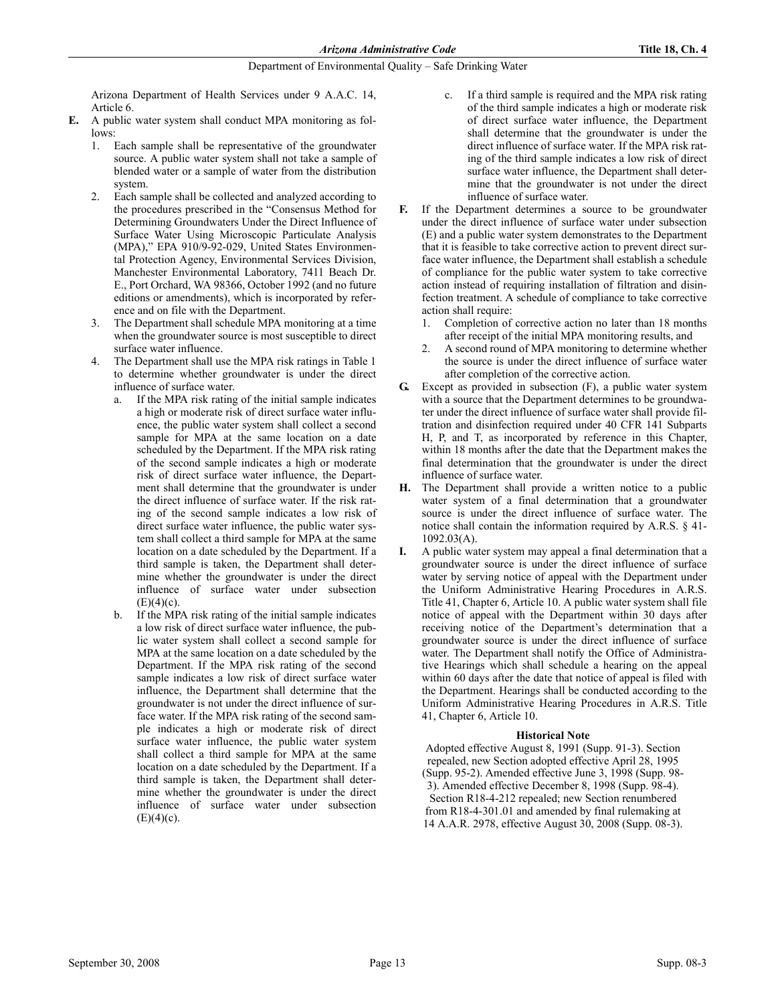Arizona Department of Health Services under 9 A.A.C. 14, Article 6.

- E. A public water system shall conduct MPA monitoring as follows:
	- 1. Each sample shall be representative of the groundwater source. A public water system shall not take a sample of blended water or a sample of water from the distribution system.
	- Each sample shall be collected and analyzed according to the procedures prescribed in the "Consensus Method for Determining Groundwaters Under the Direct Influence of Surface Water Using Microscopic Particulate Analysis (MPA)," EPA 910/9-92-029, United States Environmental Protection Agency, Environmental Services Division, Manchester Environmental Laboratory, 7411 Beach Dr. E., Port Orchard, WA 98366, October 1992 (and no future editions or amendments), which is incorporated by reference and on file with the Department.
	- 3. The Department shall schedule MPA monitoring at a time when the groundwater source is most susceptible to direct surface water influence.
	- The Department shall use the MPA risk ratings in Table 1 to determine whether groundwater is under the direct influence of surface water.
		- a. If the MPA risk rating of the initial sample indicates a high or moderate risk of direct surface water influence, the public water system shall collect a second sample for MPA at the same location on a date scheduled by the Department. If the MPA risk rating of the second sample indicates a high or moderate risk of direct surface water influence, the Department shall determine that the groundwater is under the direct influence of surface water. If the risk rating of the second sample indicates a low risk of direct surface water influence, the public water system shall collect a third sample for MPA at the same location on a date scheduled by the Department. If a third sample is taken, the Department shall determine whether the groundwater is under the direct influence of surface water under subsection  $(E)(4)(c)$ .
		- b. If the MPA risk rating of the initial sample indicates a low risk of direct surface water influence, the public water system shall collect a second sample for MPA at the same location on a date scheduled by the Department. If the MPA risk rating of the second sample indicates a low risk of direct surface water influence, the Department shall determine that the groundwater is not under the direct influence of surface water. If the MPA risk rating of the second sample indicates a high or moderate risk of direct surface water influence, the public water system shall collect a third sample for MPA at the same location on a date scheduled by the Department. If a third sample is taken, the Department shall determine whether the groundwater is under the direct influence of surface water under subsection  $(E)(4)(c)$ .
- c. If a third sample is required and the MPA risk rating of the third sample indicates a high or moderate risk of direct surface water influence, the Department shall determine that the groundwater is under the direct influence of surface water. If the MPA risk rating of the third sample indicates a low risk of direct surface water influence, the Department shall determine that the groundwater is not under the direct influence of surface water.
- F. If the Department determines a source to be groundwater under the direct influence of surface water under subsection (E) and a public water system demonstrates to the Department that it is feasible to take corrective action to prevent direct surface water influence, the Department shall establish a schedule of compliance for the public water system to take corrective action instead of requiring installation of filtration and disinfection treatment. A schedule of compliance to take corrective action shall require:
	- 1. Completion of corrective action no later than 18 months after receipt of the initial MPA monitoring results, and
	- 2. A second round of MPA monitoring to determine whether the source is under the direct influence of surface water after completion of the corrective action.
- G. Except as provided in subsection (F), a public water system with a source that the Department determines to be groundwater under the direct influence of surface water shall provide filtration and disinfection required under 40 CFR 141 Subparts H, P, and T, as incorporated by reference in this Chapter, within 18 months after the date that the Department makes the final determination that the groundwater is under the direct influence of surface water.
- H. The Department shall provide a written notice to a public water system of a final determination that a groundwater source is under the direct influence of surface water. The notice shall contain the information required by A.R.S. § 41- 1092.03(A).
- I. A public water system may appeal a final determination that a groundwater source is under the direct influence of surface water by serving notice of appeal with the Department under the Uniform Administrative Hearing Procedures in A.R.S. Title 41, Chapter 6, Article 10. A public water system shall file notice of appeal with the Department within 30 days after receiving notice of the Department's determination that a groundwater source is under the direct influence of surface water. The Department shall notify the Office of Administrative Hearings which shall schedule a hearing on the appeal within 60 days after the date that notice of appeal is filed with the Department. Hearings shall be conducted according to the Uniform Administrative Hearing Procedures in A.R.S. Title 41, Chapter 6, Article 10.

## **Historical Note**

Adopted effective August 8, 1991 (Supp. 91-3). Section repealed, new Section adopted effective April 28, 1995 (Supp. 95-2). Amended effective June 3, 1998 (Supp. 98- 3). Amended effective December 8, 1998 (Supp. 98-4). Section R18-4-212 repealed; new Section renumbered from R18-4-301.01 and amended by final rulemaking at 14 A.A.R. 2978, effective August 30, 2008 (Supp. 08-3).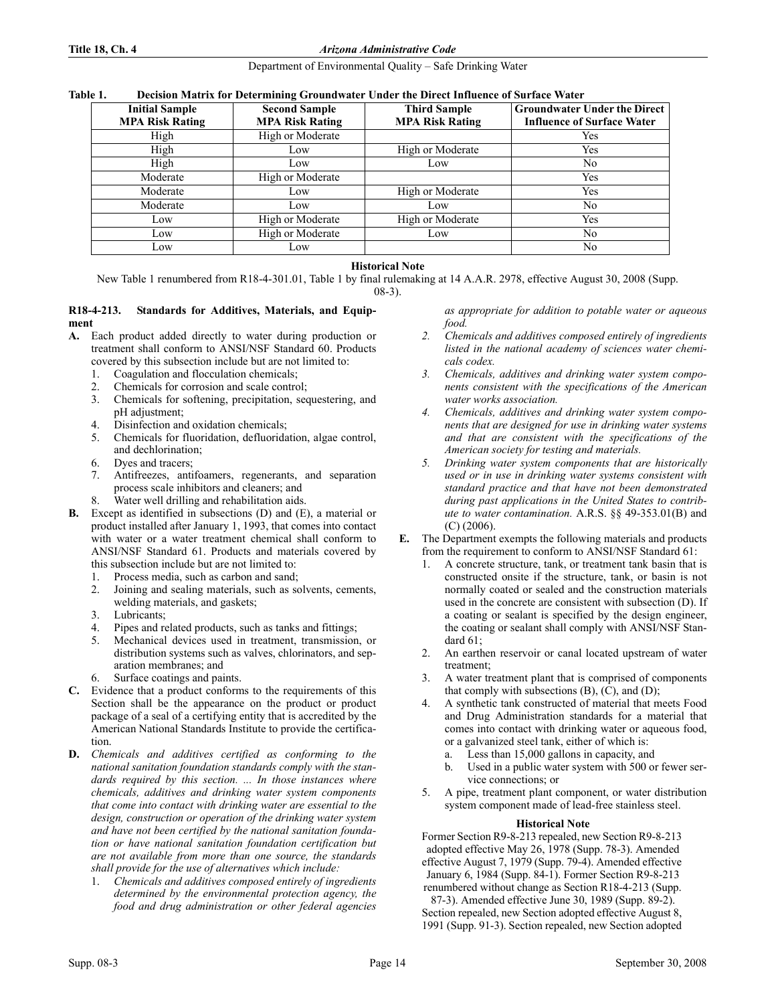## Department of Environmental Quality – Safe Drinking Water

#### Table 1. Decision Matrix for Determining Groundwater Under the Direct Influence of Surface Water

| <b>Initial Sample</b><br><b>MPA Risk Rating</b> | <b>Second Sample</b><br><b>MPA Risk Rating</b> | <b>Third Sample</b><br><b>MPA Risk Rating</b> | <b>Groundwater Under the Direct</b><br><b>Influence of Surface Water</b> |
|-------------------------------------------------|------------------------------------------------|-----------------------------------------------|--------------------------------------------------------------------------|
| High                                            | High or Moderate                               |                                               | Yes                                                                      |
| High                                            | Low                                            | High or Moderate                              | Yes                                                                      |
| High                                            | Low                                            | Low                                           | No                                                                       |
| Moderate                                        | High or Moderate                               |                                               | Yes                                                                      |
| Moderate                                        | Low                                            | High or Moderate                              | Yes                                                                      |
| Moderate                                        | Low                                            | Low                                           | No                                                                       |
| Low                                             | High or Moderate                               | High or Moderate                              | Yes                                                                      |
| Low                                             | High or Moderate                               | Low                                           | N <sub>0</sub>                                                           |
| Low                                             | Low                                            |                                               | No                                                                       |

## **Historical Note**

New Table 1 renumbered from R18-4-301.01, Table 1 by final rulemaking at 14 A.A.R. 2978, effective August 30, 2008 (Supp. 08-3).

#### R18-4-213. Standards for Additives, Materials, and Equipment

- A. Each product added directly to water during production or treatment shall conform to ANSI/NSF Standard 60. Products covered by this subsection include but are not limited to:
	- 1. Coagulation and flocculation chemicals;
	- 2. Chemicals for corrosion and scale control;
	- 3. Chemicals for softening, precipitation, sequestering, and pH adjustment;
	- 4. Disinfection and oxidation chemicals;
	- 5. Chemicals for fluoridation, defluoridation, algae control, and dechlorination;
	- 6. Dyes and tracers;
	- 7. Antifreezes, antifoamers, regenerants, and separation process scale inhibitors and cleaners; and
	- Water well drilling and rehabilitation aids.
- B. Except as identified in subsections (D) and (E), a material or product installed after January 1, 1993, that comes into contact with water or a water treatment chemical shall conform to ANSI/NSF Standard 61. Products and materials covered by this subsection include but are not limited to:
	- 1. Process media, such as carbon and sand;
	- 2. Joining and sealing materials, such as solvents, cements, welding materials, and gaskets;
	- 3. Lubricants;
	- 4. Pipes and related products, such as tanks and fittings;
	- 5. Mechanical devices used in treatment, transmission, or distribution systems such as valves, chlorinators, and separation membranes; and
	- 6. Surface coatings and paints.
- C. Evidence that a product conforms to the requirements of this Section shall be the appearance on the product or product package of a seal of a certifying entity that is accredited by the American National Standards Institute to provide the certification.
- D. Chemicals and additives certified as conforming to the national sanitation foundation standards comply with the standards required by this section. ... In those instances where chemicals, additives and drinking water system components that come into contact with drinking water are essential to the design, construction or operation of the drinking water system and have not been certified by the national sanitation foundation or have national sanitation foundation certification but are not available from more than one source, the standards shall provide for the use of alternatives which include:
	- Chemicals and additives composed entirely of ingredients determined by the environmental protection agency, the food and drug administration or other federal agencies

as appropriate for addition to potable water or aqueous food.

- 2. Chemicals and additives composed entirely of ingredients listed in the national academy of sciences water chemicals codex.
- 3. Chemicals, additives and drinking water system components consistent with the specifications of the American water works association.
- 4. Chemicals, additives and drinking water system components that are designed for use in drinking water systems and that are consistent with the specifications of the American society for testing and materials.
- 5. Drinking water system components that are historically used or in use in drinking water systems consistent with standard practice and that have not been demonstrated during past applications in the United States to contribute to water contamination. A.R.S. §§ 49-353.01(B) and (C) (2006).
- E. The Department exempts the following materials and products from the requirement to conform to ANSI/NSF Standard 61:
	- 1. A concrete structure, tank, or treatment tank basin that is constructed onsite if the structure, tank, or basin is not normally coated or sealed and the construction materials used in the concrete are consistent with subsection (D). If a coating or sealant is specified by the design engineer, the coating or sealant shall comply with ANSI/NSF Standard 61;
	- 2. An earthen reservoir or canal located upstream of water treatment;
	- 3. A water treatment plant that is comprised of components that comply with subsections  $(B)$ ,  $(C)$ , and  $(D)$ ;
	- 4. A synthetic tank constructed of material that meets Food and Drug Administration standards for a material that comes into contact with drinking water or aqueous food, or a galvanized steel tank, either of which is:
		- a. Less than 15,000 gallons in capacity, and
		- b. Used in a public water system with 500 or fewer service connections; or
	- 5. A pipe, treatment plant component, or water distribution system component made of lead-free stainless steel.

## **Historical Note**

Former Section R9-8-213 repealed, new Section R9-8-213 adopted effective May 26, 1978 (Supp. 78-3). Amended effective August 7, 1979 (Supp. 79-4). Amended effective January 6, 1984 (Supp. 84-1). Former Section R9-8-213 renumbered without change as Section R18-4-213 (Supp.

87-3). Amended effective June 30, 1989 (Supp. 89-2). Section repealed, new Section adopted effective August 8, 1991 (Supp. 91-3). Section repealed, new Section adopted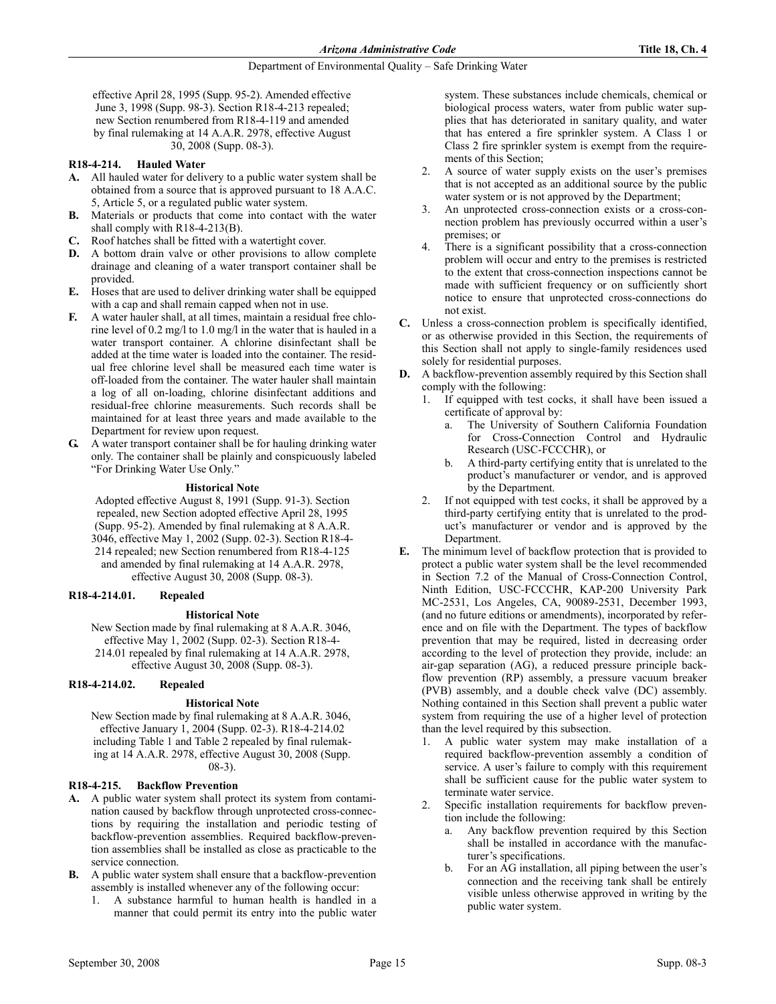effective April 28, 1995 (Supp. 95-2). Amended effective June 3, 1998 (Supp. 98-3). Section R18-4-213 repealed; new Section renumbered from R18-4-119 and amended by final rulemaking at 14 A.A.R. 2978, effective August 30, 2008 (Supp. 08-3).

## R18-4-214. Hauled Water

- A. All hauled water for delivery to a public water system shall be obtained from a source that is approved pursuant to 18 A.A.C. 5, Article 5, or a regulated public water system.
- B. Materials or products that come into contact with the water shall comply with R18-4-213(B).
- C. Roof hatches shall be fitted with a watertight cover.
- D. A bottom drain valve or other provisions to allow complete drainage and cleaning of a water transport container shall be provided.
- E. Hoses that are used to deliver drinking water shall be equipped with a cap and shall remain capped when not in use.
- F. A water hauler shall, at all times, maintain a residual free chlorine level of 0.2 mg/l to 1.0 mg/l in the water that is hauled in a water transport container. A chlorine disinfectant shall be added at the time water is loaded into the container. The residual free chlorine level shall be measured each time water is off-loaded from the container. The water hauler shall maintain a log of all on-loading, chlorine disinfectant additions and residual-free chlorine measurements. Such records shall be maintained for at least three years and made available to the Department for review upon request.
- G. A water transport container shall be for hauling drinking water only. The container shall be plainly and conspicuously labeled "For Drinking Water Use Only."

## **Historical Note**

Adopted effective August 8, 1991 (Supp. 91-3). Section repealed, new Section adopted effective April 28, 1995 (Supp. 95-2). Amended by final rulemaking at 8 A.A.R. 3046, effective May 1, 2002 (Supp. 02-3). Section R18-4- 214 repealed; new Section renumbered from R18-4-125 and amended by final rulemaking at 14 A.A.R. 2978, effective August 30, 2008 (Supp. 08-3).

## R18-4-214.01. Repealed

## **Historical Note**

New Section made by final rulemaking at 8 A.A.R. 3046, effective May 1, 2002 (Supp. 02-3). Section R18-4- 214.01 repealed by final rulemaking at 14 A.A.R. 2978, effective August 30, 2008 (Supp. 08-3).

## R18-4-214.02. Repealed

## **Historical Note**

New Section made by final rulemaking at 8 A.A.R. 3046, effective January 1, 2004 (Supp. 02-3). R18-4-214.02 including Table 1 and Table 2 repealed by final rulemaking at 14 A.A.R. 2978, effective August 30, 2008 (Supp. 08-3).

## R18-4-215. Backflow Prevention

- A. A public water system shall protect its system from contamination caused by backflow through unprotected cross-connections by requiring the installation and periodic testing of backflow-prevention assemblies. Required backflow-prevention assemblies shall be installed as close as practicable to the service connection.
- B. A public water system shall ensure that a backflow-prevention assembly is installed whenever any of the following occur:
	- 1. A substance harmful to human health is handled in a manner that could permit its entry into the public water

system. These substances include chemicals, chemical or biological process waters, water from public water supplies that has deteriorated in sanitary quality, and water that has entered a fire sprinkler system. A Class 1 or Class 2 fire sprinkler system is exempt from the requirements of this Section;

- 2. A source of water supply exists on the user's premises that is not accepted as an additional source by the public water system or is not approved by the Department;
- 3. An unprotected cross-connection exists or a cross-connection problem has previously occurred within a user's premises; or
- There is a significant possibility that a cross-connection problem will occur and entry to the premises is restricted to the extent that cross-connection inspections cannot be made with sufficient frequency or on sufficiently short notice to ensure that unprotected cross-connections do not exist.
- C. Unless a cross-connection problem is specifically identified, or as otherwise provided in this Section, the requirements of this Section shall not apply to single-family residences used solely for residential purposes.
- D. A backflow-prevention assembly required by this Section shall comply with the following:
	- 1. If equipped with test cocks, it shall have been issued a certificate of approval by:
		- a. The University of Southern California Foundation for Cross-Connection Control and Hydraulic Research (USC-FCCCHR), or
		- b. A third-party certifying entity that is unrelated to the product's manufacturer or vendor, and is approved by the Department.
	- 2. If not equipped with test cocks, it shall be approved by a third-party certifying entity that is unrelated to the product's manufacturer or vendor and is approved by the Department.
- E. The minimum level of backflow protection that is provided to protect a public water system shall be the level recommended in Section 7.2 of the Manual of Cross-Connection Control, Ninth Edition, USC-FCCCHR, KAP-200 University Park MC-2531, Los Angeles, CA, 90089-2531, December 1993, (and no future editions or amendments), incorporated by reference and on file with the Department. The types of backflow prevention that may be required, listed in decreasing order according to the level of protection they provide, include: an air-gap separation (AG), a reduced pressure principle backflow prevention (RP) assembly, a pressure vacuum breaker (PVB) assembly, and a double check valve (DC) assembly. Nothing contained in this Section shall prevent a public water system from requiring the use of a higher level of protection than the level required by this subsection.
	- 1. A public water system may make installation of a required backflow-prevention assembly a condition of service. A user's failure to comply with this requirement shall be sufficient cause for the public water system to terminate water service.
	- 2. Specific installation requirements for backflow prevention include the following:
		- a. Any backflow prevention required by this Section shall be installed in accordance with the manufacturer's specifications.
		- b. For an AG installation, all piping between the user's connection and the receiving tank shall be entirely visible unless otherwise approved in writing by the public water system.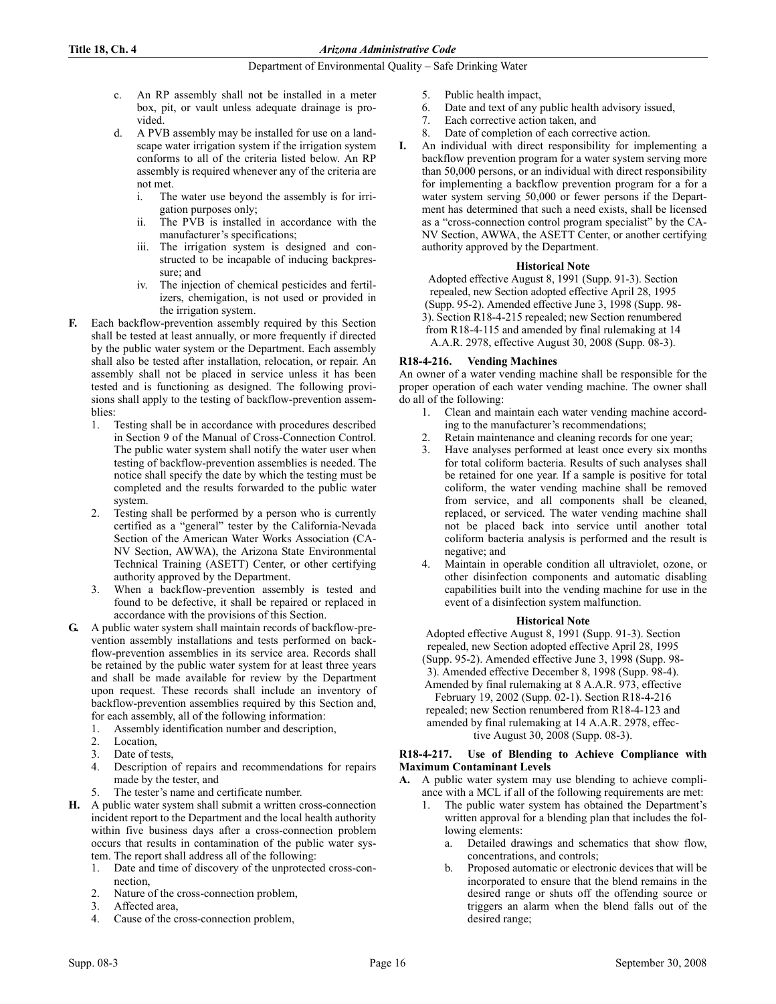- c. An RP assembly shall not be installed in a meter box, pit, or vault unless adequate drainage is provided.
- d. A PVB assembly may be installed for use on a landscape water irrigation system if the irrigation system conforms to all of the criteria listed below. An RP assembly is required whenever any of the criteria are not met.
	- i. The water use beyond the assembly is for irrigation purposes only;
	- ii. The PVB is installed in accordance with the manufacturer's specifications;
	- iii. The irrigation system is designed and constructed to be incapable of inducing backpressure; and
	- iv. The injection of chemical pesticides and fertilizers, chemigation, is not used or provided in the irrigation system.
- F. Each backflow-prevention assembly required by this Section shall be tested at least annually, or more frequently if directed by the public water system or the Department. Each assembly shall also be tested after installation, relocation, or repair. An assembly shall not be placed in service unless it has been tested and is functioning as designed. The following provisions shall apply to the testing of backflow-prevention assemblies:
	- 1. Testing shall be in accordance with procedures described in Section 9 of the Manual of Cross-Connection Control. The public water system shall notify the water user when testing of backflow-prevention assemblies is needed. The notice shall specify the date by which the testing must be completed and the results forwarded to the public water system.
	- 2. Testing shall be performed by a person who is currently certified as a "general" tester by the California-Nevada Section of the American Water Works Association (CA-NV Section, AWWA), the Arizona State Environmental Technical Training (ASETT) Center, or other certifying authority approved by the Department.
	- 3. When a backflow-prevention assembly is tested and found to be defective, it shall be repaired or replaced in accordance with the provisions of this Section.
- G. A public water system shall maintain records of backflow-prevention assembly installations and tests performed on backflow-prevention assemblies in its service area. Records shall be retained by the public water system for at least three years and shall be made available for review by the Department upon request. These records shall include an inventory of backflow-prevention assemblies required by this Section and, for each assembly, all of the following information:
	- 1. Assembly identification number and description,
	- 2. Location,
	- 3. Date of tests,
	- 4. Description of repairs and recommendations for repairs made by the tester, and
	- The tester's name and certificate number.
- H. A public water system shall submit a written cross-connection incident report to the Department and the local health authority within five business days after a cross-connection problem occurs that results in contamination of the public water system. The report shall address all of the following:
	- 1. Date and time of discovery of the unprotected cross-connection,
	- 2. Nature of the cross-connection problem,
	- 3. Affected area,
	- 4. Cause of the cross-connection problem,
- 5. Public health impact,
- 6. Date and text of any public health advisory issued,
- 7. Each corrective action taken, and
- 8. Date of completion of each corrective action.
- I. An individual with direct responsibility for implementing a backflow prevention program for a water system serving more than 50,000 persons, or an individual with direct responsibility for implementing a backflow prevention program for a for a water system serving 50,000 or fewer persons if the Department has determined that such a need exists, shall be licensed as a "cross-connection control program specialist" by the CA-NV Section, AWWA, the ASETT Center, or another certifying authority approved by the Department.

## **Historical Note**

Adopted effective August 8, 1991 (Supp. 91-3). Section repealed, new Section adopted effective April 28, 1995 (Supp. 95-2). Amended effective June 3, 1998 (Supp. 98- 3). Section R18-4-215 repealed; new Section renumbered from R18-4-115 and amended by final rulemaking at 14 A.A.R. 2978, effective August 30, 2008 (Supp. 08-3).

## R18-4-216. Vending Machines

An owner of a water vending machine shall be responsible for the proper operation of each water vending machine. The owner shall do all of the following:

- 1. Clean and maintain each water vending machine according to the manufacturer's recommendations;
- 2. Retain maintenance and cleaning records for one year;
- 3. Have analyses performed at least once every six months for total coliform bacteria. Results of such analyses shall be retained for one year. If a sample is positive for total coliform, the water vending machine shall be removed from service, and all components shall be cleaned, replaced, or serviced. The water vending machine shall not be placed back into service until another total coliform bacteria analysis is performed and the result is negative; and
- 4. Maintain in operable condition all ultraviolet, ozone, or other disinfection components and automatic disabling capabilities built into the vending machine for use in the event of a disinfection system malfunction.

## **Historical Note**

Adopted effective August 8, 1991 (Supp. 91-3). Section repealed, new Section adopted effective April 28, 1995 (Supp. 95-2). Amended effective June 3, 1998 (Supp. 98- 3). Amended effective December 8, 1998 (Supp. 98-4). Amended by final rulemaking at 8 A.A.R. 973, effective February 19, 2002 (Supp. 02-1). Section R18-4-216 repealed; new Section renumbered from R18-4-123 and amended by final rulemaking at 14 A.A.R. 2978, effective August 30, 2008 (Supp. 08-3).

## R18-4-217. Use of Blending to Achieve Compliance with Maximum Contaminant Levels

A. A public water system may use blending to achieve compliance with a MCL if all of the following requirements are met:

- 1. The public water system has obtained the Department's written approval for a blending plan that includes the following elements:
	- a. Detailed drawings and schematics that show flow, concentrations, and controls;
	- b. Proposed automatic or electronic devices that will be incorporated to ensure that the blend remains in the desired range or shuts off the offending source or triggers an alarm when the blend falls out of the desired range;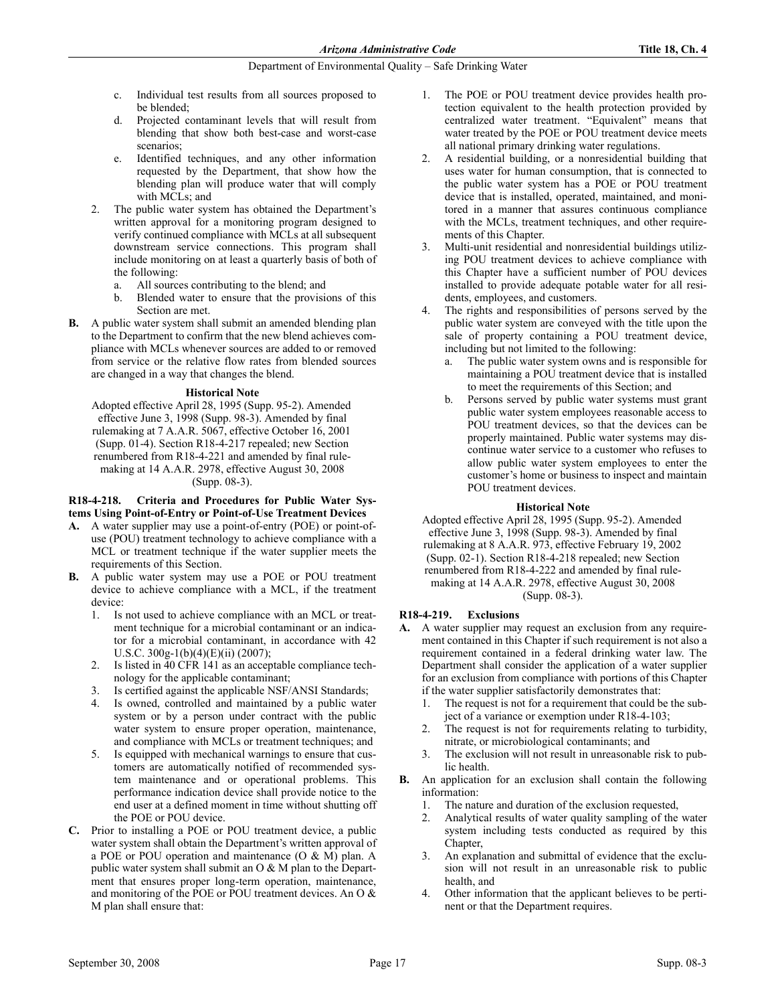- c. Individual test results from all sources proposed to be blended;
- d. Projected contaminant levels that will result from blending that show both best-case and worst-case scenarios;
- e. Identified techniques, and any other information requested by the Department, that show how the blending plan will produce water that will comply with MCLs; and
- 2. The public water system has obtained the Department's written approval for a monitoring program designed to verify continued compliance with MCLs at all subsequent downstream service connections. This program shall include monitoring on at least a quarterly basis of both of the following:
	- a. All sources contributing to the blend; and
	- b. Blended water to ensure that the provisions of this Section are met.
- B. A public water system shall submit an amended blending plan to the Department to confirm that the new blend achieves compliance with MCLs whenever sources are added to or removed from service or the relative flow rates from blended sources are changed in a way that changes the blend.

## **Historical Note**

Adopted effective April 28, 1995 (Supp. 95-2). Amended effective June 3, 1998 (Supp. 98-3). Amended by final rulemaking at 7 A.A.R. 5067, effective October 16, 2001 (Supp. 01-4). Section R18-4-217 repealed; new Section renumbered from R18-4-221 and amended by final rulemaking at 14 A.A.R. 2978, effective August 30, 2008 (Supp. 08-3).

## R18-4-218. Criteria and Procedures for Public Water Systems Using Point-of-Entry or Point-of-Use Treatment Devices

- A. A water supplier may use a point-of-entry (POE) or point-ofuse (POU) treatment technology to achieve compliance with a MCL or treatment technique if the water supplier meets the requirements of this Section.
- B. A public water system may use a POE or POU treatment device to achieve compliance with a MCL, if the treatment device:
	- 1. Is not used to achieve compliance with an MCL or treatment technique for a microbial contaminant or an indicator for a microbial contaminant, in accordance with 42 U.S.C. 300g-1(b)(4)(E)(ii) (2007);
	- Is listed in 40 CFR 141 as an acceptable compliance technology for the applicable contaminant;
	- 3. Is certified against the applicable NSF/ANSI Standards;
	- 4. Is owned, controlled and maintained by a public water system or by a person under contract with the public water system to ensure proper operation, maintenance, and compliance with MCLs or treatment techniques; and
	- 5. Is equipped with mechanical warnings to ensure that customers are automatically notified of recommended system maintenance and or operational problems. This performance indication device shall provide notice to the end user at a defined moment in time without shutting off the POE or POU device.
- C. Prior to installing a POE or POU treatment device, a public water system shall obtain the Department's written approval of a POE or POU operation and maintenance (O & M) plan. A public water system shall submit an  $O & M$  plan to the Department that ensures proper long-term operation, maintenance, and monitoring of the POE or POU treatment devices. An O & M plan shall ensure that:
- 1. The POE or POU treatment device provides health protection equivalent to the health protection provided by centralized water treatment. "Equivalent" means that water treated by the POE or POU treatment device meets all national primary drinking water regulations.
- 2. A residential building, or a nonresidential building that uses water for human consumption, that is connected to the public water system has a POE or POU treatment device that is installed, operated, maintained, and monitored in a manner that assures continuous compliance with the MCLs, treatment techniques, and other requirements of this Chapter.
- Multi-unit residential and nonresidential buildings utilizing POU treatment devices to achieve compliance with this Chapter have a sufficient number of POU devices installed to provide adequate potable water for all residents, employees, and customers.
- The rights and responsibilities of persons served by the public water system are conveyed with the title upon the sale of property containing a POU treatment device, including but not limited to the following:
	- a. The public water system owns and is responsible for maintaining a POU treatment device that is installed to meet the requirements of this Section; and
	- b. Persons served by public water systems must grant public water system employees reasonable access to POU treatment devices, so that the devices can be properly maintained. Public water systems may discontinue water service to a customer who refuses to allow public water system employees to enter the customer's home or business to inspect and maintain POU treatment devices.

## **Historical Note**

Adopted effective April 28, 1995 (Supp. 95-2). Amended effective June 3, 1998 (Supp. 98-3). Amended by final rulemaking at 8 A.A.R. 973, effective February 19, 2002 (Supp. 02-1). Section R18-4-218 repealed; new Section renumbered from R18-4-222 and amended by final rulemaking at 14 A.A.R. 2978, effective August 30, 2008 (Supp. 08-3).

## R18-4-219. Exclusions

- A. A water supplier may request an exclusion from any requirement contained in this Chapter if such requirement is not also a requirement contained in a federal drinking water law. The Department shall consider the application of a water supplier for an exclusion from compliance with portions of this Chapter if the water supplier satisfactorily demonstrates that:
	- 1. The request is not for a requirement that could be the subject of a variance or exemption under R18-4-103;
	- 2. The request is not for requirements relating to turbidity, nitrate, or microbiological contaminants; and
	- 3. The exclusion will not result in unreasonable risk to public health.
- B. An application for an exclusion shall contain the following information:
	- 1. The nature and duration of the exclusion requested,
	- 2. Analytical results of water quality sampling of the water system including tests conducted as required by this Chapter,
	- An explanation and submittal of evidence that the exclusion will not result in an unreasonable risk to public health, and
	- 4. Other information that the applicant believes to be pertinent or that the Department requires.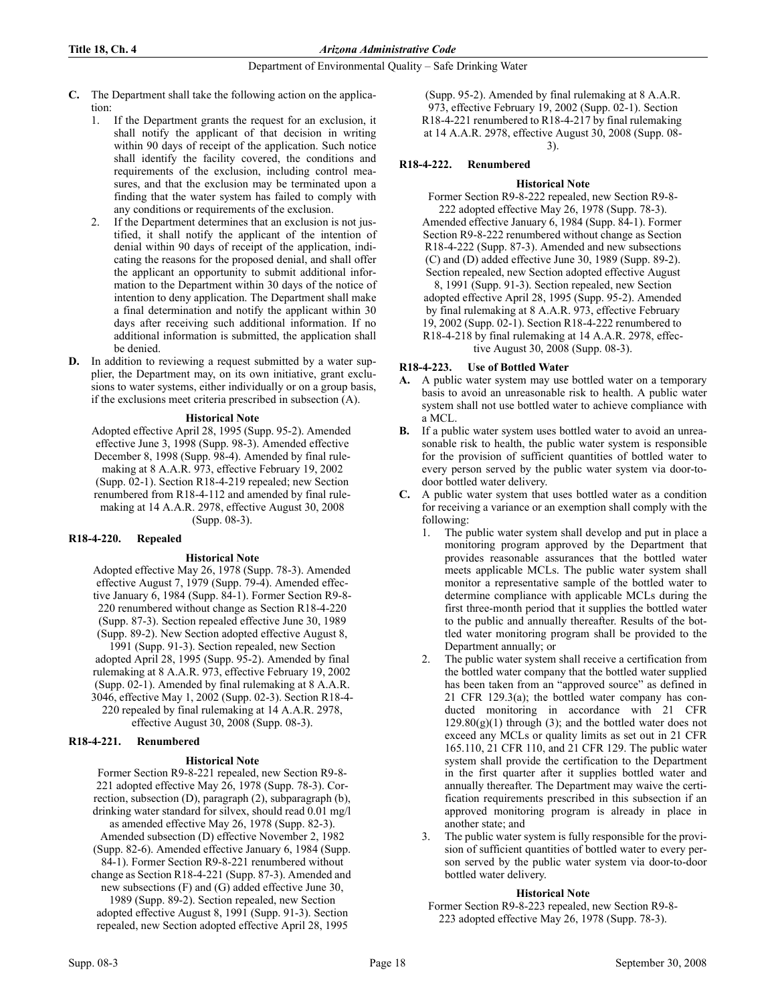- C. The Department shall take the following action on the application:
	- 1. If the Department grants the request for an exclusion, it shall notify the applicant of that decision in writing within 90 days of receipt of the application. Such notice shall identify the facility covered, the conditions and requirements of the exclusion, including control measures, and that the exclusion may be terminated upon a finding that the water system has failed to comply with any conditions or requirements of the exclusion.
	- 2. If the Department determines that an exclusion is not justified, it shall notify the applicant of the intention of denial within 90 days of receipt of the application, indicating the reasons for the proposed denial, and shall offer the applicant an opportunity to submit additional information to the Department within 30 days of the notice of intention to deny application. The Department shall make a final determination and notify the applicant within 30 days after receiving such additional information. If no additional information is submitted, the application shall be denied.
- D. In addition to reviewing a request submitted by a water supplier, the Department may, on its own initiative, grant exclusions to water systems, either individually or on a group basis, if the exclusions meet criteria prescribed in subsection (A).

## **Historical Note**

Adopted effective April 28, 1995 (Supp. 95-2). Amended effective June 3, 1998 (Supp. 98-3). Amended effective December 8, 1998 (Supp. 98-4). Amended by final rulemaking at 8 A.A.R. 973, effective February 19, 2002 (Supp. 02-1). Section R18-4-219 repealed; new Section renumbered from R18-4-112 and amended by final rulemaking at 14 A.A.R. 2978, effective August 30, 2008 (Supp. 08-3).

## R18-4-220. Repealed

## **Historical Note**

Adopted effective May 26, 1978 (Supp. 78-3). Amended effective August 7, 1979 (Supp. 79-4). Amended effective January 6, 1984 (Supp. 84-1). Former Section R9-8- 220 renumbered without change as Section R18-4-220 (Supp. 87-3). Section repealed effective June 30, 1989 (Supp. 89-2). New Section adopted effective August 8, 1991 (Supp. 91-3). Section repealed, new Section adopted April 28, 1995 (Supp. 95-2). Amended by final rulemaking at 8 A.A.R. 973, effective February 19, 2002 (Supp. 02-1). Amended by final rulemaking at 8 A.A.R.

3046, effective May 1, 2002 (Supp. 02-3). Section R18-4- 220 repealed by final rulemaking at 14 A.A.R. 2978,

effective August 30, 2008 (Supp. 08-3).

## R18-4-221. Renumbered

## **Historical Note**

Former Section R9-8-221 repealed, new Section R9-8- 221 adopted effective May 26, 1978 (Supp. 78-3). Correction, subsection (D), paragraph (2), subparagraph (b), drinking water standard for silvex, should read 0.01 mg/l as amended effective May 26, 1978 (Supp. 82-3). Amended subsection (D) effective November 2, 1982 (Supp. 82-6). Amended effective January 6, 1984 (Supp. 84-1). Former Section R9-8-221 renumbered without change as Section R18-4-221 (Supp. 87-3). Amended and

new subsections (F) and (G) added effective June 30, 1989 (Supp. 89-2). Section repealed, new Section adopted effective August 8, 1991 (Supp. 91-3). Section repealed, new Section adopted effective April 28, 1995

(Supp. 95-2). Amended by final rulemaking at 8 A.A.R. 973, effective February 19, 2002 (Supp. 02-1). Section R18-4-221 renumbered to R18-4-217 by final rulemaking at 14 A.A.R. 2978, effective August 30, 2008 (Supp. 08- 3).

## R18-4-222. Renumbered

## **Historical Note**

Former Section R9-8-222 repealed, new Section R9-8- 222 adopted effective May 26, 1978 (Supp. 78-3). Amended effective January 6, 1984 (Supp. 84-1). Former Section R9-8-222 renumbered without change as Section R18-4-222 (Supp. 87-3). Amended and new subsections (C) and (D) added effective June 30, 1989 (Supp. 89-2). Section repealed, new Section adopted effective August 8, 1991 (Supp. 91-3). Section repealed, new Section adopted effective April 28, 1995 (Supp. 95-2). Amended by final rulemaking at 8 A.A.R. 973, effective February 19, 2002 (Supp. 02-1). Section R18-4-222 renumbered to

R18-4-218 by final rulemaking at 14 A.A.R. 2978, effective August 30, 2008 (Supp. 08-3).

## R18-4-223. Use of Bottled Water

- A. A public water system may use bottled water on a temporary basis to avoid an unreasonable risk to health. A public water system shall not use bottled water to achieve compliance with a MCL.
- B. If a public water system uses bottled water to avoid an unreasonable risk to health, the public water system is responsible for the provision of sufficient quantities of bottled water to every person served by the public water system via door-todoor bottled water delivery.
- C. A public water system that uses bottled water as a condition for receiving a variance or an exemption shall comply with the following:
	- 1. The public water system shall develop and put in place a monitoring program approved by the Department that provides reasonable assurances that the bottled water meets applicable MCLs. The public water system shall monitor a representative sample of the bottled water to determine compliance with applicable MCLs during the first three-month period that it supplies the bottled water to the public and annually thereafter. Results of the bottled water monitoring program shall be provided to the Department annually; or
	- The public water system shall receive a certification from the bottled water company that the bottled water supplied has been taken from an "approved source" as defined in 21 CFR 129.3(a); the bottled water company has conducted monitoring in accordance with 21 CFR  $129.80(g)(1)$  through (3); and the bottled water does not exceed any MCLs or quality limits as set out in 21 CFR 165.110, 21 CFR 110, and 21 CFR 129. The public water system shall provide the certification to the Department in the first quarter after it supplies bottled water and annually thereafter. The Department may waive the certification requirements prescribed in this subsection if an approved monitoring program is already in place in another state; and
	- 3. The public water system is fully responsible for the provision of sufficient quantities of bottled water to every person served by the public water system via door-to-door bottled water delivery.

## **Historical Note**

Former Section R9-8-223 repealed, new Section R9-8- 223 adopted effective May 26, 1978 (Supp. 78-3).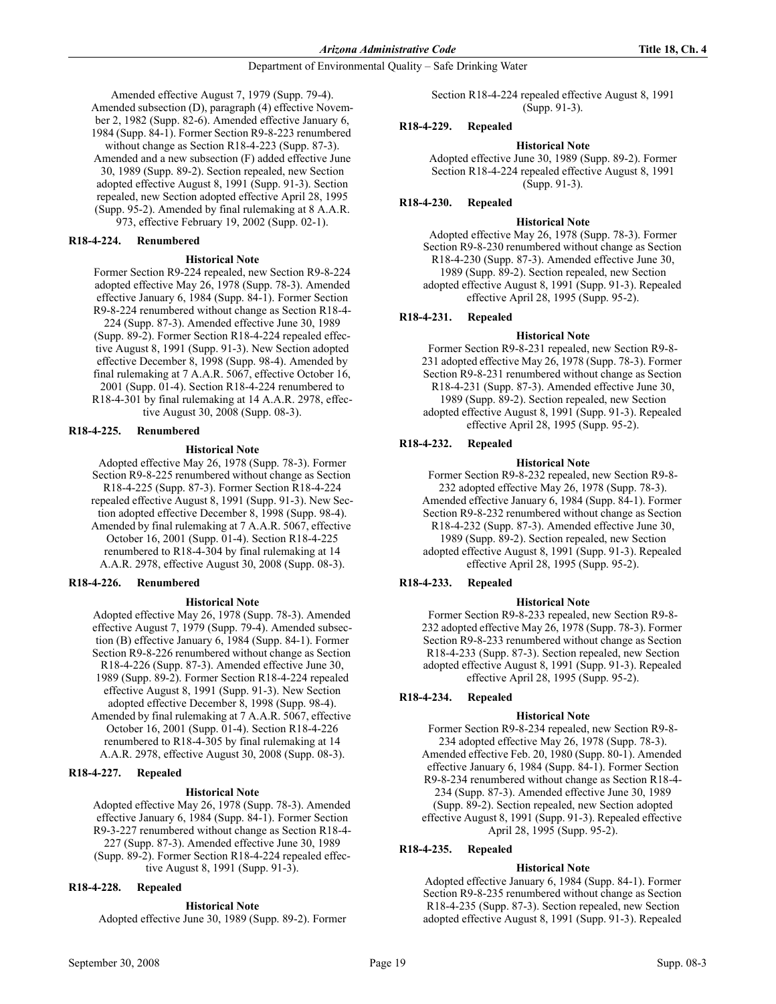Amended effective August 7, 1979 (Supp. 79-4). Amended subsection (D), paragraph (4) effective November 2, 1982 (Supp. 82-6). Amended effective January 6, 1984 (Supp. 84-1). Former Section R9-8-223 renumbered without change as Section R18-4-223 (Supp. 87-3). Amended and a new subsection (F) added effective June 30, 1989 (Supp. 89-2). Section repealed, new Section adopted effective August 8, 1991 (Supp. 91-3). Section repealed, new Section adopted effective April 28, 1995 (Supp. 95-2). Amended by final rulemaking at 8 A.A.R. 973, effective February 19, 2002 (Supp. 02-1).

R18-4-224. Renumbered

#### **Historical Note**

Former Section R9-224 repealed, new Section R9-8-224 adopted effective May 26, 1978 (Supp. 78-3). Amended effective January 6, 1984 (Supp. 84-1). Former Section R9-8-224 renumbered without change as Section R18-4- 224 (Supp. 87-3). Amended effective June 30, 1989 (Supp. 89-2). Former Section R18-4-224 repealed effective August 8, 1991 (Supp. 91-3). New Section adopted effective December 8, 1998 (Supp. 98-4). Amended by final rulemaking at 7 A.A.R. 5067, effective October 16, 2001 (Supp. 01-4). Section R18-4-224 renumbered to R18-4-301 by final rulemaking at 14 A.A.R. 2978, effective August 30, 2008 (Supp. 08-3).

## R18-4-225. Renumbered

#### **Historical Note**

Adopted effective May 26, 1978 (Supp. 78-3). Former Section R9-8-225 renumbered without change as Section R18-4-225 (Supp. 87-3). Former Section R18-4-224 repealed effective August 8, 1991 (Supp. 91-3). New Section adopted effective December 8, 1998 (Supp. 98-4). Amended by final rulemaking at 7 A.A.R. 5067, effective October 16, 2001 (Supp. 01-4). Section R18-4-225 renumbered to R18-4-304 by final rulemaking at 14 A.A.R. 2978, effective August 30, 2008 (Supp. 08-3).

## R18-4-226. Renumbered

#### **Historical Note**

Adopted effective May 26, 1978 (Supp. 78-3). Amended effective August 7, 1979 (Supp. 79-4). Amended subsection (B) effective January 6, 1984 (Supp. 84-1). Former Section R9-8-226 renumbered without change as Section R18-4-226 (Supp. 87-3). Amended effective June 30, 1989 (Supp. 89-2). Former Section R18-4-224 repealed effective August 8, 1991 (Supp. 91-3). New Section adopted effective December 8, 1998 (Supp. 98-4). Amended by final rulemaking at 7 A.A.R. 5067, effective

October 16, 2001 (Supp. 01-4). Section R18-4-226 renumbered to R18-4-305 by final rulemaking at 14 A.A.R. 2978, effective August 30, 2008 (Supp. 08-3).

## R18-4-227. Repealed

#### **Historical Note**

Adopted effective May 26, 1978 (Supp. 78-3). Amended effective January 6, 1984 (Supp. 84-1). Former Section R9-3-227 renumbered without change as Section R18-4- 227 (Supp. 87-3). Amended effective June 30, 1989 (Supp. 89-2). Former Section R18-4-224 repealed effective August 8, 1991 (Supp. 91-3).

#### R18-4-228. Repealed

#### **Historical Note**

Adopted effective June 30, 1989 (Supp. 89-2). Former

Section R18-4-224 repealed effective August 8, 1991 (Supp. 91-3).

## R18-4-229. Repealed

#### **Historical Note**

Adopted effective June 30, 1989 (Supp. 89-2). Former Section R18-4-224 repealed effective August 8, 1991 (Supp. 91-3).

## R18-4-230. Repealed

#### **Historical Note**

Adopted effective May 26, 1978 (Supp. 78-3). Former Section R9-8-230 renumbered without change as Section R18-4-230 (Supp. 87-3). Amended effective June 30, 1989 (Supp. 89-2). Section repealed, new Section adopted effective August 8, 1991 (Supp. 91-3). Repealed effective April 28, 1995 (Supp. 95-2).

#### R18-4-231. Repealed

#### **Historical Note**

Former Section R9-8-231 repealed, new Section R9-8- 231 adopted effective May 26, 1978 (Supp. 78-3). Former Section R9-8-231 renumbered without change as Section R18-4-231 (Supp. 87-3). Amended effective June 30, 1989 (Supp. 89-2). Section repealed, new Section adopted effective August 8, 1991 (Supp. 91-3). Repealed effective April 28, 1995 (Supp. 95-2).

## R18-4-232. Repealed

#### **Historical Note**

Former Section R9-8-232 repealed, new Section R9-8- 232 adopted effective May 26, 1978 (Supp. 78-3). Amended effective January 6, 1984 (Supp. 84-1). Former Section R9-8-232 renumbered without change as Section R18-4-232 (Supp. 87-3). Amended effective June 30, 1989 (Supp. 89-2). Section repealed, new Section adopted effective August 8, 1991 (Supp. 91-3). Repealed effective April 28, 1995 (Supp. 95-2).

## R18-4-233. Repealed

#### **Historical Note**

Former Section R9-8-233 repealed, new Section R9-8- 232 adopted effective May 26, 1978 (Supp. 78-3). Former Section R9-8-233 renumbered without change as Section R18-4-233 (Supp. 87-3). Section repealed, new Section adopted effective August 8, 1991 (Supp. 91-3). Repealed effective April 28, 1995 (Supp. 95-2).

## R18-4-234. Repealed

#### **Historical Note**

Former Section R9-8-234 repealed, new Section R9-8- 234 adopted effective May 26, 1978 (Supp. 78-3). Amended effective Feb. 20, 1980 (Supp. 80-1). Amended effective January 6, 1984 (Supp. 84-1). Former Section R9-8-234 renumbered without change as Section R18-4- 234 (Supp. 87-3). Amended effective June 30, 1989 (Supp. 89-2). Section repealed, new Section adopted effective August 8, 1991 (Supp. 91-3). Repealed effective April 28, 1995 (Supp. 95-2).

## R18-4-235. Repealed

#### **Historical Note**

Adopted effective January 6, 1984 (Supp. 84-1). Former Section R9-8-235 renumbered without change as Section R18-4-235 (Supp. 87-3). Section repealed, new Section adopted effective August 8, 1991 (Supp. 91-3). Repealed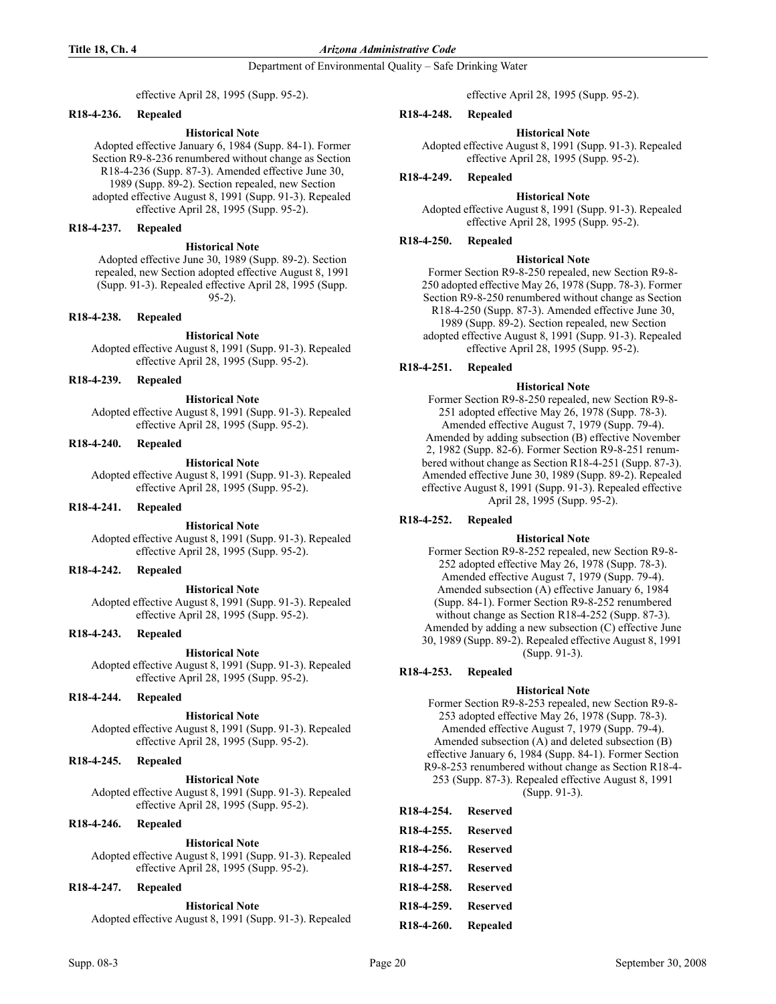Department of Environmental Quality – Safe Drinking Water

effective April 28, 1995 (Supp. 95-2).

## R18-4-236. Repealed

## **Historical Note**

Adopted effective January 6, 1984 (Supp. 84-1). Former Section R9-8-236 renumbered without change as Section R18-4-236 (Supp. 87-3). Amended effective June 30, 1989 (Supp. 89-2). Section repealed, new Section adopted effective August 8, 1991 (Supp. 91-3). Repealed effective April 28, 1995 (Supp. 95-2).

## R18-4-237. Repealed

## **Historical Note**

Adopted effective June 30, 1989 (Supp. 89-2). Section repealed, new Section adopted effective August 8, 1991 (Supp. 91-3). Repealed effective April 28, 1995 (Supp. 95-2).

## R18-4-238. Repealed

## **Historical Note**

Adopted effective August 8, 1991 (Supp. 91-3). Repealed effective April 28, 1995 (Supp. 95-2).

#### R18-4-239. Repealed

**Historical Note** Adopted effective August 8, 1991 (Supp. 91-3). Repealed effective April 28, 1995 (Supp. 95-2).

#### R18-4-240. Repealed

#### **Historical Note**

Adopted effective August 8, 1991 (Supp. 91-3). Repealed effective April 28, 1995 (Supp. 95-2).

## R18-4-241. Repealed

**Historical Note** 

Adopted effective August 8, 1991 (Supp. 91-3). Repealed effective April 28, 1995 (Supp. 95-2).

## R18-4-242. Repealed

#### **Historical Note**

Adopted effective August 8, 1991 (Supp. 91-3). Repealed effective April 28, 1995 (Supp. 95-2).

## R18-4-243. Repealed

**Historical Note** 

Adopted effective August 8, 1991 (Supp. 91-3). Repealed effective April 28, 1995 (Supp. 95-2).

## R18-4-244. Repealed

## **Historical Note**

Adopted effective August 8, 1991 (Supp. 91-3). Repealed effective April 28, 1995 (Supp. 95-2).

#### R18-4-245. Repealed

**Historical Note** Adopted effective August 8, 1991 (Supp. 91-3). Repealed effective April 28, 1995 (Supp. 95-2).

## R18-4-246. Repealed

## **Historical Note**

Adopted effective August 8, 1991 (Supp. 91-3). Repealed effective April 28, 1995 (Supp. 95-2).

## R18-4-247. Repealed

**Historical Note** 

Adopted effective August 8, 1991 (Supp. 91-3). Repealed

effective April 28, 1995 (Supp. 95-2).

## R18-4-248. Repealed

## **Historical Note**

Adopted effective August 8, 1991 (Supp. 91-3). Repealed effective April 28, 1995 (Supp. 95-2).

## R18-4-249. Repealed

#### **Historical Note**

Adopted effective August 8, 1991 (Supp. 91-3). Repealed effective April 28, 1995 (Supp. 95-2).

## R18-4-250. Repealed

#### **Historical Note**

Former Section R9-8-250 repealed, new Section R9-8- 250 adopted effective May 26, 1978 (Supp. 78-3). Former Section R9-8-250 renumbered without change as Section R18-4-250 (Supp. 87-3). Amended effective June 30, 1989 (Supp. 89-2). Section repealed, new Section adopted effective August 8, 1991 (Supp. 91-3). Repealed effective April 28, 1995 (Supp. 95-2).

## R18-4-251. Repealed

#### **Historical Note**

Former Section R9-8-250 repealed, new Section R9-8- 251 adopted effective May 26, 1978 (Supp. 78-3). Amended effective August 7, 1979 (Supp. 79-4). Amended by adding subsection (B) effective November 2, 1982 (Supp. 82-6). Former Section R9-8-251 renumbered without change as Section R18-4-251 (Supp. 87-3). Amended effective June 30, 1989 (Supp. 89-2). Repealed effective August 8, 1991 (Supp. 91-3). Repealed effective April 28, 1995 (Supp. 95-2).

## R18-4-252. Repealed

## **Historical Note**

Former Section R9-8-252 repealed, new Section R9-8- 252 adopted effective May 26, 1978 (Supp. 78-3). Amended effective August 7, 1979 (Supp. 79-4). Amended subsection (A) effective January 6, 1984 (Supp. 84-1). Former Section R9-8-252 renumbered without change as Section R18-4-252 (Supp. 87-3). Amended by adding a new subsection (C) effective June 30, 1989 (Supp. 89-2). Repealed effective August 8, 1991 (Supp. 91-3).

## R18-4-253. Repealed

## **Historical Note**

Former Section R9-8-253 repealed, new Section R9-8- 253 adopted effective May 26, 1978 (Supp. 78-3). Amended effective August 7, 1979 (Supp. 79-4). Amended subsection (A) and deleted subsection (B) effective January 6, 1984 (Supp. 84-1). Former Section R9-8-253 renumbered without change as Section R18-4- 253 (Supp. 87-3). Repealed effective August 8, 1991 (Supp. 91-3).

| R18-4-254. Reserved |  |
|---------------------|--|
| R18-4-255. Reserved |  |
| R18-4-256. Reserved |  |
| R18-4-257. Reserved |  |
| R18-4-258. Reserved |  |
| R18-4-259. Reserved |  |
| R18-4-260. Repealed |  |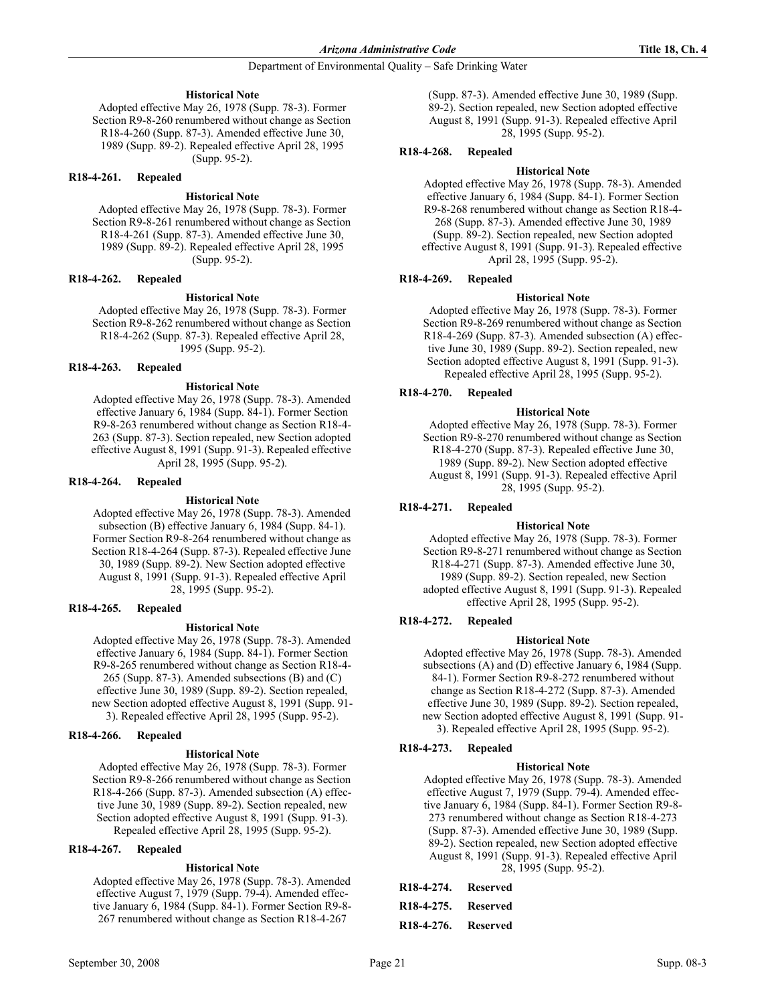## **Historical Note**

Adopted effective May 26, 1978 (Supp. 78-3). Former Section R9-8-260 renumbered without change as Section R18-4-260 (Supp. 87-3). Amended effective June 30, 1989 (Supp. 89-2). Repealed effective April 28, 1995 (Supp. 95-2).

#### R18-4-261. Repealed

## **Historical Note**

Adopted effective May 26, 1978 (Supp. 78-3). Former Section R9-8-261 renumbered without change as Section R18-4-261 (Supp. 87-3). Amended effective June 30, 1989 (Supp. 89-2). Repealed effective April 28, 1995 (Supp. 95-2).

## R18-4-262. Repealed

#### **Historical Note**

Adopted effective May 26, 1978 (Supp. 78-3). Former Section R9-8-262 renumbered without change as Section R18-4-262 (Supp. 87-3). Repealed effective April 28, 1995 (Supp. 95-2).

## R18-4-263. Repealed

#### **Historical Note**

Adopted effective May 26, 1978 (Supp. 78-3). Amended effective January 6, 1984 (Supp. 84-1). Former Section R9-8-263 renumbered without change as Section R18-4- 263 (Supp. 87-3). Section repealed, new Section adopted effective August 8, 1991 (Supp. 91-3). Repealed effective April 28, 1995 (Supp. 95-2).

#### R18-4-264. Repealed

#### **Historical Note**

Adopted effective May 26, 1978 (Supp. 78-3). Amended subsection (B) effective January 6, 1984 (Supp. 84-1). Former Section R9-8-264 renumbered without change as Section R18-4-264 (Supp. 87-3). Repealed effective June 30, 1989 (Supp. 89-2). New Section adopted effective August 8, 1991 (Supp. 91-3). Repealed effective April 28, 1995 (Supp. 95-2).

#### R18-4-265. Repealed

## **Historical Note**

Adopted effective May 26, 1978 (Supp. 78-3). Amended effective January 6, 1984 (Supp. 84-1). Former Section R9-8-265 renumbered without change as Section R18-4- 265 (Supp. 87-3). Amended subsections (B) and (C) effective June 30, 1989 (Supp. 89-2). Section repealed, new Section adopted effective August 8, 1991 (Supp. 91- 3). Repealed effective April 28, 1995 (Supp. 95-2).

## R18-4-266. Repealed

## **Historical Note**

Adopted effective May 26, 1978 (Supp. 78-3). Former Section R9-8-266 renumbered without change as Section R18-4-266 (Supp. 87-3). Amended subsection (A) effective June 30, 1989 (Supp. 89-2). Section repealed, new Section adopted effective August 8, 1991 (Supp. 91-3). Repealed effective April 28, 1995 (Supp. 95-2).

#### R18-4-267. Repealed

## **Historical Note**

Adopted effective May 26, 1978 (Supp. 78-3). Amended effective August 7, 1979 (Supp. 79-4). Amended effective January 6, 1984 (Supp. 84-1). Former Section R9-8- 267 renumbered without change as Section R18-4-267

(Supp. 87-3). Amended effective June 30, 1989 (Supp. 89-2). Section repealed, new Section adopted effective August 8, 1991 (Supp. 91-3). Repealed effective April 28, 1995 (Supp. 95-2).

## R18-4-268. Repealed

## **Historical Note**

Adopted effective May 26, 1978 (Supp. 78-3). Amended effective January 6, 1984 (Supp. 84-1). Former Section R9-8-268 renumbered without change as Section R18-4- 268 (Supp. 87-3). Amended effective June 30, 1989 (Supp. 89-2). Section repealed, new Section adopted effective August 8, 1991 (Supp. 91-3). Repealed effective April 28, 1995 (Supp. 95-2).

## R18-4-269. Repealed

## **Historical Note**

Adopted effective May 26, 1978 (Supp. 78-3). Former Section R9-8-269 renumbered without change as Section R18-4-269 (Supp. 87-3). Amended subsection (A) effective June 30, 1989 (Supp. 89-2). Section repealed, new Section adopted effective August 8, 1991 (Supp. 91-3). Repealed effective April 28, 1995 (Supp. 95-2).

## R18-4-270. Repealed

#### **Historical Note**

Adopted effective May 26, 1978 (Supp. 78-3). Former Section R9-8-270 renumbered without change as Section R18-4-270 (Supp. 87-3). Repealed effective June 30, 1989 (Supp. 89-2). New Section adopted effective August 8, 1991 (Supp. 91-3). Repealed effective April 28, 1995 (Supp. 95-2).

## R18-4-271. Repealed

## **Historical Note**

Adopted effective May 26, 1978 (Supp. 78-3). Former Section R9-8-271 renumbered without change as Section R18-4-271 (Supp. 87-3). Amended effective June 30, 1989 (Supp. 89-2). Section repealed, new Section adopted effective August 8, 1991 (Supp. 91-3). Repealed effective April 28, 1995 (Supp. 95-2).

## R18-4-272. Repealed

## **Historical Note**

Adopted effective May 26, 1978 (Supp. 78-3). Amended subsections (A) and (D) effective January 6, 1984 (Supp. 84-1). Former Section R9-8-272 renumbered without change as Section R18-4-272 (Supp. 87-3). Amended effective June 30, 1989 (Supp. 89-2). Section repealed, new Section adopted effective August 8, 1991 (Supp. 91- 3). Repealed effective April 28, 1995 (Supp. 95-2).

## R18-4-273. Repealed

## **Historical Note**

Adopted effective May 26, 1978 (Supp. 78-3). Amended effective August 7, 1979 (Supp. 79-4). Amended effective January 6, 1984 (Supp. 84-1). Former Section R9-8- 273 renumbered without change as Section R18-4-273 (Supp. 87-3). Amended effective June 30, 1989 (Supp. 89-2). Section repealed, new Section adopted effective August 8, 1991 (Supp. 91-3). Repealed effective April 28, 1995 (Supp. 95-2).

| R <sub>18</sub> -4-274. Reserved |  |
|----------------------------------|--|
| R <sub>18</sub> -4-275. Reserved |  |
| R <sub>18</sub> -4-276. Reserved |  |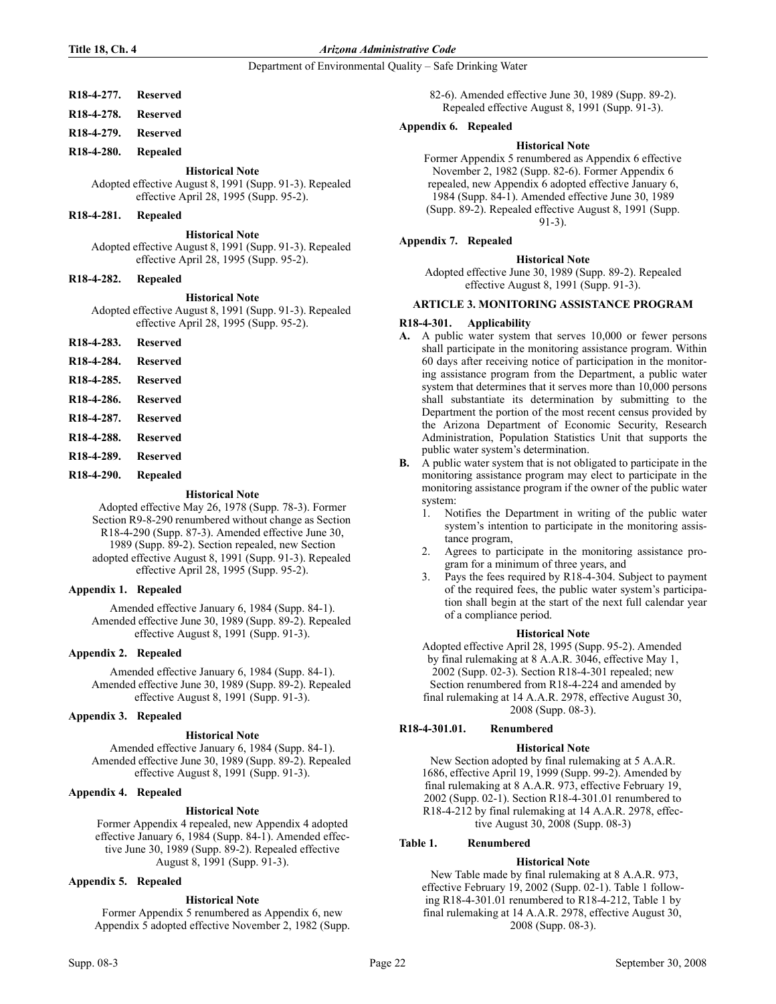## Department of Environmental Quality – Safe Drinking Water

## R18-4-277. Reserved

R18-4-278. Reserved

R18-4-279. Reserved

## R18-4-280. Repealed

## **Historical Note**

Adopted effective August 8, 1991 (Supp. 91-3). Repealed effective April 28, 1995 (Supp. 95-2).

### R18-4-281. Repealed

**Historical Note** 

Adopted effective August 8, 1991 (Supp. 91-3). Repealed effective April 28, 1995 (Supp. 95-2).

## R18-4-282. Repealed

#### **Historical Note**

Adopted effective August 8, 1991 (Supp. 91-3). Repealed effective April 28, 1995 (Supp. 95-2).

- R18-4-283. Reserved
- R18-4-284. Reserved
- R18-4-285. Reserved
- R18-4-286. Reserved
- R18-4-287. Reserved
- R18-4-288. Reserved
- R18-4-289. Reserved
- R18-4-290. Repealed

## **Historical Note**

Adopted effective May 26, 1978 (Supp. 78-3). Former Section R9-8-290 renumbered without change as Section R18-4-290 (Supp. 87-3). Amended effective June 30, 1989 (Supp. 89-2). Section repealed, new Section adopted effective August 8, 1991 (Supp. 91-3). Repealed effective April 28, 1995 (Supp. 95-2).

## Appendix 1. Repealed

Amended effective January 6, 1984 (Supp. 84-1). Amended effective June 30, 1989 (Supp. 89-2). Repealed effective August 8, 1991 (Supp. 91-3).

## Appendix 2. Repealed

Amended effective January 6, 1984 (Supp. 84-1). Amended effective June 30, 1989 (Supp. 89-2). Repealed effective August 8, 1991 (Supp. 91-3).

## Appendix 3. Repealed

## **Historical Note**

Amended effective January 6, 1984 (Supp. 84-1). Amended effective June 30, 1989 (Supp. 89-2). Repealed effective August 8, 1991 (Supp. 91-3).

## Appendix 4. Repealed

## **Historical Note**

Former Appendix 4 repealed, new Appendix 4 adopted effective January 6, 1984 (Supp. 84-1). Amended effective June 30, 1989 (Supp. 89-2). Repealed effective August 8, 1991 (Supp. 91-3).

## Appendix 5. Repealed

## **Historical Note**

Former Appendix 5 renumbered as Appendix 6, new Appendix 5 adopted effective November 2, 1982 (Supp. 82-6). Amended effective June 30, 1989 (Supp. 89-2). Repealed effective August 8, 1991 (Supp. 91-3).

## Appendix 6. Repealed

## **Historical Note**

Former Appendix 5 renumbered as Appendix 6 effective November 2, 1982 (Supp. 82-6). Former Appendix 6 repealed, new Appendix 6 adopted effective January 6, 1984 (Supp. 84-1). Amended effective June 30, 1989 (Supp. 89-2). Repealed effective August 8, 1991 (Supp. 91-3).

## Appendix 7. Repealed

## **Historical Note**

Adopted effective June 30, 1989 (Supp. 89-2). Repealed effective August 8, 1991 (Supp. 91-3).

#### ARTICLE 3. MONITORING ASSISTANCE PROGRAM

#### R18-4-301. Applicability

- A. A public water system that serves 10,000 or fewer persons shall participate in the monitoring assistance program. Within 60 days after receiving notice of participation in the monitoring assistance program from the Department, a public water system that determines that it serves more than 10,000 persons shall substantiate its determination by submitting to the Department the portion of the most recent census provided by the Arizona Department of Economic Security, Research Administration, Population Statistics Unit that supports the public water system's determination.
- B. A public water system that is not obligated to participate in the monitoring assistance program may elect to participate in the monitoring assistance program if the owner of the public water system:
	- 1. Notifies the Department in writing of the public water system's intention to participate in the monitoring assistance program,
	- 2. Agrees to participate in the monitoring assistance program for a minimum of three years, and
	- 3. Pays the fees required by R18-4-304. Subject to payment of the required fees, the public water system's participation shall begin at the start of the next full calendar year of a compliance period.

## **Historical Note**

Adopted effective April 28, 1995 (Supp. 95-2). Amended by final rulemaking at 8 A.A.R. 3046, effective May 1, 2002 (Supp. 02-3). Section R18-4-301 repealed; new Section renumbered from R18-4-224 and amended by final rulemaking at 14 A.A.R. 2978, effective August 30, 2008 (Supp. 08-3).

## R18-4-301.01. Renumbered

## **Historical Note**

New Section adopted by final rulemaking at 5 A.A.R. 1686, effective April 19, 1999 (Supp. 99-2). Amended by final rulemaking at 8 A.A.R. 973, effective February 19, 2002 (Supp. 02-1). Section R18-4-301.01 renumbered to R18-4-212 by final rulemaking at 14 A.A.R. 2978, effective August 30, 2008 (Supp. 08-3)

## Table 1. Renumbered

## **Historical Note**

 New Table made by final rulemaking at 8 A.A.R. 973, effective February 19, 2002 (Supp. 02-1). Table 1 following R18-4-301.01 renumbered to R18-4-212, Table 1 by final rulemaking at 14 A.A.R. 2978, effective August 30, 2008 (Supp. 08-3).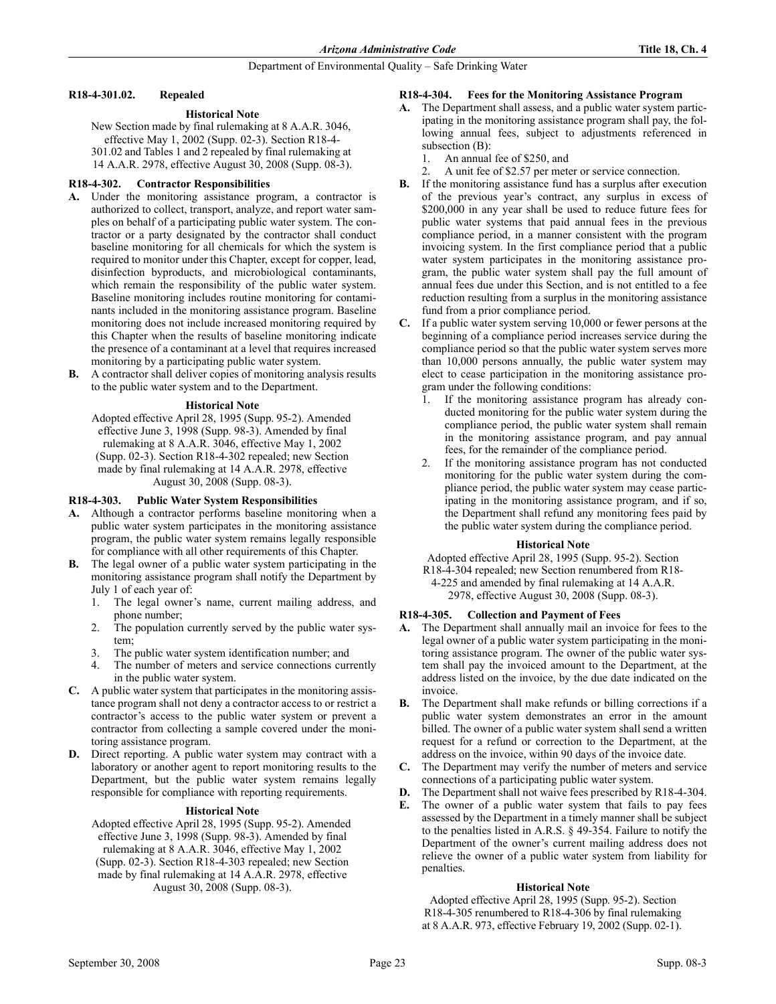## R18-4-301.02. Repealed

## **Historical Note**

New Section made by final rulemaking at 8 A.A.R. 3046, effective May 1, 2002 (Supp. 02-3). Section R18-4- 301.02 and Tables 1 and 2 repealed by final rulemaking at 14 A.A.R. 2978, effective August 30, 2008 (Supp. 08-3).

## R18-4-302. Contractor Responsibilities

- A. Under the monitoring assistance program, a contractor is authorized to collect, transport, analyze, and report water samples on behalf of a participating public water system. The contractor or a party designated by the contractor shall conduct baseline monitoring for all chemicals for which the system is required to monitor under this Chapter, except for copper, lead, disinfection byproducts, and microbiological contaminants, which remain the responsibility of the public water system. Baseline monitoring includes routine monitoring for contaminants included in the monitoring assistance program. Baseline monitoring does not include increased monitoring required by this Chapter when the results of baseline monitoring indicate the presence of a contaminant at a level that requires increased monitoring by a participating public water system.
- B. A contractor shall deliver copies of monitoring analysis results to the public water system and to the Department.

## **Historical Note**

Adopted effective April 28, 1995 (Supp. 95-2). Amended effective June 3, 1998 (Supp. 98-3). Amended by final rulemaking at 8 A.A.R. 3046, effective May 1, 2002 (Supp. 02-3). Section R18-4-302 repealed; new Section made by final rulemaking at 14 A.A.R. 2978, effective August 30, 2008 (Supp. 08-3).

## R18-4-303. Public Water System Responsibilities

- A. Although a contractor performs baseline monitoring when a public water system participates in the monitoring assistance program, the public water system remains legally responsible for compliance with all other requirements of this Chapter.
- B. The legal owner of a public water system participating in the monitoring assistance program shall notify the Department by July 1 of each year of:
	- 1. The legal owner's name, current mailing address, and phone number;
	- 2. The population currently served by the public water system;
	- 3. The public water system identification number; and
	- The number of meters and service connections currently in the public water system.
- C. A public water system that participates in the monitoring assistance program shall not deny a contractor access to or restrict a contractor's access to the public water system or prevent a contractor from collecting a sample covered under the monitoring assistance program.
- D. Direct reporting. A public water system may contract with a laboratory or another agent to report monitoring results to the Department, but the public water system remains legally responsible for compliance with reporting requirements.

#### **Historical Note**

Adopted effective April 28, 1995 (Supp. 95-2). Amended effective June 3, 1998 (Supp. 98-3). Amended by final rulemaking at 8 A.A.R. 3046, effective May 1, 2002 (Supp. 02-3). Section R18-4-303 repealed; new Section made by final rulemaking at 14 A.A.R. 2978, effective August 30, 2008 (Supp. 08-3).

## R18-4-304. Fees for the Monitoring Assistance Program

- A. The Department shall assess, and a public water system participating in the monitoring assistance program shall pay, the following annual fees, subject to adjustments referenced in subsection (B):
	- 1. An annual fee of \$250, and
	- 2. A unit fee of \$2.57 per meter or service connection.
- B. If the monitoring assistance fund has a surplus after execution of the previous year's contract, any surplus in excess of \$200,000 in any year shall be used to reduce future fees for public water systems that paid annual fees in the previous compliance period, in a manner consistent with the program invoicing system. In the first compliance period that a public water system participates in the monitoring assistance program, the public water system shall pay the full amount of annual fees due under this Section, and is not entitled to a fee reduction resulting from a surplus in the monitoring assistance fund from a prior compliance period.
- C. If a public water system serving 10,000 or fewer persons at the beginning of a compliance period increases service during the compliance period so that the public water system serves more than 10,000 persons annually, the public water system may elect to cease participation in the monitoring assistance program under the following conditions:
	- If the monitoring assistance program has already conducted monitoring for the public water system during the compliance period, the public water system shall remain in the monitoring assistance program, and pay annual fees, for the remainder of the compliance period.
	- 2. If the monitoring assistance program has not conducted monitoring for the public water system during the compliance period, the public water system may cease participating in the monitoring assistance program, and if so, the Department shall refund any monitoring fees paid by the public water system during the compliance period.

## **Historical Note**

Adopted effective April 28, 1995 (Supp. 95-2). Section

R18-4-304 repealed; new Section renumbered from R18- 4-225 and amended by final rulemaking at 14 A.A.R.

2978, effective August 30, 2008 (Supp. 08-3).

## R18-4-305. Collection and Payment of Fees

- A. The Department shall annually mail an invoice for fees to the legal owner of a public water system participating in the monitoring assistance program. The owner of the public water system shall pay the invoiced amount to the Department, at the address listed on the invoice, by the due date indicated on the invoice.
- B. The Department shall make refunds or billing corrections if a public water system demonstrates an error in the amount billed. The owner of a public water system shall send a written request for a refund or correction to the Department, at the address on the invoice, within 90 days of the invoice date.
- C. The Department may verify the number of meters and service connections of a participating public water system.
- D. The Department shall not waive fees prescribed by R18-4-304.
- E. The owner of a public water system that fails to pay fees assessed by the Department in a timely manner shall be subject to the penalties listed in A.R.S. § 49-354. Failure to notify the Department of the owner's current mailing address does not relieve the owner of a public water system from liability for penalties.

## **Historical Note**

Adopted effective April 28, 1995 (Supp. 95-2). Section R18-4-305 renumbered to R18-4-306 by final rulemaking at 8 A.A.R. 973, effective February 19, 2002 (Supp. 02-1).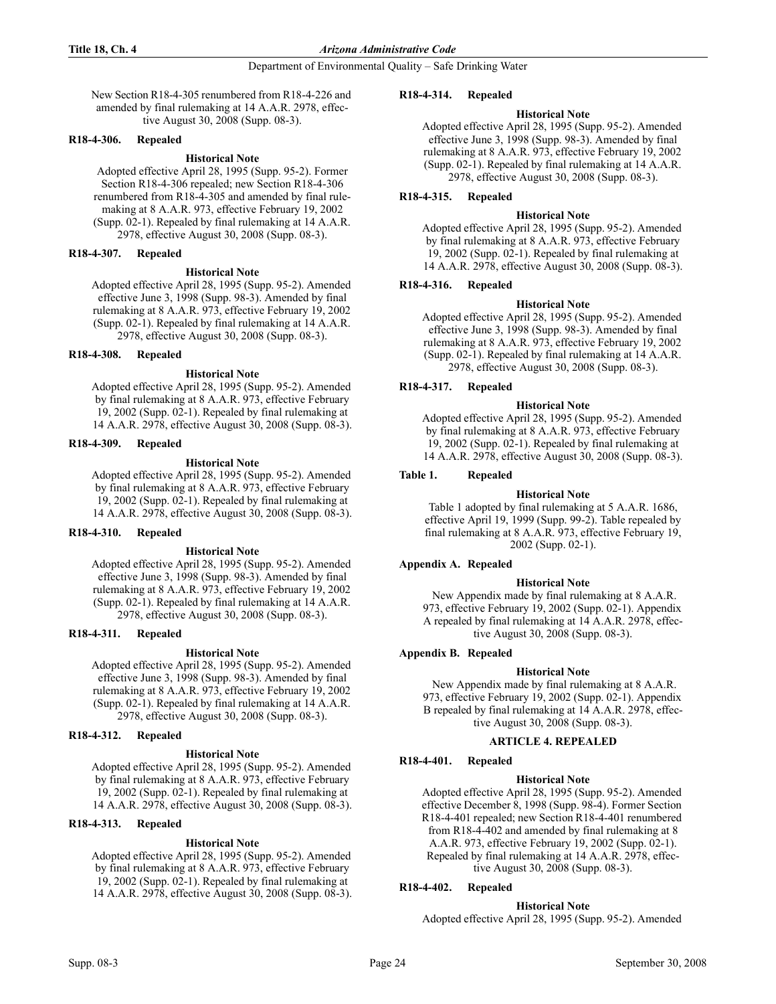#### Department of Environmental Quality – Safe Drinking Water

New Section R18-4-305 renumbered from R18-4-226 and amended by final rulemaking at 14 A.A.R. 2978, effective August 30, 2008 (Supp. 08-3).

### R18-4-306. Repealed

#### **Historical Note**

Adopted effective April 28, 1995 (Supp. 95-2). Former Section R18-4-306 repealed; new Section R18-4-306 renumbered from R18-4-305 and amended by final rulemaking at 8 A.A.R. 973, effective February 19, 2002 (Supp. 02-1). Repealed by final rulemaking at 14 A.A.R. 2978, effective August 30, 2008 (Supp. 08-3).

#### R18-4-307. Repealed

#### **Historical Note**

Adopted effective April 28, 1995 (Supp. 95-2). Amended effective June 3, 1998 (Supp. 98-3). Amended by final rulemaking at 8 A.A.R. 973, effective February 19, 2002 (Supp. 02-1). Repealed by final rulemaking at 14 A.A.R. 2978, effective August 30, 2008 (Supp. 08-3).

## R18-4-308. Repealed

#### **Historical Note**

Adopted effective April 28, 1995 (Supp. 95-2). Amended by final rulemaking at 8 A.A.R. 973, effective February 19, 2002 (Supp. 02-1). Repealed by final rulemaking at 14 A.A.R. 2978, effective August 30, 2008 (Supp. 08-3).

#### R18-4-309. Repealed

#### **Historical Note**

Adopted effective April 28, 1995 (Supp. 95-2). Amended by final rulemaking at 8 A.A.R. 973, effective February 19, 2002 (Supp. 02-1). Repealed by final rulemaking at 14 A.A.R. 2978, effective August 30, 2008 (Supp. 08-3).

## R18-4-310. Repealed

## **Historical Note**

Adopted effective April 28, 1995 (Supp. 95-2). Amended effective June 3, 1998 (Supp. 98-3). Amended by final rulemaking at 8 A.A.R. 973, effective February 19, 2002 (Supp. 02-1). Repealed by final rulemaking at 14 A.A.R. 2978, effective August 30, 2008 (Supp. 08-3).

## R18-4-311. Repealed

#### **Historical Note**

Adopted effective April 28, 1995 (Supp. 95-2). Amended effective June 3, 1998 (Supp. 98-3). Amended by final rulemaking at 8 A.A.R. 973, effective February 19, 2002 (Supp. 02-1). Repealed by final rulemaking at 14 A.A.R. 2978, effective August 30, 2008 (Supp. 08-3).

## R18-4-312. Repealed

#### **Historical Note**

Adopted effective April 28, 1995 (Supp. 95-2). Amended by final rulemaking at 8 A.A.R. 973, effective February 19, 2002 (Supp. 02-1). Repealed by final rulemaking at 14 A.A.R. 2978, effective August 30, 2008 (Supp. 08-3).

## R18-4-313. Repealed

## **Historical Note**

Adopted effective April 28, 1995 (Supp. 95-2). Amended by final rulemaking at 8 A.A.R. 973, effective February 19, 2002 (Supp. 02-1). Repealed by final rulemaking at 14 A.A.R. 2978, effective August 30, 2008 (Supp. 08-3).

#### R18-4-314. Repealed

## **Historical Note**

Adopted effective April 28, 1995 (Supp. 95-2). Amended effective June 3, 1998 (Supp. 98-3). Amended by final rulemaking at 8 A.A.R. 973, effective February 19, 2002 (Supp. 02-1). Repealed by final rulemaking at 14 A.A.R. 2978, effective August 30, 2008 (Supp. 08-3).

### R18-4-315. Repealed

#### **Historical Note**

Adopted effective April 28, 1995 (Supp. 95-2). Amended by final rulemaking at 8 A.A.R. 973, effective February 19, 2002 (Supp. 02-1). Repealed by final rulemaking at 14 A.A.R. 2978, effective August 30, 2008 (Supp. 08-3).

## R18-4-316. Repealed

#### **Historical Note**

Adopted effective April 28, 1995 (Supp. 95-2). Amended effective June 3, 1998 (Supp. 98-3). Amended by final rulemaking at 8 A.A.R. 973, effective February 19, 2002 (Supp. 02-1). Repealed by final rulemaking at 14 A.A.R. 2978, effective August 30, 2008 (Supp. 08-3).

## R18-4-317. Repealed

## **Historical Note**

Adopted effective April 28, 1995 (Supp. 95-2). Amended by final rulemaking at 8 A.A.R. 973, effective February 19, 2002 (Supp. 02-1). Repealed by final rulemaking at 14 A.A.R. 2978, effective August 30, 2008 (Supp. 08-3).

## Table 1. Repealed

#### **Historical Note**

Table 1 adopted by final rulemaking at 5 A.A.R. 1686, effective April 19, 1999 (Supp. 99-2). Table repealed by final rulemaking at 8 A.A.R. 973, effective February 19, 2002 (Supp. 02-1).

## Appendix A. Repealed

## **Historical Note**

 New Appendix made by final rulemaking at 8 A.A.R. 973, effective February 19, 2002 (Supp. 02-1). Appendix A repealed by final rulemaking at 14 A.A.R. 2978, effective August 30, 2008 (Supp. 08-3).

## Appendix B. Repealed

## **Historical Note**

 New Appendix made by final rulemaking at 8 A.A.R. 973, effective February 19, 2002 (Supp. 02-1). Appendix B repealed by final rulemaking at 14 A.A.R. 2978, effective August 30, 2008 (Supp. 08-3).

## ARTICLE 4. REPEALED

## R18-4-401. Repealed

#### **Historical Note**

Adopted effective April 28, 1995 (Supp. 95-2). Amended effective December 8, 1998 (Supp. 98-4). Former Section R18-4-401 repealed; new Section R18-4-401 renumbered from R18-4-402 and amended by final rulemaking at 8 A.A.R. 973, effective February 19, 2002 (Supp. 02-1). Repealed by final rulemaking at 14 A.A.R. 2978, effective August 30, 2008 (Supp. 08-3).

## R18-4-402. Repealed

#### **Historical Note**

Adopted effective April 28, 1995 (Supp. 95-2). Amended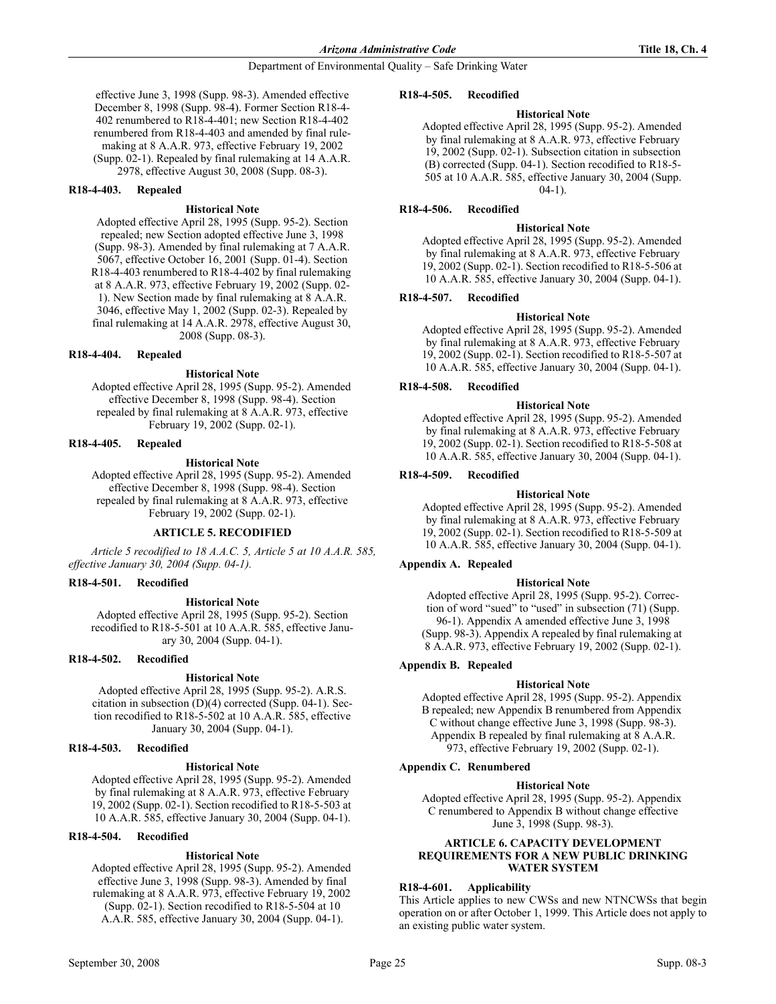effective June 3, 1998 (Supp. 98-3). Amended effective December 8, 1998 (Supp. 98-4). Former Section R18-4- 402 renumbered to R18-4-401; new Section R18-4-402 renumbered from R18-4-403 and amended by final rulemaking at 8 A.A.R. 973, effective February 19, 2002 (Supp. 02-1). Repealed by final rulemaking at 14 A.A.R. 2978, effective August 30, 2008 (Supp. 08-3).

### R18-4-403. Repealed

#### **Historical Note**

Adopted effective April 28, 1995 (Supp. 95-2). Section repealed; new Section adopted effective June 3, 1998 (Supp. 98-3). Amended by final rulemaking at 7 A.A.R. 5067, effective October 16, 2001 (Supp. 01-4). Section R18-4-403 renumbered to R18-4-402 by final rulemaking at 8 A.A.R. 973, effective February 19, 2002 (Supp. 02- 1). New Section made by final rulemaking at 8 A.A.R. 3046, effective May 1, 2002 (Supp. 02-3). Repealed by final rulemaking at 14 A.A.R. 2978, effective August 30, 2008 (Supp. 08-3).

#### R18-4-404. Repealed

#### **Historical Note**

Adopted effective April 28, 1995 (Supp. 95-2). Amended effective December 8, 1998 (Supp. 98-4). Section repealed by final rulemaking at 8 A.A.R. 973, effective February 19, 2002 (Supp. 02-1).

#### R18-4-405. Repealed

## **Historical Note**

Adopted effective April 28, 1995 (Supp. 95-2). Amended effective December 8, 1998 (Supp. 98-4). Section repealed by final rulemaking at 8 A.A.R. 973, effective February 19, 2002 (Supp. 02-1).

## ARTICLE 5. RECODIFIED

Article 5 recodified to 18 A.A.C. 5, Article 5 at 10 A.A.R. 585, effective January 30, 2004 (Supp. 04-1).

#### R18-4-501. Recodified

#### **Historical Note**

Adopted effective April 28, 1995 (Supp. 95-2). Section recodified to R18-5-501 at 10 A.A.R. 585, effective January 30, 2004 (Supp. 04-1).

#### R18-4-502. Recodified

## **Historical Note**

Adopted effective April 28, 1995 (Supp. 95-2). A.R.S. citation in subsection (D)(4) corrected (Supp. 04-1). Section recodified to R18-5-502 at 10 A.A.R. 585, effective January 30, 2004 (Supp. 04-1).

#### R18-4-503. Recodified

## **Historical Note**

Adopted effective April 28, 1995 (Supp. 95-2). Amended by final rulemaking at 8 A.A.R. 973, effective February 19, 2002 (Supp. 02-1). Section recodified to R18-5-503 at 10 A.A.R. 585, effective January 30, 2004 (Supp. 04-1).

## R18-4-504. Recodified

## **Historical Note**

Adopted effective April 28, 1995 (Supp. 95-2). Amended effective June 3, 1998 (Supp. 98-3). Amended by final rulemaking at 8 A.A.R. 973, effective February 19, 2002 (Supp. 02-1). Section recodified to R18-5-504 at 10 A.A.R. 585, effective January 30, 2004 (Supp. 04-1).

#### R18-4-505. Recodified

## **Historical Note**

Adopted effective April 28, 1995 (Supp. 95-2). Amended by final rulemaking at 8 A.A.R. 973, effective February 19, 2002 (Supp. 02-1). Subsection citation in subsection (B) corrected (Supp. 04-1). Section recodified to R18-5- 505 at 10 A.A.R. 585, effective January 30, 2004 (Supp.  $(04-1)$ .

## R18-4-506. Recodified

#### **Historical Note**

Adopted effective April 28, 1995 (Supp. 95-2). Amended by final rulemaking at 8 A.A.R. 973, effective February 19, 2002 (Supp. 02-1). Section recodified to R18-5-506 at 10 A.A.R. 585, effective January 30, 2004 (Supp. 04-1).

#### R18-4-507. Recodified

#### **Historical Note**

Adopted effective April 28, 1995 (Supp. 95-2). Amended by final rulemaking at 8 A.A.R. 973, effective February 19, 2002 (Supp. 02-1). Section recodified to R18-5-507 at 10 A.A.R. 585, effective January 30, 2004 (Supp. 04-1).

## R18-4-508. Recodified

## **Historical Note**

Adopted effective April 28, 1995 (Supp. 95-2). Amended by final rulemaking at 8 A.A.R. 973, effective February 19, 2002 (Supp. 02-1). Section recodified to R18-5-508 at 10 A.A.R. 585, effective January 30, 2004 (Supp. 04-1).

#### R18-4-509. Recodified

#### **Historical Note**

Adopted effective April 28, 1995 (Supp. 95-2). Amended by final rulemaking at 8 A.A.R. 973, effective February 19, 2002 (Supp. 02-1). Section recodified to R18-5-509 at 10 A.A.R. 585, effective January 30, 2004 (Supp. 04-1).

## Appendix A. Repealed

## **Historical Note**

Adopted effective April 28, 1995 (Supp. 95-2). Correction of word "sued" to "used" in subsection (71) (Supp. 96-1). Appendix A amended effective June 3, 1998 (Supp. 98-3). Appendix A repealed by final rulemaking at 8 A.A.R. 973, effective February 19, 2002 (Supp. 02-1).

## Appendix B. Repealed

## **Historical Note**

Adopted effective April 28, 1995 (Supp. 95-2). Appendix B repealed; new Appendix B renumbered from Appendix C without change effective June 3, 1998 (Supp. 98-3). Appendix B repealed by final rulemaking at 8 A.A.R. 973, effective February 19, 2002 (Supp. 02-1).

## Appendix C. Renumbered

#### **Historical Note**

Adopted effective April 28, 1995 (Supp. 95-2). Appendix C renumbered to Appendix B without change effective June 3, 1998 (Supp. 98-3).

#### **ARTICLE 6. CAPACITY DEVELOPMENT** REQUIREMENTS FOR A NEW PUBLIC DRINKING WATER SYSTEM

## R18-4-601. Applicability

This Article applies to new CWSs and new NTNCWSs that begin operation on or after October 1, 1999. This Article does not apply to an existing public water system.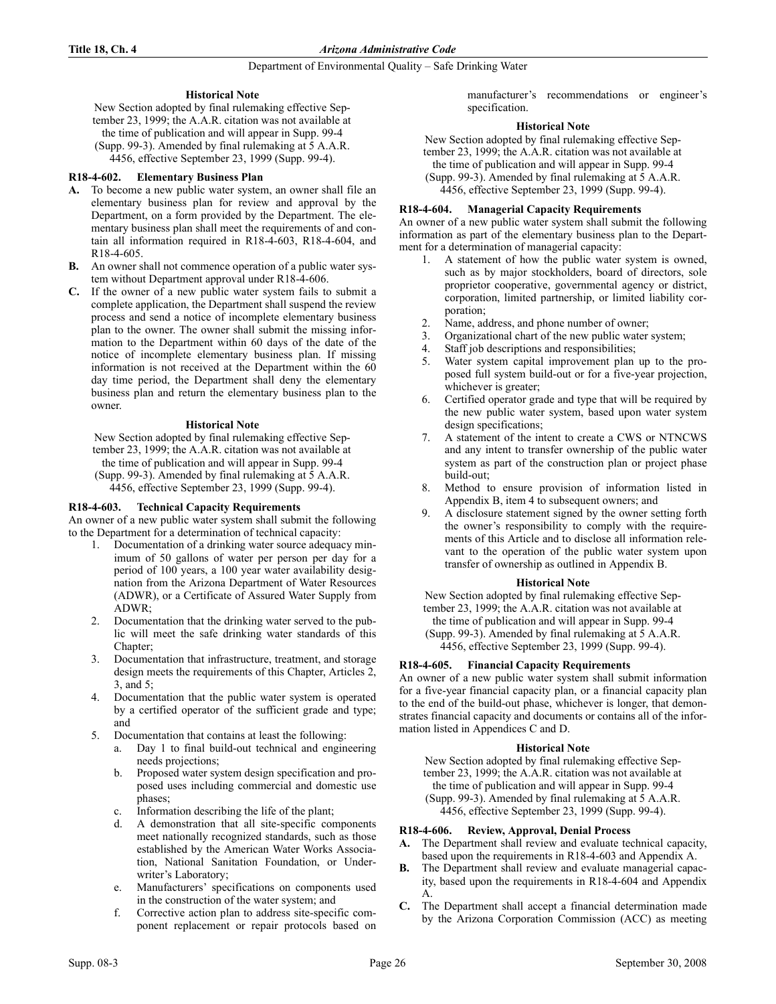## **Historical Note**

New Section adopted by final rulemaking effective September 23, 1999; the A.A.R. citation was not available at the time of publication and will appear in Supp. 99-4 (Supp. 99-3). Amended by final rulemaking at 5 A.A.R. 4456, effective September 23, 1999 (Supp. 99-4).

## R18-4-602. Elementary Business Plan

- A. To become a new public water system, an owner shall file an elementary business plan for review and approval by the Department, on a form provided by the Department. The elementary business plan shall meet the requirements of and contain all information required in R18-4-603, R18-4-604, and R18-4-605.
- B. An owner shall not commence operation of a public water system without Department approval under R18-4-606.
- C. If the owner of a new public water system fails to submit a complete application, the Department shall suspend the review process and send a notice of incomplete elementary business plan to the owner. The owner shall submit the missing information to the Department within 60 days of the date of the notice of incomplete elementary business plan. If missing information is not received at the Department within the 60 day time period, the Department shall deny the elementary business plan and return the elementary business plan to the owner.

## **Historical Note**

New Section adopted by final rulemaking effective September 23, 1999; the A.A.R. citation was not available at the time of publication and will appear in Supp. 99-4 (Supp. 99-3). Amended by final rulemaking at 5 A.A.R. 4456, effective September 23, 1999 (Supp. 99-4).

## R18-4-603. Technical Capacity Requirements

An owner of a new public water system shall submit the following to the Department for a determination of technical capacity:

- 1. Documentation of a drinking water source adequacy minimum of 50 gallons of water per person per day for a period of 100 years, a 100 year water availability designation from the Arizona Department of Water Resources (ADWR), or a Certificate of Assured Water Supply from ADWR;
- 2. Documentation that the drinking water served to the public will meet the safe drinking water standards of this Chapter;
- 3. Documentation that infrastructure, treatment, and storage design meets the requirements of this Chapter, Articles 2, 3, and 5;
- 4. Documentation that the public water system is operated by a certified operator of the sufficient grade and type; and
- 5. Documentation that contains at least the following:
	- a. Day 1 to final build-out technical and engineering needs projections;
	- b. Proposed water system design specification and proposed uses including commercial and domestic use phases;
	- c. Information describing the life of the plant;
	- d. A demonstration that all site-specific components meet nationally recognized standards, such as those established by the American Water Works Association, National Sanitation Foundation, or Underwriter's Laboratory;
	- e. Manufacturers' specifications on components used in the construction of the water system; and
	- f. Corrective action plan to address site-specific component replacement or repair protocols based on

manufacturer's recommendations or engineer's specification.

## **Historical Note**

New Section adopted by final rulemaking effective September 23, 1999; the A.A.R. citation was not available at the time of publication and will appear in Supp. 99-4 (Supp. 99-3). Amended by final rulemaking at 5 A.A.R.

4456, effective September 23, 1999 (Supp. 99-4).

## R18-4-604. Managerial Capacity Requirements

An owner of a new public water system shall submit the following information as part of the elementary business plan to the Department for a determination of managerial capacity:

- 1. A statement of how the public water system is owned, such as by major stockholders, board of directors, sole proprietor cooperative, governmental agency or district, corporation, limited partnership, or limited liability corporation;
- 2. Name, address, and phone number of owner;
- 3. Organizational chart of the new public water system;
- 4. Staff job descriptions and responsibilities;
- 5. Water system capital improvement plan up to the proposed full system build-out or for a five-year projection, whichever is greater;
- 6. Certified operator grade and type that will be required by the new public water system, based upon water system design specifications;
- 7. A statement of the intent to create a CWS or NTNCWS and any intent to transfer ownership of the public water system as part of the construction plan or project phase build-out;
- Method to ensure provision of information listed in Appendix B, item 4 to subsequent owners; and
- 9. A disclosure statement signed by the owner setting forth the owner's responsibility to comply with the requirements of this Article and to disclose all information relevant to the operation of the public water system upon transfer of ownership as outlined in Appendix B.

## **Historical Note**

New Section adopted by final rulemaking effective September 23, 1999; the A.A.R. citation was not available at

the time of publication and will appear in Supp. 99-4

(Supp. 99-3). Amended by final rulemaking at 5 A.A.R. 4456, effective September 23, 1999 (Supp. 99-4).

## R18-4-605. Financial Capacity Requirements

An owner of a new public water system shall submit information for a five-year financial capacity plan, or a financial capacity plan to the end of the build-out phase, whichever is longer, that demonstrates financial capacity and documents or contains all of the information listed in Appendices C and D.

## **Historical Note**

New Section adopted by final rulemaking effective September 23, 1999; the A.A.R. citation was not available at the time of publication and will appear in Supp. 99-4 (Supp. 99-3). Amended by final rulemaking at 5 A.A.R. 4456, effective September 23, 1999 (Supp. 99-4).

## R18-4-606. Review, Approval, Denial Process

- A. The Department shall review and evaluate technical capacity, based upon the requirements in R18-4-603 and Appendix A.
- B. The Department shall review and evaluate managerial capacity, based upon the requirements in R18-4-604 and Appendix A.
- C. The Department shall accept a financial determination made by the Arizona Corporation Commission (ACC) as meeting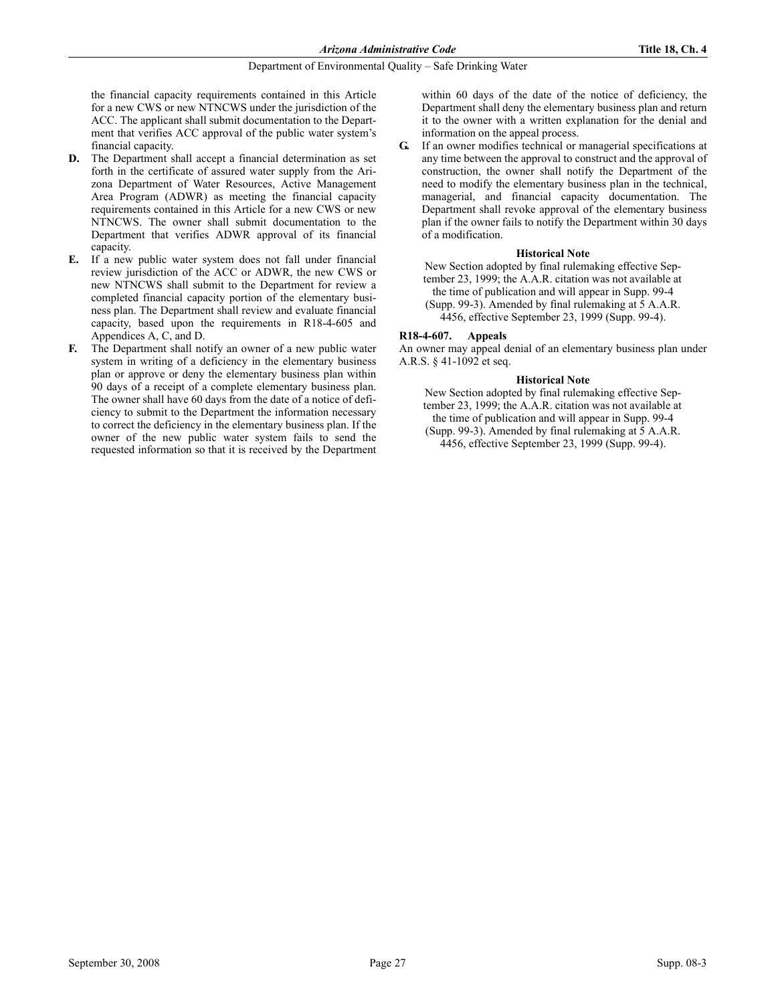the financial capacity requirements contained in this Article for a new CWS or new NTNCWS under the jurisdiction of the ACC. The applicant shall submit documentation to the Department that verifies ACC approval of the public water system's financial capacity.

- D. The Department shall accept a financial determination as set forth in the certificate of assured water supply from the Arizona Department of Water Resources, Active Management Area Program (ADWR) as meeting the financial capacity requirements contained in this Article for a new CWS or new NTNCWS. The owner shall submit documentation to the Department that verifies ADWR approval of its financial capacity.
- E. If a new public water system does not fall under financial review jurisdiction of the ACC or ADWR, the new CWS or new NTNCWS shall submit to the Department for review a completed financial capacity portion of the elementary business plan. The Department shall review and evaluate financial capacity, based upon the requirements in R18-4-605 and Appendices A, C, and D.
- F. The Department shall notify an owner of a new public water system in writing of a deficiency in the elementary business plan or approve or deny the elementary business plan within 90 days of a receipt of a complete elementary business plan. The owner shall have 60 days from the date of a notice of deficiency to submit to the Department the information necessary to correct the deficiency in the elementary business plan. If the owner of the new public water system fails to send the requested information so that it is received by the Department

within 60 days of the date of the notice of deficiency, the Department shall deny the elementary business plan and return it to the owner with a written explanation for the denial and information on the appeal process.

G. If an owner modifies technical or managerial specifications at any time between the approval to construct and the approval of construction, the owner shall notify the Department of the need to modify the elementary business plan in the technical, managerial, and financial capacity documentation. The Department shall revoke approval of the elementary business plan if the owner fails to notify the Department within 30 days of a modification.

## **Historical Note**

New Section adopted by final rulemaking effective September 23, 1999; the A.A.R. citation was not available at the time of publication and will appear in Supp. 99-4 (Supp. 99-3). Amended by final rulemaking at 5 A.A.R. 4456, effective September 23, 1999 (Supp. 99-4).

## R18-4-607. Appeals

An owner may appeal denial of an elementary business plan under A.R.S. § 41-1092 et seq.

## **Historical Note**

New Section adopted by final rulemaking effective September 23, 1999; the A.A.R. citation was not available at the time of publication and will appear in Supp. 99-4 (Supp. 99-3). Amended by final rulemaking at 5 A.A.R. 4456, effective September 23, 1999 (Supp. 99-4).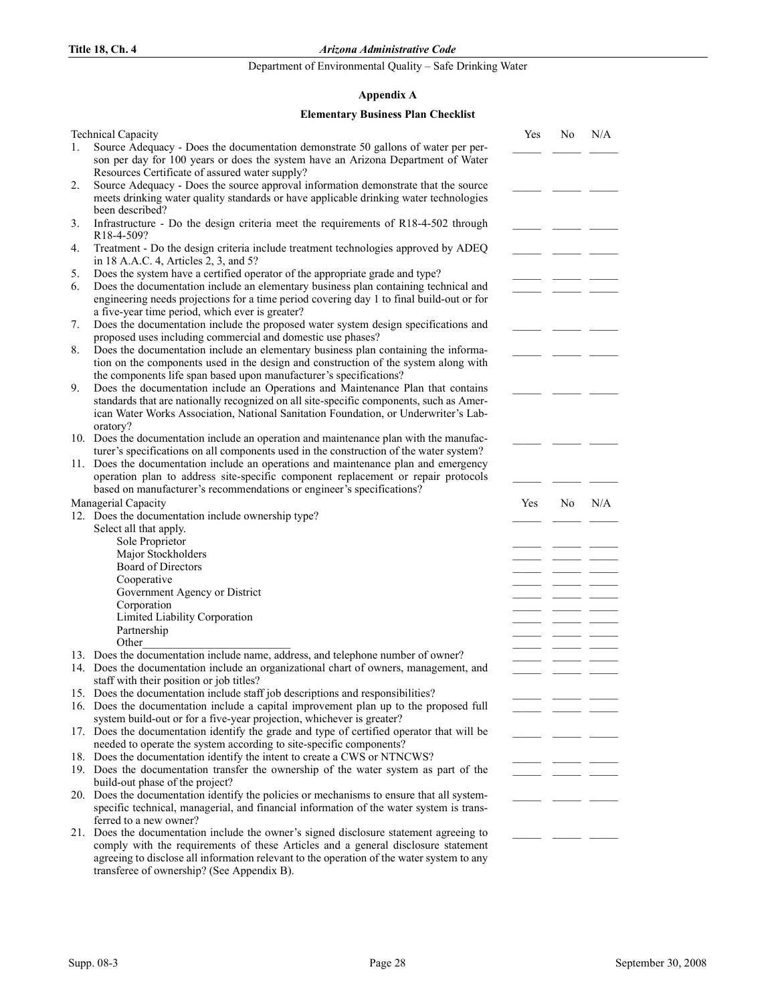Department of Environmental Quality – Safe Drinking Water

## Appendix A

## Elementary Business Plan Checklist

|    | <b>Technical Capacity</b>                                                                                                                                                       | Yes | No | N/A |
|----|---------------------------------------------------------------------------------------------------------------------------------------------------------------------------------|-----|----|-----|
| 1. | Source Adequacy - Does the documentation demonstrate 50 gallons of water per per-<br>son per day for 100 years or does the system have an Arizona Department of Water           |     |    |     |
|    | Resources Certificate of assured water supply?                                                                                                                                  |     |    |     |
| 2. | Source Adequacy - Does the source approval information demonstrate that the source                                                                                              |     |    |     |
|    | meets drinking water quality standards or have applicable drinking water technologies                                                                                           |     |    |     |
|    | been described?                                                                                                                                                                 |     |    |     |
| 3. | Infrastructure - Do the design criteria meet the requirements of R18-4-502 through<br>R18-4-509?                                                                                |     |    |     |
| 4. | Treatment - Do the design criteria include treatment technologies approved by ADEQ<br>in 18 A.A.C. 4, Articles 2, 3, and 5?                                                     |     |    |     |
| 5. | Does the system have a certified operator of the appropriate grade and type?                                                                                                    |     |    |     |
| 6. | Does the documentation include an elementary business plan containing technical and<br>engineering needs projections for a time period covering day 1 to final build-out or for |     |    |     |
|    | a five-year time period, which ever is greater?                                                                                                                                 |     |    |     |
| 7. | Does the documentation include the proposed water system design specifications and<br>proposed uses including commercial and domestic use phases?                               |     |    |     |
| 8. | Does the documentation include an elementary business plan containing the informa-                                                                                              |     |    |     |
|    | tion on the components used in the design and construction of the system along with<br>the components life span based upon manufacturer's specifications?                       |     |    |     |
| 9. | Does the documentation include an Operations and Maintenance Plan that contains                                                                                                 |     |    |     |
|    | standards that are nationally recognized on all site-specific components, such as Amer-                                                                                         |     |    |     |
|    | ican Water Works Association, National Sanitation Foundation, or Underwriter's Lab-                                                                                             |     |    |     |
|    | oratory?<br>10. Does the documentation include an operation and maintenance plan with the manufac-                                                                              |     |    |     |
|    | turer's specifications on all components used in the construction of the water system?                                                                                          |     |    |     |
|    | 11. Does the documentation include an operations and maintenance plan and emergency                                                                                             |     |    |     |
|    | operation plan to address site-specific component replacement or repair protocols                                                                                               |     |    |     |
|    | based on manufacturer's recommendations or engineer's specifications?                                                                                                           |     |    |     |
|    | Managerial Capacity                                                                                                                                                             | Yes | No | N/A |
|    | 12. Does the documentation include ownership type?                                                                                                                              |     |    |     |
|    | Select all that apply.                                                                                                                                                          |     |    |     |
|    | Sole Proprietor                                                                                                                                                                 |     |    |     |
|    | Major Stockholders                                                                                                                                                              |     |    |     |
|    | Board of Directors                                                                                                                                                              |     |    |     |
|    | Cooperative                                                                                                                                                                     |     |    |     |
|    | Government Agency or District                                                                                                                                                   |     |    |     |
|    | Corporation                                                                                                                                                                     |     |    |     |
|    | Limited Liability Corporation                                                                                                                                                   |     |    |     |
|    | Partnership                                                                                                                                                                     |     |    |     |
|    | Other                                                                                                                                                                           |     |    |     |
|    | 13. Does the documentation include name, address, and telephone number of owner?<br>14. Does the documentation include an organizational chart of owners, management, and       |     |    |     |
|    | staff with their position or job titles?                                                                                                                                        |     |    |     |
|    | 15. Does the documentation include staff job descriptions and responsibilities?                                                                                                 |     |    |     |
|    | 16. Does the documentation include a capital improvement plan up to the proposed full                                                                                           |     |    |     |
|    | system build-out or for a five-year projection, whichever is greater?                                                                                                           |     |    |     |
|    | 17. Does the documentation identify the grade and type of certified operator that will be                                                                                       |     |    |     |
|    | needed to operate the system according to site-specific components?                                                                                                             |     |    |     |
|    | 18. Does the documentation identify the intent to create a CWS or NTNCWS?                                                                                                       |     |    |     |
|    | 19. Does the documentation transfer the ownership of the water system as part of the                                                                                            |     |    |     |
|    | build-out phase of the project?                                                                                                                                                 |     |    |     |
|    | 20. Does the documentation identify the policies or mechanisms to ensure that all system-                                                                                       |     |    |     |
|    | specific technical, managerial, and financial information of the water system is trans-                                                                                         |     |    |     |
|    | ferred to a new owner?                                                                                                                                                          |     |    |     |
|    | 21. Does the documentation include the owner's signed disclosure statement agreeing to                                                                                          |     |    |     |
|    | comply with the requirements of these Articles and a general disclosure statement<br>agreeing to disclose all information relevant to the operation of the water system to any  |     |    |     |
|    | transferee of ownership? (See Appendix B).                                                                                                                                      |     |    |     |
|    |                                                                                                                                                                                 |     |    |     |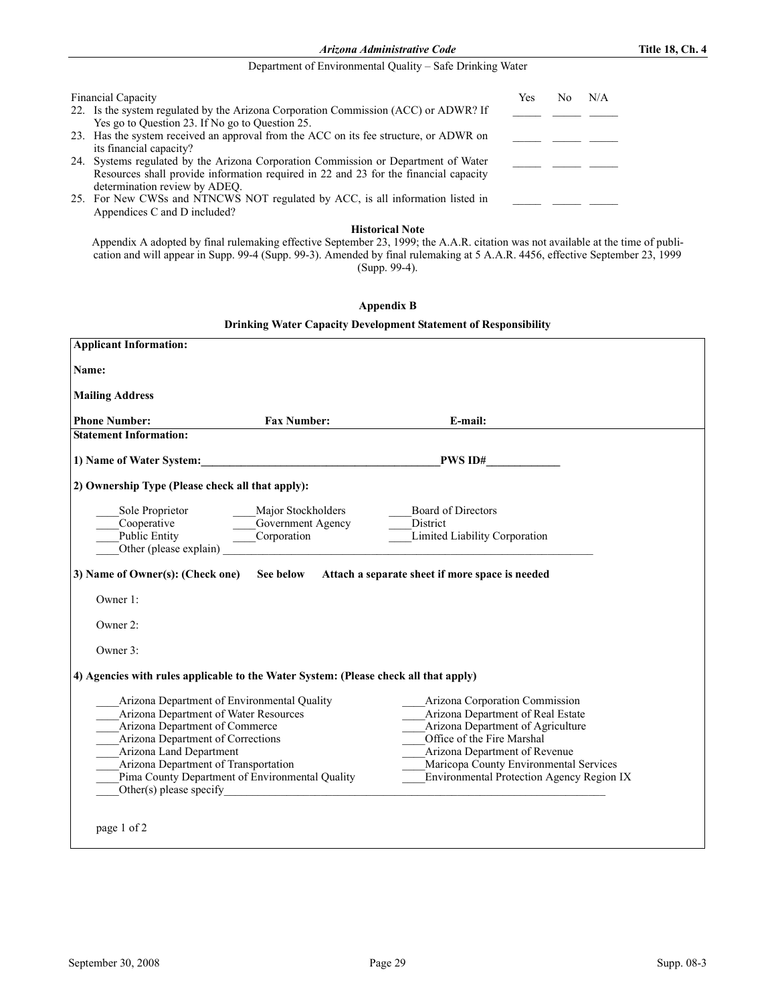Arizona Administrative Code Title 18, Ch. 4

## Department of Environmental Quality – Safe Drinking Water

| <b>Financial Capacity</b>                                                                                                                                                                                   | Yes | No. | N/A |  |
|-------------------------------------------------------------------------------------------------------------------------------------------------------------------------------------------------------------|-----|-----|-----|--|
| 22. Is the system regulated by the Arizona Corporation Commission (ACC) or ADWR? If<br>Yes go to Question 23. If No go to Question 25.                                                                      |     |     |     |  |
| 23. Has the system received an approval from the ACC on its fee structure, or ADWR on<br>its financial capacity?                                                                                            |     |     |     |  |
| 24. Systems regulated by the Arizona Corporation Commission or Department of Water<br>Resources shall provide information required in 22 and 23 for the financial capacity<br>determination review by ADEQ. |     |     |     |  |
| 25. For New CWSs and NTNCWS NOT regulated by ACC, is all information listed in<br>Appendices C and D included?                                                                                              |     |     |     |  |

## **Historical Note**

Appendix A adopted by final rulemaking effective September 23, 1999; the A.A.R. citation was not available at the time of publication and will appear in Supp. 99-4 (Supp. 99-3). Amended by final rulemaking at 5 A.A.R. 4456, effective September 23, 1999 (Supp. 99-4).

| <b>Appendix B</b> |  |  |
|-------------------|--|--|
|-------------------|--|--|

| <b>Drinking Water Capacity Development Statement of Responsibility</b> |  |  |
|------------------------------------------------------------------------|--|--|
|------------------------------------------------------------------------|--|--|

| <b>Applicant Information:</b>                                                                                                                                                                                                                                                     |                                                                                                                                                |                                                                                                                                                                                                                                                                |  |
|-----------------------------------------------------------------------------------------------------------------------------------------------------------------------------------------------------------------------------------------------------------------------------------|------------------------------------------------------------------------------------------------------------------------------------------------|----------------------------------------------------------------------------------------------------------------------------------------------------------------------------------------------------------------------------------------------------------------|--|
| Name:                                                                                                                                                                                                                                                                             |                                                                                                                                                |                                                                                                                                                                                                                                                                |  |
| <b>Mailing Address</b>                                                                                                                                                                                                                                                            |                                                                                                                                                |                                                                                                                                                                                                                                                                |  |
| <b>Phone Number:</b>                                                                                                                                                                                                                                                              | <b>Fax Number:</b>                                                                                                                             | E-mail:                                                                                                                                                                                                                                                        |  |
| <b>Statement Information:</b>                                                                                                                                                                                                                                                     |                                                                                                                                                |                                                                                                                                                                                                                                                                |  |
|                                                                                                                                                                                                                                                                                   |                                                                                                                                                | 1) Name of Water System: New York Department of Water System:                                                                                                                                                                                                  |  |
| 2) Ownership Type (Please check all that apply):                                                                                                                                                                                                                                  |                                                                                                                                                |                                                                                                                                                                                                                                                                |  |
| Sole Proprietor<br>Cooperative Cooperative Cooperative Cooperation<br>Other (please explain)                                                                                                                                                                                      | Major Stockholders<br><u> 1990 - Johann Barbara, politik eta politik eta politik eta politik eta politik eta politik eta politik eta p</u> oli | <b>Board of Directors</b><br>District<br>Limited Liability Corporation                                                                                                                                                                                         |  |
| 3) Name of Owner(s): (Check one)                                                                                                                                                                                                                                                  | See below                                                                                                                                      | Attach a separate sheet if more space is needed                                                                                                                                                                                                                |  |
| Owner 1:                                                                                                                                                                                                                                                                          |                                                                                                                                                |                                                                                                                                                                                                                                                                |  |
| Owner 2:                                                                                                                                                                                                                                                                          |                                                                                                                                                |                                                                                                                                                                                                                                                                |  |
| Owner 3:                                                                                                                                                                                                                                                                          |                                                                                                                                                |                                                                                                                                                                                                                                                                |  |
| 4) Agencies with rules applicable to the Water System: (Please check all that apply)                                                                                                                                                                                              |                                                                                                                                                |                                                                                                                                                                                                                                                                |  |
| Arizona Department of Environmental Quality<br>Arizona Department of Water Resources<br>Arizona Department of Commerce<br>Arizona Department of Corrections<br>Arizona Land Department<br>Arizona Department of Transportation<br>Pima County Department of Environmental Quality |                                                                                                                                                | Arizona Corporation Commission<br>Arizona Department of Real Estate<br>Arizona Department of Agriculture<br>Office of the Fire Marshal<br>Arizona Department of Revenue<br>Maricopa County Environmental Services<br>Environmental Protection Agency Region IX |  |
| page 1 of 2                                                                                                                                                                                                                                                                       |                                                                                                                                                |                                                                                                                                                                                                                                                                |  |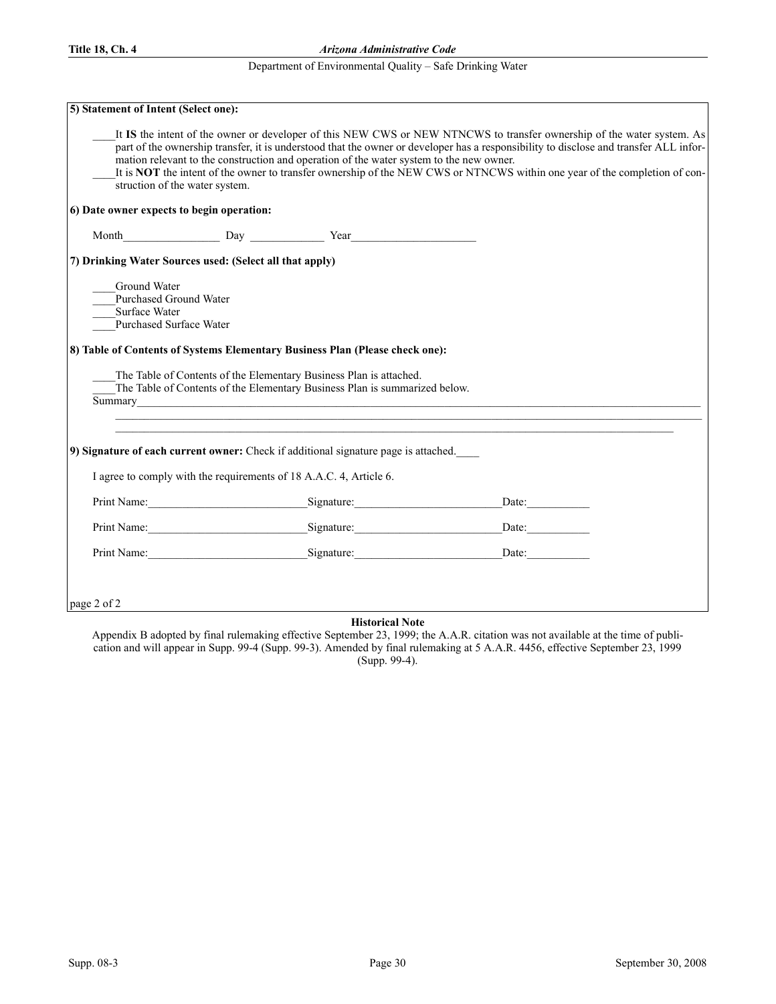## Department of Environmental Quality – Safe Drinking Water

| 5) Statement of Intent (Select one):                                                             |                                                                                                                                                                                                                                                                                                                                                                                                                                                                    |                                                                                                                                                                                                                                                                                                                                                                                                      |  |
|--------------------------------------------------------------------------------------------------|--------------------------------------------------------------------------------------------------------------------------------------------------------------------------------------------------------------------------------------------------------------------------------------------------------------------------------------------------------------------------------------------------------------------------------------------------------------------|------------------------------------------------------------------------------------------------------------------------------------------------------------------------------------------------------------------------------------------------------------------------------------------------------------------------------------------------------------------------------------------------------|--|
| struction of the water system.                                                                   | mation relevant to the construction and operation of the water system to the new owner.                                                                                                                                                                                                                                                                                                                                                                            | It IS the intent of the owner or developer of this NEW CWS or NEW NTNCWS to transfer ownership of the water system. As<br>part of the ownership transfer, it is understood that the owner or developer has a responsibility to disclose and transfer ALL infor-<br>It is <b>NOT</b> the intent of the owner to transfer ownership of the NEW CWS or NTNCWS within one year of the completion of con- |  |
| 6) Date owner expects to begin operation:                                                        |                                                                                                                                                                                                                                                                                                                                                                                                                                                                    |                                                                                                                                                                                                                                                                                                                                                                                                      |  |
|                                                                                                  |                                                                                                                                                                                                                                                                                                                                                                                                                                                                    |                                                                                                                                                                                                                                                                                                                                                                                                      |  |
| 7) Drinking Water Sources used: (Select all that apply)                                          |                                                                                                                                                                                                                                                                                                                                                                                                                                                                    |                                                                                                                                                                                                                                                                                                                                                                                                      |  |
| Ground Water<br><b>Purchased Ground Water</b><br>Surface Water<br><b>Purchased Surface Water</b> | 8) Table of Contents of Systems Elementary Business Plan (Please check one):<br>The Table of Contents of the Elementary Business Plan is attached.<br>The Table of Contents of the Elementary Business Plan is summarized below.<br>Summary experience and the contract of the contract of the contract of the contract of the contract of the contract of the contract of the contract of the contract of the contract of the contract of the contract of the con |                                                                                                                                                                                                                                                                                                                                                                                                      |  |
|                                                                                                  | 9) Signature of each current owner: Check if additional signature page is attached.                                                                                                                                                                                                                                                                                                                                                                                |                                                                                                                                                                                                                                                                                                                                                                                                      |  |
|                                                                                                  | I agree to comply with the requirements of 18 A.A.C. 4, Article 6.                                                                                                                                                                                                                                                                                                                                                                                                 |                                                                                                                                                                                                                                                                                                                                                                                                      |  |
|                                                                                                  | Print Name: Signature: Signature:                                                                                                                                                                                                                                                                                                                                                                                                                                  | Date:                                                                                                                                                                                                                                                                                                                                                                                                |  |
|                                                                                                  |                                                                                                                                                                                                                                                                                                                                                                                                                                                                    | Print Name: Signature: Date: Date:                                                                                                                                                                                                                                                                                                                                                                   |  |
|                                                                                                  |                                                                                                                                                                                                                                                                                                                                                                                                                                                                    |                                                                                                                                                                                                                                                                                                                                                                                                      |  |
| page 2 of 2                                                                                      | Historical Note                                                                                                                                                                                                                                                                                                                                                                                                                                                    |                                                                                                                                                                                                                                                                                                                                                                                                      |  |

**Historical Note** 

Appendix B adopted by final rulemaking effective September 23, 1999; the A.A.R. citation was not available at the time of publication and will appear in Supp. 99-4 (Supp. 99-3). Amended by final rulemaking at 5 A.A.R. 4456, effective September 23, 1999 (Supp. 99-4).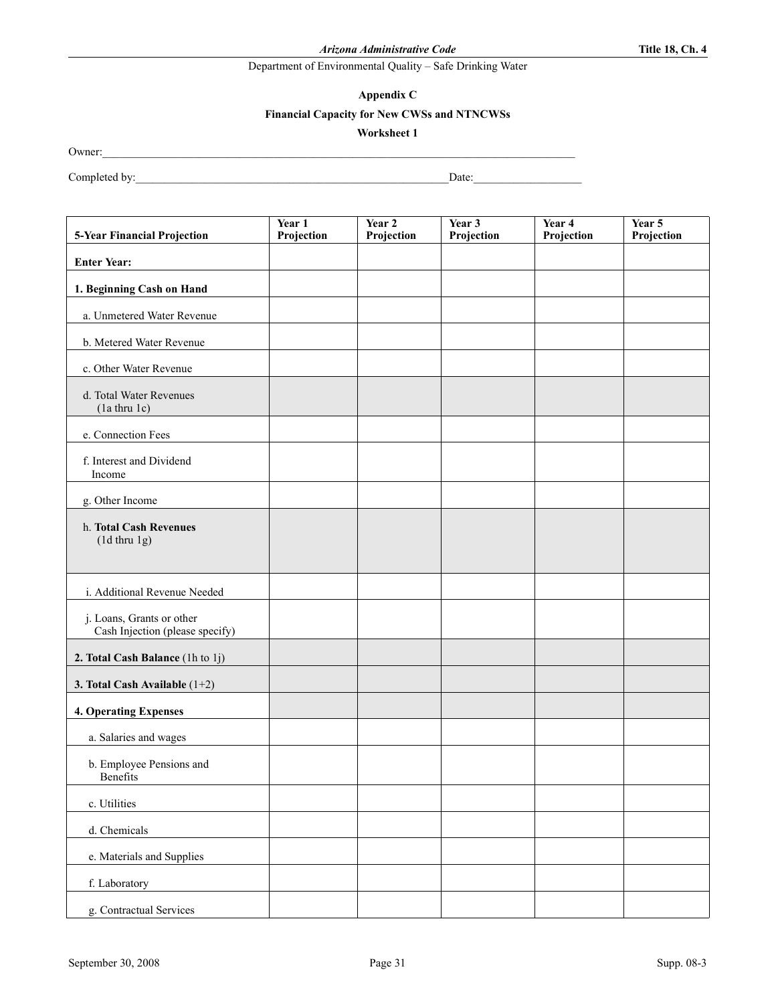Appendix C

## Financial Capacity for New CWSs and NTNCWSs

Worksheet 1

Owner:\_\_\_\_\_\_\_\_\_\_\_\_\_\_\_\_\_\_\_\_\_\_\_\_\_\_\_\_\_\_\_\_\_\_\_\_\_\_\_\_\_\_\_\_\_\_\_\_\_\_\_\_\_\_\_\_\_\_\_\_\_\_\_\_\_\_\_\_\_\_\_\_\_\_\_\_\_\_\_\_\_\_\_

Completed by:\_\_\_\_\_\_\_\_\_\_\_\_\_\_\_\_\_\_\_\_\_\_\_\_\_\_\_\_\_\_\_\_\_\_\_\_\_\_\_\_\_\_\_\_\_\_\_\_\_\_\_\_\_\_\_Date:\_\_\_\_\_\_\_\_\_\_\_\_\_\_\_\_\_\_\_

| 5-Year Financial Projection                                  | Year 1<br>Projection | Year <sub>2</sub><br>Projection | Year 3<br>Projection | Year 4<br>Projection | Year 5<br>Projection |
|--------------------------------------------------------------|----------------------|---------------------------------|----------------------|----------------------|----------------------|
| <b>Enter Year:</b>                                           |                      |                                 |                      |                      |                      |
| 1. Beginning Cash on Hand                                    |                      |                                 |                      |                      |                      |
| a. Unmetered Water Revenue                                   |                      |                                 |                      |                      |                      |
| b. Metered Water Revenue                                     |                      |                                 |                      |                      |                      |
| c. Other Water Revenue                                       |                      |                                 |                      |                      |                      |
| d. Total Water Revenues<br>$(la$ thru $1c)$                  |                      |                                 |                      |                      |                      |
| e. Connection Fees                                           |                      |                                 |                      |                      |                      |
| f. Interest and Dividend<br>Income                           |                      |                                 |                      |                      |                      |
| g. Other Income                                              |                      |                                 |                      |                      |                      |
| h. Total Cash Revenues<br>$(1d$ thru $1g)$                   |                      |                                 |                      |                      |                      |
| i. Additional Revenue Needed                                 |                      |                                 |                      |                      |                      |
| j. Loans, Grants or other<br>Cash Injection (please specify) |                      |                                 |                      |                      |                      |
| 2. Total Cash Balance (1h to 1j)                             |                      |                                 |                      |                      |                      |
| 3. Total Cash Available $(1+2)$                              |                      |                                 |                      |                      |                      |
| 4. Operating Expenses                                        |                      |                                 |                      |                      |                      |
| a. Salaries and wages                                        |                      |                                 |                      |                      |                      |
| b. Employee Pensions and<br>Benefits                         |                      |                                 |                      |                      |                      |
| c. Utilities                                                 |                      |                                 |                      |                      |                      |
| d. Chemicals                                                 |                      |                                 |                      |                      |                      |
| e. Materials and Supplies                                    |                      |                                 |                      |                      |                      |
| f. Laboratory                                                |                      |                                 |                      |                      |                      |
| g. Contractual Services                                      |                      |                                 |                      |                      |                      |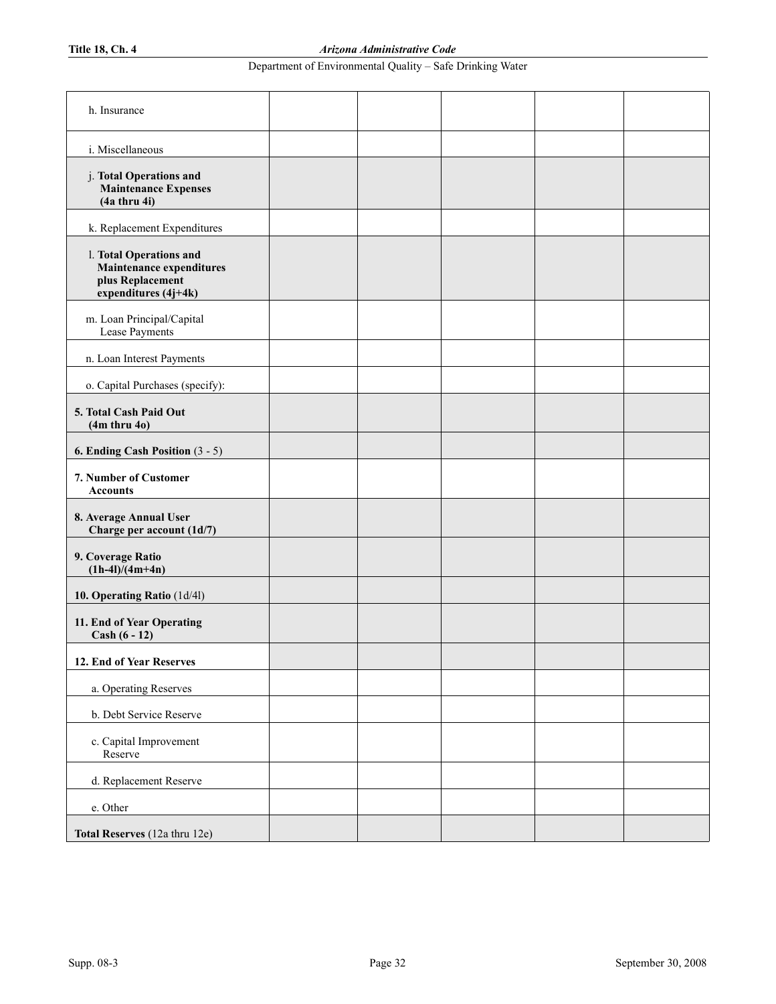| h. Insurance                                                                                    |  |  |  |
|-------------------------------------------------------------------------------------------------|--|--|--|
| i. Miscellaneous                                                                                |  |  |  |
| j. Total Operations and<br><b>Maintenance Expenses</b><br>(4a thru 4i)                          |  |  |  |
| k. Replacement Expenditures                                                                     |  |  |  |
| l. Total Operations and<br>Maintenance expenditures<br>plus Replacement<br>expenditures (4j+4k) |  |  |  |
| m. Loan Principal/Capital<br>Lease Payments                                                     |  |  |  |
| n. Loan Interest Payments                                                                       |  |  |  |
| o. Capital Purchases (specify):                                                                 |  |  |  |
| 5. Total Cash Paid Out<br>$(4m$ thru $40)$                                                      |  |  |  |
| 6. Ending Cash Position (3 - 5)                                                                 |  |  |  |
| 7. Number of Customer<br><b>Accounts</b>                                                        |  |  |  |
| 8. Average Annual User<br>Charge per account (1d/7)                                             |  |  |  |
| 9. Coverage Ratio<br>$(1h-4l)/(4m+4n)$                                                          |  |  |  |
| 10. Operating Ratio (1d/4l)                                                                     |  |  |  |
| 11. End of Year Operating<br>$Cash (6 - 12)$                                                    |  |  |  |
| 12. End of Year Reserves                                                                        |  |  |  |
| a. Operating Reserves                                                                           |  |  |  |
| b. Debt Service Reserve                                                                         |  |  |  |
| c. Capital Improvement<br>Reserve                                                               |  |  |  |
| d. Replacement Reserve                                                                          |  |  |  |
| e. Other                                                                                        |  |  |  |
| Total Reserves (12a thru 12e)                                                                   |  |  |  |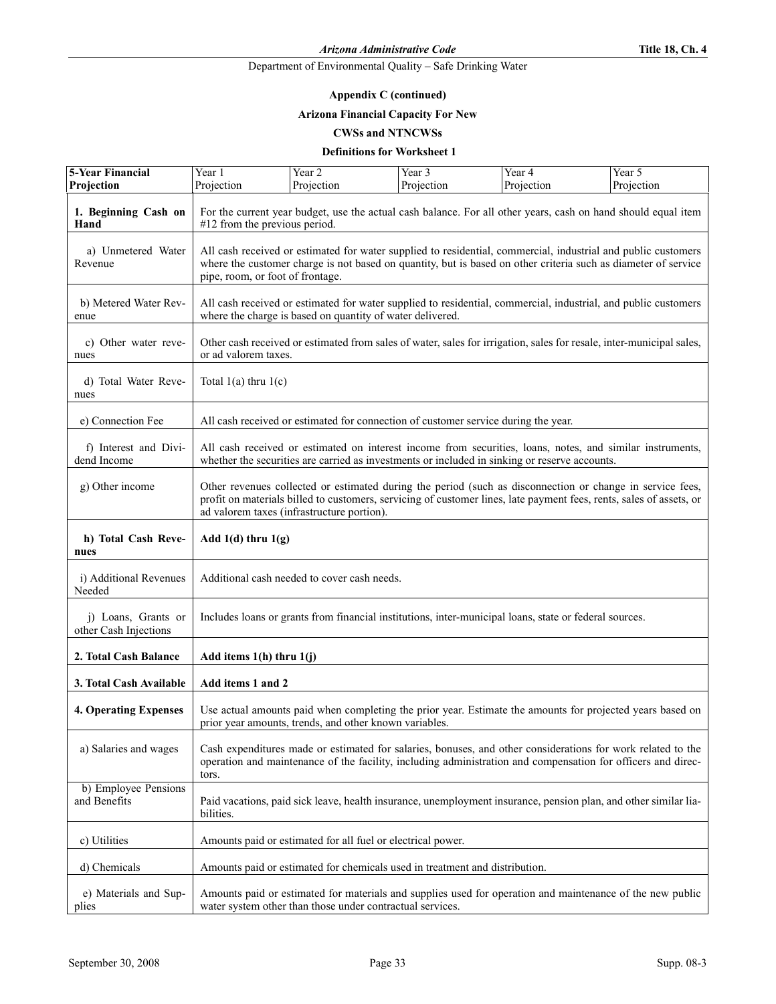## Appendix C (continued)

## Arizona Financial Capacity For New

## **CWSs and NTNCWSs**

## Definitions for Worksheet 1

| 5-Year Financial                             | Year 1                                                                                                                                                                                                                                                                         | Year 2                                                                                                                                                                                                                          | Year 3     | Year 4     | Year 5     |
|----------------------------------------------|--------------------------------------------------------------------------------------------------------------------------------------------------------------------------------------------------------------------------------------------------------------------------------|---------------------------------------------------------------------------------------------------------------------------------------------------------------------------------------------------------------------------------|------------|------------|------------|
| Projection                                   | Projection                                                                                                                                                                                                                                                                     | Projection                                                                                                                                                                                                                      | Projection | Projection | Projection |
| 1. Beginning Cash on<br>Hand                 | For the current year budget, use the actual cash balance. For all other years, cash on hand should equal item<br>$#12$ from the previous period.                                                                                                                               |                                                                                                                                                                                                                                 |            |            |            |
| a) Unmetered Water<br>Revenue                | pipe, room, or foot of frontage.                                                                                                                                                                                                                                               | All cash received or estimated for water supplied to residential, commercial, industrial and public customers<br>where the customer charge is not based on quantity, but is based on other criteria such as diameter of service |            |            |            |
| b) Metered Water Rev-<br>enue                |                                                                                                                                                                                                                                                                                | All cash received or estimated for water supplied to residential, commercial, industrial, and public customers<br>where the charge is based on quantity of water delivered.                                                     |            |            |            |
| c) Other water reve-<br>nues                 | or ad valorem taxes.                                                                                                                                                                                                                                                           | Other cash received or estimated from sales of water, sales for irrigation, sales for resale, inter-municipal sales,                                                                                                            |            |            |            |
| d) Total Water Reve-<br>nues                 | Total $1(a)$ thru $1(c)$                                                                                                                                                                                                                                                       |                                                                                                                                                                                                                                 |            |            |            |
| e) Connection Fee                            |                                                                                                                                                                                                                                                                                | All cash received or estimated for connection of customer service during the year.                                                                                                                                              |            |            |            |
| f) Interest and Divi-<br>dend Income         |                                                                                                                                                                                                                                                                                | All cash received or estimated on interest income from securities, loans, notes, and similar instruments,<br>whether the securities are carried as investments or included in sinking or reserve accounts.                      |            |            |            |
| g) Other income                              | Other revenues collected or estimated during the period (such as disconnection or change in service fees,<br>profit on materials billed to customers, servicing of customer lines, late payment fees, rents, sales of assets, or<br>ad valorem taxes (infrastructure portion). |                                                                                                                                                                                                                                 |            |            |            |
| h) Total Cash Reve-<br>nues                  | Add $1(d)$ thru $1(g)$                                                                                                                                                                                                                                                         |                                                                                                                                                                                                                                 |            |            |            |
| i) Additional Revenues<br>Needed             |                                                                                                                                                                                                                                                                                | Additional cash needed to cover cash needs.                                                                                                                                                                                     |            |            |            |
| j) Loans, Grants or<br>other Cash Injections | Includes loans or grants from financial institutions, inter-municipal loans, state or federal sources.                                                                                                                                                                         |                                                                                                                                                                                                                                 |            |            |            |
| 2. Total Cash Balance                        | Add items $1(h)$ thru $1(j)$                                                                                                                                                                                                                                                   |                                                                                                                                                                                                                                 |            |            |            |
| 3. Total Cash Available                      | Add items 1 and 2                                                                                                                                                                                                                                                              |                                                                                                                                                                                                                                 |            |            |            |
| <b>4. Operating Expenses</b>                 |                                                                                                                                                                                                                                                                                | Use actual amounts paid when completing the prior year. Estimate the amounts for projected years based on<br>prior year amounts, trends, and other known variables.                                                             |            |            |            |
| a) Salaries and wages                        | Cash expenditures made or estimated for salaries, bonuses, and other considerations for work related to the<br>operation and maintenance of the facility, including administration and compensation for officers and direc-<br>tors.                                           |                                                                                                                                                                                                                                 |            |            |            |
| b) Employee Pensions<br>and Benefits         | bilities.                                                                                                                                                                                                                                                                      | Paid vacations, paid sick leave, health insurance, unemployment insurance, pension plan, and other similar lia-                                                                                                                 |            |            |            |
| c) Utilities                                 |                                                                                                                                                                                                                                                                                | Amounts paid or estimated for all fuel or electrical power.                                                                                                                                                                     |            |            |            |
| d) Chemicals                                 |                                                                                                                                                                                                                                                                                | Amounts paid or estimated for chemicals used in treatment and distribution.                                                                                                                                                     |            |            |            |
| e) Materials and Sup-<br>plies               | Amounts paid or estimated for materials and supplies used for operation and maintenance of the new public<br>water system other than those under contractual services.                                                                                                         |                                                                                                                                                                                                                                 |            |            |            |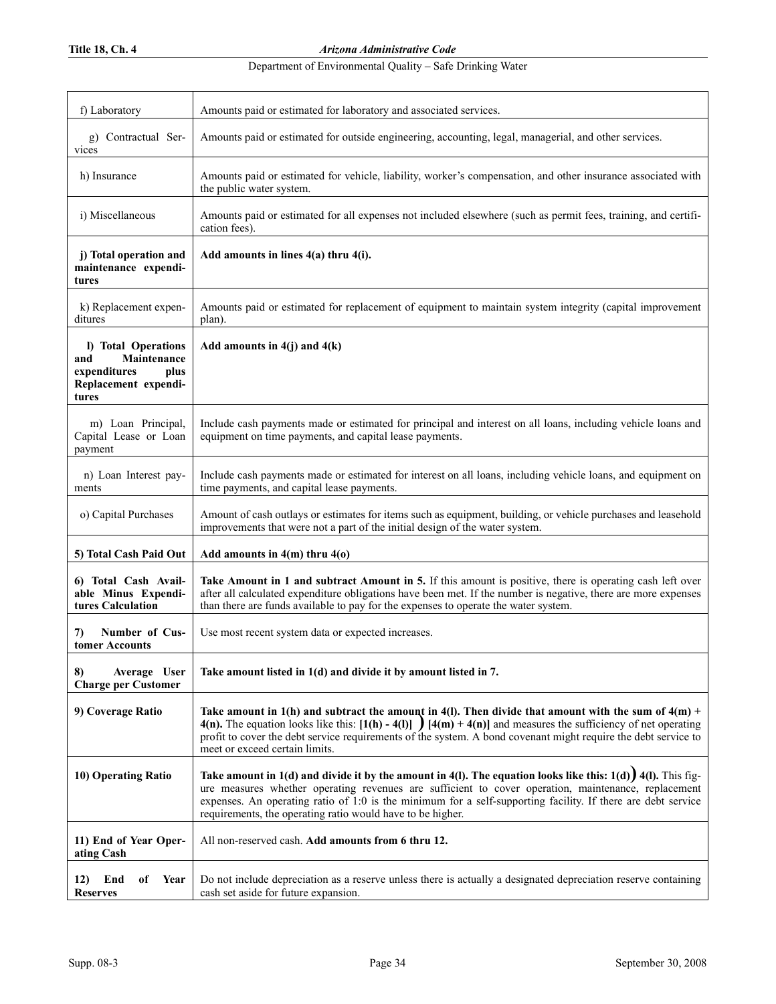# Department of Environmental Quality – Safe Drinking Water

| f) Laboratory                                                                                      | Amounts paid or estimated for laboratory and associated services.                                                                                                                                                                                                                                                                                                                                    |
|----------------------------------------------------------------------------------------------------|------------------------------------------------------------------------------------------------------------------------------------------------------------------------------------------------------------------------------------------------------------------------------------------------------------------------------------------------------------------------------------------------------|
|                                                                                                    |                                                                                                                                                                                                                                                                                                                                                                                                      |
| g) Contractual Ser-<br>vices                                                                       | Amounts paid or estimated for outside engineering, accounting, legal, managerial, and other services.                                                                                                                                                                                                                                                                                                |
| h) Insurance                                                                                       | Amounts paid or estimated for vehicle, liability, worker's compensation, and other insurance associated with<br>the public water system.                                                                                                                                                                                                                                                             |
| i) Miscellaneous                                                                                   | Amounts paid or estimated for all expenses not included elsewhere (such as permit fees, training, and certifi-<br>cation fees).                                                                                                                                                                                                                                                                      |
| j) Total operation and<br>maintenance expendi-<br>tures                                            | Add amounts in lines 4(a) thru 4(i).                                                                                                                                                                                                                                                                                                                                                                 |
| k) Replacement expen-<br>ditures                                                                   | Amounts paid or estimated for replacement of equipment to maintain system integrity (capital improvement<br>plan).                                                                                                                                                                                                                                                                                   |
| I) Total Operations<br>Maintenance<br>and<br>expenditures<br>plus<br>Replacement expendi-<br>tures | Add amounts in $4(j)$ and $4(k)$                                                                                                                                                                                                                                                                                                                                                                     |
| m) Loan Principal,<br>Capital Lease or Loan<br>payment                                             | Include cash payments made or estimated for principal and interest on all loans, including vehicle loans and<br>equipment on time payments, and capital lease payments.                                                                                                                                                                                                                              |
| n) Loan Interest pay-<br>ments                                                                     | Include cash payments made or estimated for interest on all loans, including vehicle loans, and equipment on<br>time payments, and capital lease payments.                                                                                                                                                                                                                                           |
| o) Capital Purchases                                                                               | Amount of cash outlays or estimates for items such as equipment, building, or vehicle purchases and leasehold<br>improvements that were not a part of the initial design of the water system.                                                                                                                                                                                                        |
| 5) Total Cash Paid Out                                                                             | Add amounts in $4(m)$ thru $4(0)$                                                                                                                                                                                                                                                                                                                                                                    |
| 6) Total Cash Avail-<br>able Minus Expendi-<br>tures Calculation                                   | Take Amount in 1 and subtract Amount in 5. If this amount is positive, there is operating cash left over<br>after all calculated expenditure obligations have been met. If the number is negative, there are more expenses<br>than there are funds available to pay for the expenses to operate the water system.                                                                                    |
| Number of Cus-<br>7)<br>tomer Accounts                                                             | Use most recent system data or expected increases.                                                                                                                                                                                                                                                                                                                                                   |
| 8)<br>Average User<br><b>Charge per Customer</b>                                                   | Take amount listed in 1(d) and divide it by amount listed in 7.                                                                                                                                                                                                                                                                                                                                      |
| 9) Coverage Ratio                                                                                  | Take amount in 1(h) and subtract the amount in 4(l). Then divide that amount with the sum of $4(m)$ +<br>4(n). The equation looks like this: $[1(h) - 4(l)]$ $[4(m) + 4(n)]$ and measures the sufficiency of net operating<br>profit to cover the debt service requirements of the system. A bond covenant might require the debt service to<br>meet or exceed certain limits.                       |
| 10) Operating Ratio                                                                                | Take amount in $1(d)$ and divide it by the amount in 4(1). The equation looks like this: $1(d)$ 4(1). This fig-<br>ure measures whether operating revenues are sufficient to cover operation, maintenance, replacement<br>expenses. An operating ratio of 1:0 is the minimum for a self-supporting facility. If there are debt service<br>requirements, the operating ratio would have to be higher. |
| 11) End of Year Oper-<br>ating Cash                                                                | All non-reserved cash. Add amounts from 6 thru 12.                                                                                                                                                                                                                                                                                                                                                   |
| End<br>Year<br>12)<br>оf<br><b>Reserves</b>                                                        | Do not include depreciation as a reserve unless there is actually a designated depreciation reserve containing<br>cash set aside for future expansion.                                                                                                                                                                                                                                               |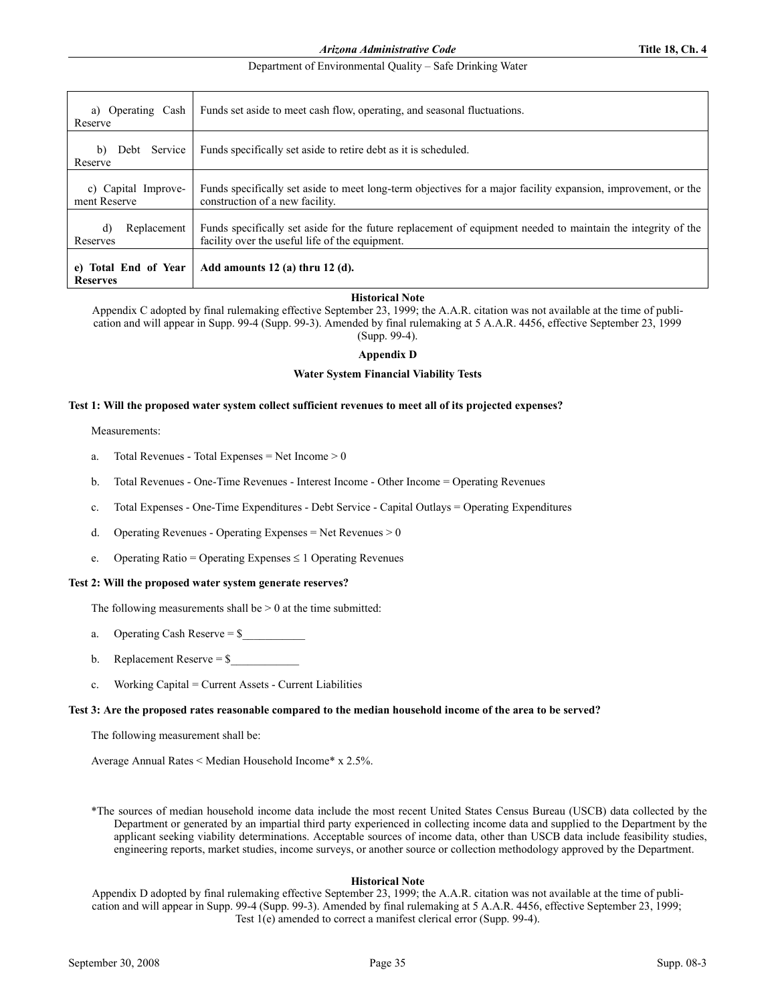| Operating Cash<br>a)<br>Reserve         | Funds set aside to meet cash flow, operating, and seasonal fluctuations.                                                                                        |
|-----------------------------------------|-----------------------------------------------------------------------------------------------------------------------------------------------------------------|
| Debt Service<br>b)<br>Reserve           | Funds specifically set aside to retire debt as it is scheduled.                                                                                                 |
| c) Capital Improve-<br>ment Reserve     | Funds specifically set aside to meet long-term objectives for a major facility expansion, improvement, or the<br>construction of a new facility.                |
| d)<br>Replacement<br>Reserves           | Funds specifically set aside for the future replacement of equipment needed to maintain the integrity of the<br>facility over the useful life of the equipment. |
| e) Total End of Year<br><b>Reserves</b> | Add amounts $12$ (a) thru $12$ (d).                                                                                                                             |

## **Historical Note**

Appendix C adopted by final rulemaking effective September 23, 1999; the A.A.R. citation was not available at the time of publication and will appear in Supp. 99-4 (Supp. 99-3). Amended by final rulemaking at 5 A.A.R. 4456, effective September 23, 1999 (Supp. 99-4).

## Appendix D

## Water System Financial Viability Tests

## Test 1: Will the proposed water system collect sufficient revenues to meet all of its projected expenses?

Measurements:

- a. Total Revenues Total Expenses = Net Income > 0
- b. Total Revenues One-Time Revenues Interest Income Other Income = Operating Revenues
- c. Total Expenses One-Time Expenditures Debt Service Capital Outlays = Operating Expenditures
- d. Operating Revenues Operating Expenses = Net Revenues  $> 0$
- e. Operating Ratio = Operating Expenses  $\leq 1$  Operating Revenues

## Test 2: Will the proposed water system generate reserves?

The following measurements shall be  $> 0$  at the time submitted:

- a. Operating Cash Reserve  $=$  \$ $\blacksquare$
- b. Replacement Reserve  $=$  \$
- c. Working Capital = Current Assets Current Liabilities

## Test 3: Are the proposed rates reasonable compared to the median household income of the area to be served?

The following measurement shall be:

Average Annual Rates < Median Household Income\* x 2.5%.

\*The sources of median household income data include the most recent United States Census Bureau (USCB) data collected by the Department or generated by an impartial third party experienced in collecting income data and supplied to the Department by the applicant seeking viability determinations. Acceptable sources of income data, other than USCB data include feasibility studies, engineering reports, market studies, income surveys, or another source or collection methodology approved by the Department.

## **Historical Note**

Appendix D adopted by final rulemaking effective September 23, 1999; the A.A.R. citation was not available at the time of publication and will appear in Supp. 99-4 (Supp. 99-3). Amended by final rulemaking at 5 A.A.R. 4456, effective September 23, 1999; Test 1(e) amended to correct a manifest clerical error (Supp. 99-4).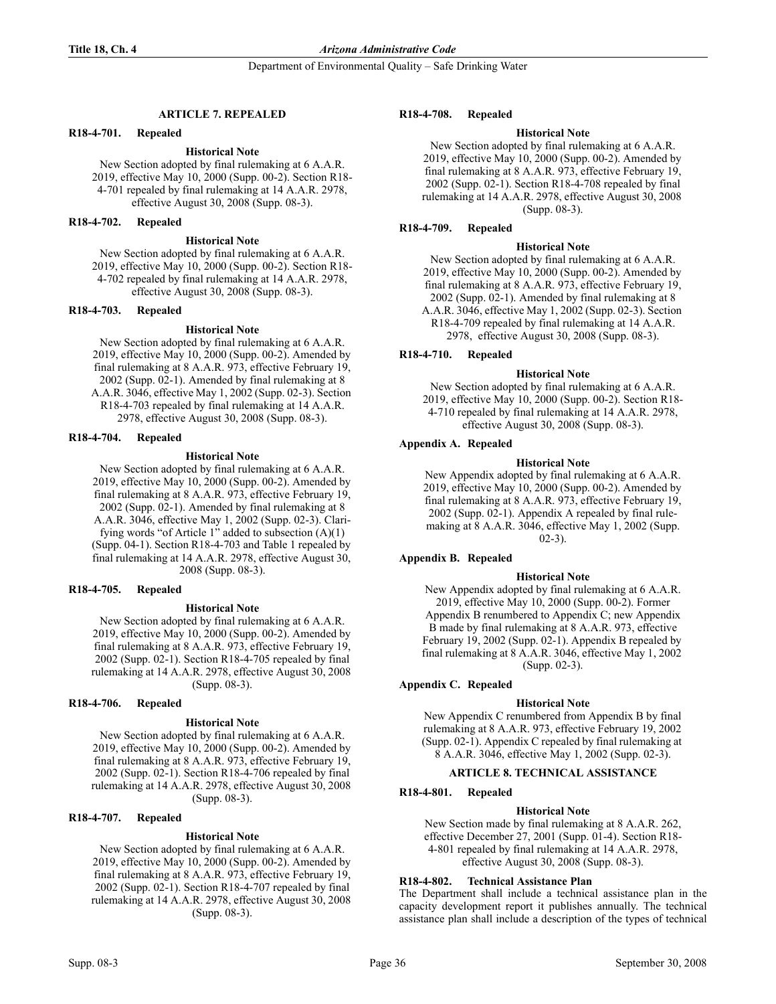Department of Environmental Quality – Safe Drinking Water

## ARTICLE 7. REPEALED

#### R18-4-701. Repealed

### **Historical Note**

New Section adopted by final rulemaking at 6 A.A.R. 2019, effective May 10, 2000 (Supp. 00-2). Section R18- 4-701 repealed by final rulemaking at 14 A.A.R. 2978, effective August 30, 2008 (Supp. 08-3).

## R18-4-702. Repealed

### **Historical Note**

New Section adopted by final rulemaking at 6 A.A.R. 2019, effective May 10, 2000 (Supp. 00-2). Section R18- 4-702 repealed by final rulemaking at 14 A.A.R. 2978, effective August 30, 2008 (Supp. 08-3).

#### R18-4-703. Repealed

#### **Historical Note**

New Section adopted by final rulemaking at 6 A.A.R. 2019, effective May 10, 2000 (Supp. 00-2). Amended by final rulemaking at 8 A.A.R. 973, effective February 19, 2002 (Supp. 02-1). Amended by final rulemaking at 8 A.A.R. 3046, effective May 1, 2002 (Supp. 02-3). Section R18-4-703 repealed by final rulemaking at 14 A.A.R. 2978, effective August 30, 2008 (Supp. 08-3).

## R18-4-704. Repealed

#### **Historical Note**

New Section adopted by final rulemaking at 6 A.A.R. 2019, effective May 10, 2000 (Supp. 00-2). Amended by final rulemaking at 8 A.A.R. 973, effective February 19, 2002 (Supp. 02-1). Amended by final rulemaking at 8 A.A.R. 3046, effective May 1, 2002 (Supp. 02-3). Clarifying words "of Article 1" added to subsection  $(A)(1)$ (Supp. 04-1). Section R18-4-703 and Table 1 repealed by final rulemaking at 14 A.A.R. 2978, effective August 30, 2008 (Supp. 08-3).

#### R18-4-705. Repealed

#### **Historical Note**

New Section adopted by final rulemaking at 6 A.A.R. 2019, effective May 10, 2000 (Supp. 00-2). Amended by final rulemaking at 8 A.A.R. 973, effective February 19, 2002 (Supp. 02-1). Section R18-4-705 repealed by final rulemaking at 14 A.A.R. 2978, effective August 30, 2008 (Supp. 08-3).

## R18-4-706. Repealed

#### **Historical Note**

New Section adopted by final rulemaking at 6 A.A.R. 2019, effective May 10, 2000 (Supp. 00-2). Amended by final rulemaking at 8 A.A.R. 973, effective February 19, 2002 (Supp. 02-1). Section R18-4-706 repealed by final rulemaking at 14 A.A.R. 2978, effective August 30, 2008 (Supp. 08-3).

## R18-4-707. Repealed

## **Historical Note**

New Section adopted by final rulemaking at 6 A.A.R. 2019, effective May 10, 2000 (Supp. 00-2). Amended by final rulemaking at 8 A.A.R. 973, effective February 19, 2002 (Supp. 02-1). Section R18-4-707 repealed by final rulemaking at 14 A.A.R. 2978, effective August 30, 2008 (Supp. 08-3).

## R18-4-708. Repealed

## **Historical Note**

New Section adopted by final rulemaking at 6 A.A.R. 2019, effective May 10, 2000 (Supp. 00-2). Amended by final rulemaking at 8 A.A.R. 973, effective February 19, 2002 (Supp. 02-1). Section R18-4-708 repealed by final rulemaking at 14 A.A.R. 2978, effective August 30, 2008 (Supp. 08-3).

## R18-4-709. Repealed

#### **Historical Note**

New Section adopted by final rulemaking at 6 A.A.R. 2019, effective May 10, 2000 (Supp. 00-2). Amended by final rulemaking at 8 A.A.R. 973, effective February 19, 2002 (Supp. 02-1). Amended by final rulemaking at 8 A.A.R. 3046, effective May 1, 2002 (Supp. 02-3). Section R18-4-709 repealed by final rulemaking at 14 A.A.R. 2978, effective August 30, 2008 (Supp. 08-3).

## R18-4-710. Repealed

#### **Historical Note**

New Section adopted by final rulemaking at 6 A.A.R. 2019, effective May 10, 2000 (Supp. 00-2). Section R18- 4-710 repealed by final rulemaking at 14 A.A.R. 2978, effective August 30, 2008 (Supp. 08-3).

## Appendix A. Repealed

## **Historical Note**

New Appendix adopted by final rulemaking at 6 A.A.R. 2019, effective May 10, 2000 (Supp. 00-2). Amended by final rulemaking at 8 A.A.R. 973, effective February 19, 2002 (Supp. 02-1). Appendix A repealed by final rulemaking at 8 A.A.R. 3046, effective May 1, 2002 (Supp.  $(02-3)$ .

## Appendix B. Repealed

#### **Historical Note**

New Appendix adopted by final rulemaking at 6 A.A.R. 2019, effective May 10, 2000 (Supp. 00-2). Former Appendix B renumbered to Appendix C; new Appendix B made by final rulemaking at 8 A.A.R. 973, effective February 19, 2002 (Supp. 02-1). Appendix B repealed by final rulemaking at 8 A.A.R. 3046, effective May 1, 2002 (Supp. 02-3).

## Appendix C. Repealed

## **Historical Note**

New Appendix C renumbered from Appendix B by final rulemaking at 8 A.A.R. 973, effective February 19, 2002 (Supp. 02-1). Appendix C repealed by final rulemaking at 8 A.A.R. 3046, effective May 1, 2002 (Supp. 02-3).

## **ARTICLE 8. TECHNICAL ASSISTANCE**

## R18-4-801. Repealed

## **Historical Note**

New Section made by final rulemaking at 8 A.A.R. 262, effective December 27, 2001 (Supp. 01-4). Section R18- 4-801 repealed by final rulemaking at 14 A.A.R. 2978, effective August 30, 2008 (Supp. 08-3).

## R18-4-802. Technical Assistance Plan

The Department shall include a technical assistance plan in the capacity development report it publishes annually. The technical assistance plan shall include a description of the types of technical